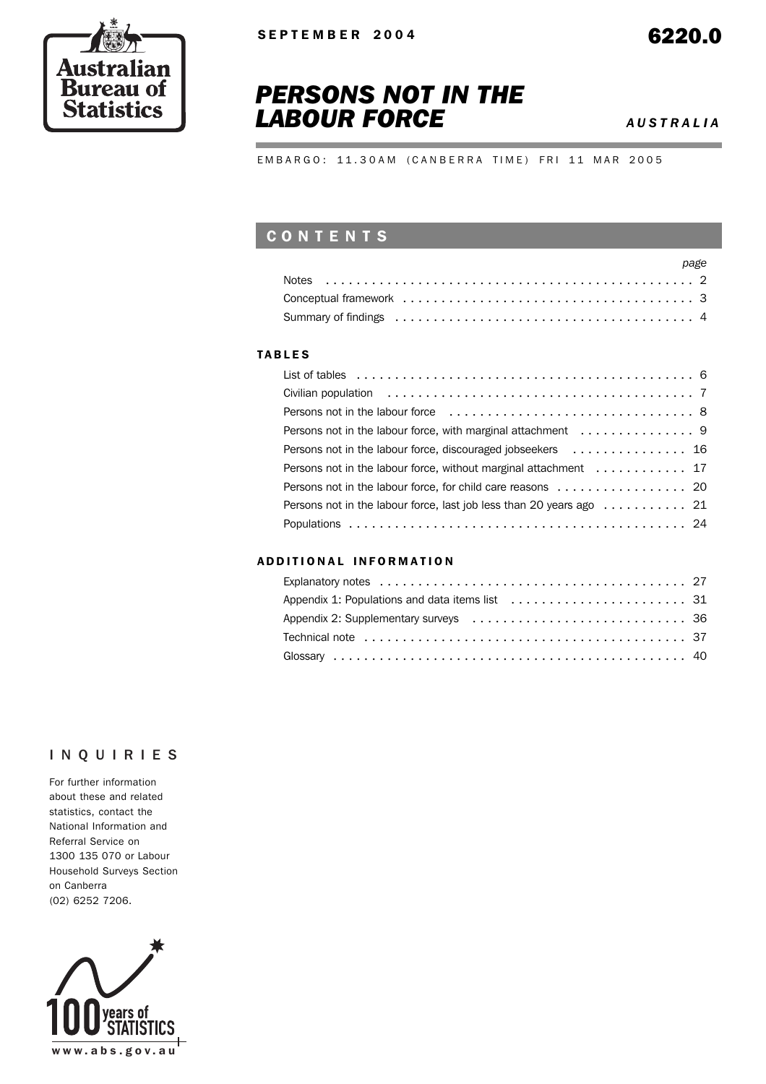

## *PERSONS NOT IN THE LABOUR FORCE AUSTRALIA*

EMBARGO: 11.30AM (CANBERRA TIME) FRI 11 MAR 2005

## CONTENTS

| page |  |
|------|--|
|      |  |
|      |  |
|      |  |

### TABLES

| List of tables $\ldots \ldots \ldots \ldots \ldots \ldots \ldots \ldots \ldots \ldots \ldots \ldots \ldots$ |  |
|-------------------------------------------------------------------------------------------------------------|--|
|                                                                                                             |  |
|                                                                                                             |  |
|                                                                                                             |  |
| Persons not in the labour force, discouraged jobseekers  16                                                 |  |
| Persons not in the labour force, without marginal attachment 17                                             |  |
|                                                                                                             |  |
| Persons not in the labour force, last job less than 20 years ago 21                                         |  |
|                                                                                                             |  |
|                                                                                                             |  |

### ADD ITIONAL INFORMATION

| Technical note enterpreteration of the contract of the contract of the contract of the contract of the contract of the contract of the contract of the contract of the contract of the contract of the contract of the contrac |  |
|--------------------------------------------------------------------------------------------------------------------------------------------------------------------------------------------------------------------------------|--|
|                                                                                                                                                                                                                                |  |

### INQUIRIES

For further information about these and related statistics, contact the National Information and Referral Service on 1300 135 070 or Labour Household Surveys Section on Canberra (02) 6252 7206.

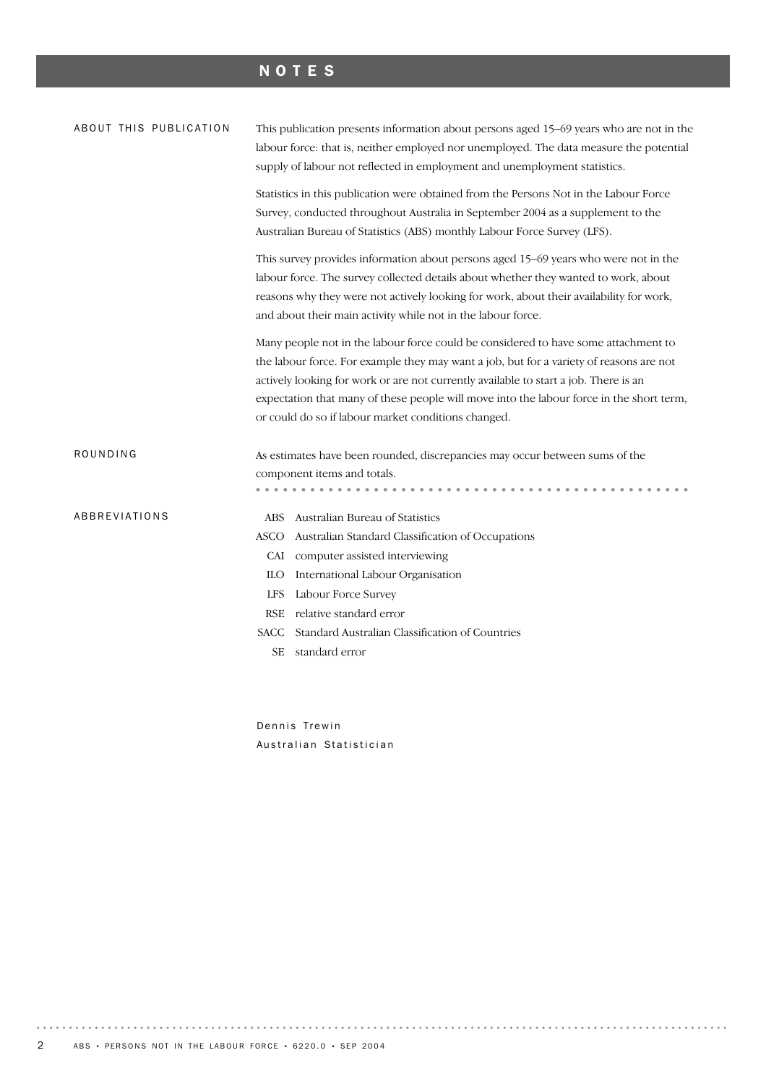## NOTES

| ABOUT THIS PUBLICATION | This publication presents information about persons aged 15-69 years who are not in the<br>labour force: that is, neither employed nor unemployed. The data measure the potential<br>supply of labour not reflected in employment and unemployment statistics.                                                                                                                                                           |  |  |  |  |  |  |  |
|------------------------|--------------------------------------------------------------------------------------------------------------------------------------------------------------------------------------------------------------------------------------------------------------------------------------------------------------------------------------------------------------------------------------------------------------------------|--|--|--|--|--|--|--|
|                        | Statistics in this publication were obtained from the Persons Not in the Labour Force<br>Survey, conducted throughout Australia in September 2004 as a supplement to the<br>Australian Bureau of Statistics (ABS) monthly Labour Force Survey (LFS).                                                                                                                                                                     |  |  |  |  |  |  |  |
|                        | This survey provides information about persons aged 15–69 years who were not in the<br>labour force. The survey collected details about whether they wanted to work, about<br>reasons why they were not actively looking for work, about their availability for work,<br>and about their main activity while not in the labour force.                                                                                    |  |  |  |  |  |  |  |
|                        | Many people not in the labour force could be considered to have some attachment to<br>the labour force. For example they may want a job, but for a variety of reasons are not<br>actively looking for work or are not currently available to start a job. There is an<br>expectation that many of these people will move into the labour force in the short term,<br>or could do so if labour market conditions changed. |  |  |  |  |  |  |  |
| ROUNDING               | As estimates have been rounded, discrepancies may occur between sums of the<br>component items and totals.                                                                                                                                                                                                                                                                                                               |  |  |  |  |  |  |  |
| ABBREVIATIONS          | Australian Bureau of Statistics<br><b>ABS</b>                                                                                                                                                                                                                                                                                                                                                                            |  |  |  |  |  |  |  |
|                        | Australian Standard Classification of Occupations<br>ASCO                                                                                                                                                                                                                                                                                                                                                                |  |  |  |  |  |  |  |
|                        | computer assisted interviewing<br>CAI                                                                                                                                                                                                                                                                                                                                                                                    |  |  |  |  |  |  |  |
|                        | International Labour Organisation<br>ILO                                                                                                                                                                                                                                                                                                                                                                                 |  |  |  |  |  |  |  |
|                        | Labour Force Survey<br><b>LFS</b>                                                                                                                                                                                                                                                                                                                                                                                        |  |  |  |  |  |  |  |
|                        | relative standard error<br><b>RSE</b>                                                                                                                                                                                                                                                                                                                                                                                    |  |  |  |  |  |  |  |
|                        | Standard Australian Classification of Countries<br>SACC                                                                                                                                                                                                                                                                                                                                                                  |  |  |  |  |  |  |  |
|                        | <b>SE</b><br>standard error                                                                                                                                                                                                                                                                                                                                                                                              |  |  |  |  |  |  |  |
|                        |                                                                                                                                                                                                                                                                                                                                                                                                                          |  |  |  |  |  |  |  |

Dennis Trewin Australian Statistician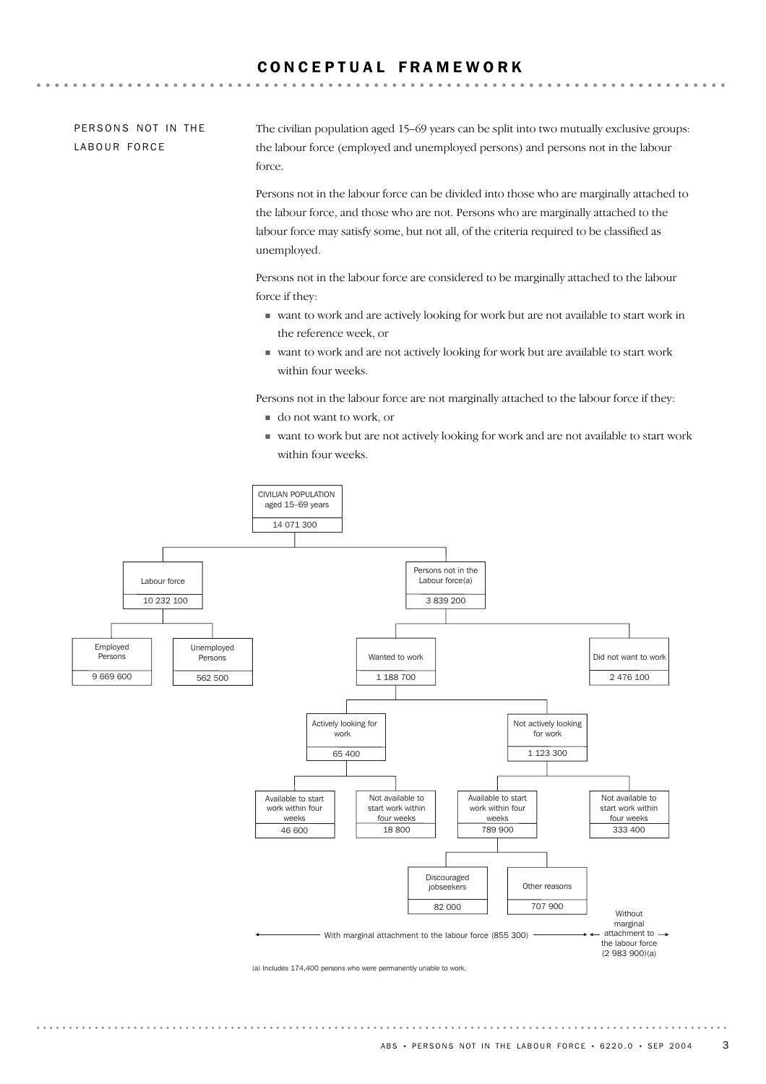### PERSONS NOT IN THE LABOUR FORCE

The civilian population aged 15–69 years can be split into two mutually exclusive groups: the labour force (employed and unemployed persons) and persons not in the labour force.

Persons not in the labour force can be divided into those who are marginally attached to the labour force, and those who are not. Persons who are marginally attached to the labour force may satisfy some, but not all, of the criteria required to be classified as unemployed.

Persons not in the labour force are considered to be marginally attached to the labour force if they:

- ! want to work and are actively looking for work but are not available to start work in the reference week, or
- ! want to work and are not actively looking for work but are available to start work within four weeks.

Persons not in the labour force are not marginally attached to the labour force if they:

- ! do not want to work, or
- ! want to work but are not actively looking for work and are not available to start work within four weeks.

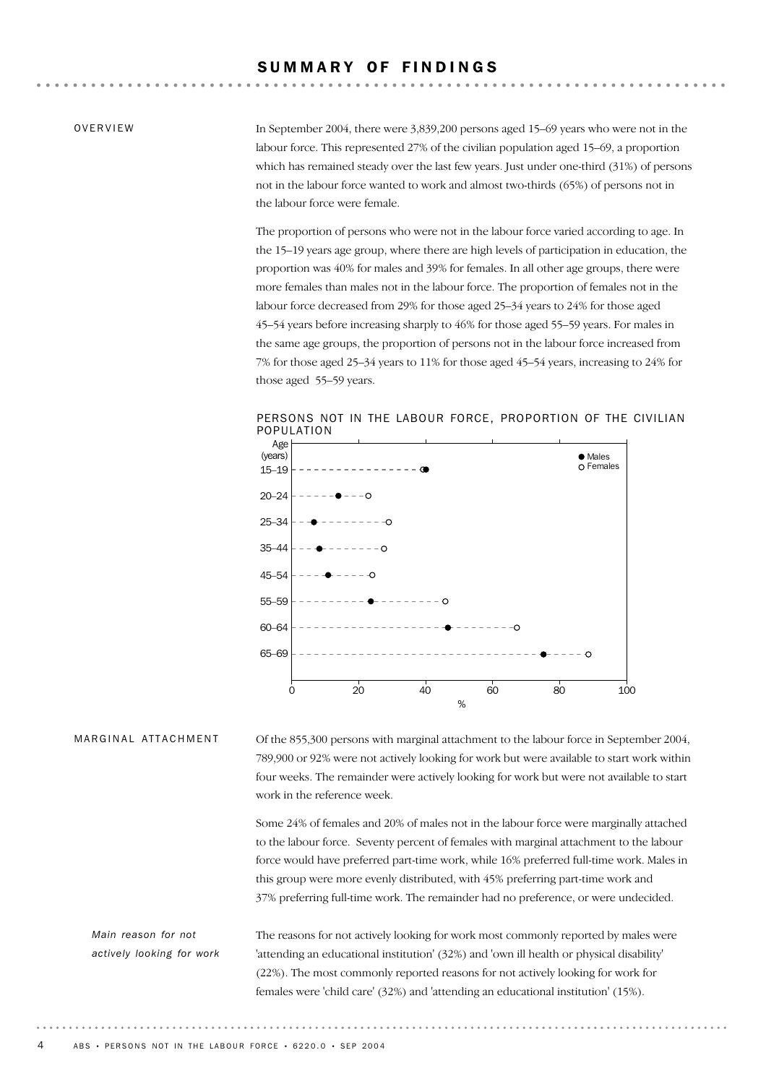### SUMMARY OF FINDINGS

OVERVIEW

In September 2004, there were 3,839,200 persons aged 15–69 years who were not in the labour force. This represented 27% of the civilian population aged 15–69, a proportion which has remained steady over the last few years. Just under one-third (31%) of persons not in the labour force wanted to work and almost two-thirds (65%) of persons not in the labour force were female.

The proportion of persons who were not in the labour force varied according to age. In the 15–19 years age group, where there are high levels of participation in education, the proportion was 40% for males and 39% for females. In all other age groups, there were more females than males not in the labour force. The proportion of females not in the labour force decreased from 29% for those aged 25–34 years to 24% for those aged 45–54 years before increasing sharply to 46% for those aged 55–59 years. For males in the same age groups, the proportion of persons not in the labour force increased from 7% for those aged 25–34 years to 11% for those aged 45–54 years, increasing to 24% for those aged 55–59 years.



PERSONS NOT IN THE LABOUR FORCE, PROPORTION OF THE CIVILIAN POPULATION

Of the 855,300 persons with marginal attachment to the labour force in September 2004, 789,900 or 92% were not actively looking for work but were available to start work within four weeks. The remainder were actively looking for work but were not available to start work in the reference week. MARGINAL ATTACHMENT

> Some 24% of females and 20% of males not in the labour force were marginally attached to the labour force. Seventy percent of females with marginal attachment to the labour force would have preferred part-time work, while 16% preferred full-time work. Males in this group were more evenly distributed, with 45% preferring part-time work and 37% preferring full-time work. The remainder had no preference, or were undecided.

*Main reason for not actively looking for work* The reasons for not actively looking for work most commonly reported by males were 'attending an educational institution' (32%) and 'own ill health or physical disability' (22%). The most commonly reported reasons for not actively looking for work for females were 'child care' (32%) and 'attending an educational institution' (15%).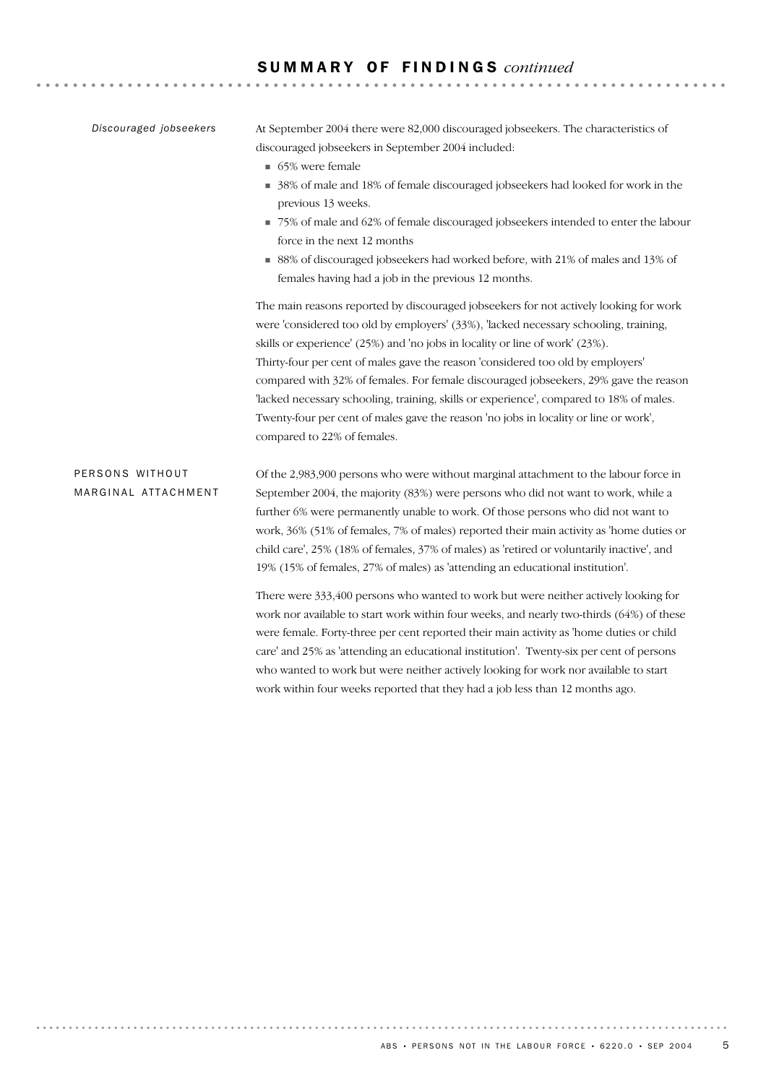### S U M M A R Y O F F I N D I N G S *continued*

. . . . . . . . . . . . . . .

 $\sim$   $\sim$ 

| Discouraged jobseekers                 | At September 2004 there were 82,000 discouraged jobseekers. The characteristics of<br>discouraged jobseekers in September 2004 included:<br>■ 65% were female<br>38% of male and 18% of female discouraged jobseekers had looked for work in the<br>previous 13 weeks.<br>75% of male and 62% of female discouraged jobseekers intended to enter the labour<br>force in the next 12 months<br>88% of discouraged jobseekers had worked before, with 21% of males and 13% of<br>females having had a job in the previous 12 months.<br>The main reasons reported by discouraged jobseekers for not actively looking for work<br>were 'considered too old by employers' (33%), 'lacked necessary schooling, training,<br>skills or experience' (25%) and 'no jobs in locality or line of work' (23%).<br>Thirty-four per cent of males gave the reason 'considered too old by employers'<br>compared with 32% of females. For female discouraged jobseekers, 29% gave the reason |
|----------------------------------------|--------------------------------------------------------------------------------------------------------------------------------------------------------------------------------------------------------------------------------------------------------------------------------------------------------------------------------------------------------------------------------------------------------------------------------------------------------------------------------------------------------------------------------------------------------------------------------------------------------------------------------------------------------------------------------------------------------------------------------------------------------------------------------------------------------------------------------------------------------------------------------------------------------------------------------------------------------------------------------|
|                                        | 'lacked necessary schooling, training, skills or experience', compared to 18% of males.                                                                                                                                                                                                                                                                                                                                                                                                                                                                                                                                                                                                                                                                                                                                                                                                                                                                                        |
|                                        | Twenty-four per cent of males gave the reason 'no jobs in locality or line or work',<br>compared to 22% of females.                                                                                                                                                                                                                                                                                                                                                                                                                                                                                                                                                                                                                                                                                                                                                                                                                                                            |
| PERSONS WITHOUT<br>MARGINAL ATTACHMENT | Of the 2,983,900 persons who were without marginal attachment to the labour force in<br>September 2004, the majority (83%) were persons who did not want to work, while a<br>further 6% were permanently unable to work. Of those persons who did not want to<br>work, 36% (51% of females, 7% of males) reported their main activity as 'home duties or<br>child care', 25% (18% of females, 37% of males) as 'retired or voluntarily inactive', and<br>19% (15% of females, 27% of males) as 'attending an educational institution'.                                                                                                                                                                                                                                                                                                                                                                                                                                         |
|                                        | There were 333,400 persons who wanted to work but were neither actively looking for<br>work nor available to start work within four weeks, and nearly two-thirds (64%) of these<br>were female. Forty-three per cent reported their main activity as 'home duties or child<br>care' and 25% as 'attending an educational institution'. Twenty-six per cent of persons<br>who wanted to work but were neither actively looking for work nor available to start                                                                                                                                                                                                                                                                                                                                                                                                                                                                                                                  |

work within four weeks reported that they had a job less than 12 months ago.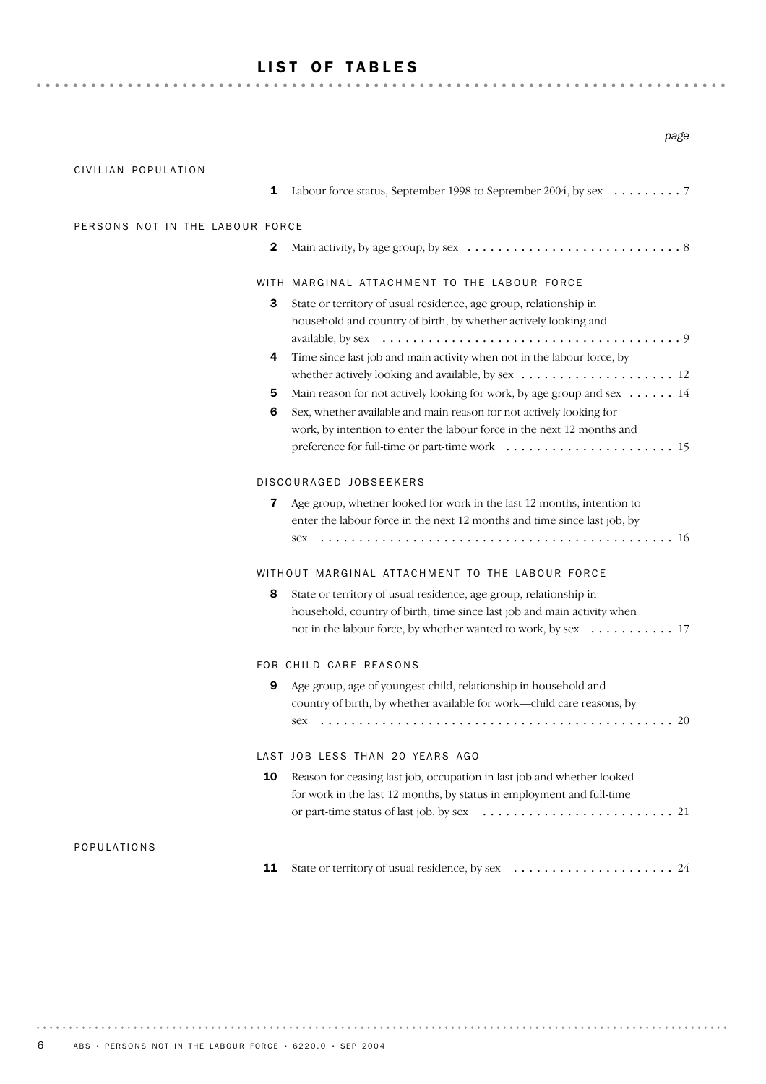### LIST OF TABLES

| CIVILIAN POPULATION             |                                                                                                                                               |
|---------------------------------|-----------------------------------------------------------------------------------------------------------------------------------------------|
| 1                               | Labour force status, September 1998 to September 2004, by sex 7                                                                               |
| PERSONS NOT IN THE LABOUR FORCE |                                                                                                                                               |
| 2                               |                                                                                                                                               |
|                                 | WITH MARGINAL ATTACHMENT TO THE LABOUR FORCE                                                                                                  |
| 3                               | State or territory of usual residence, age group, relationship in                                                                             |
|                                 | household and country of birth, by whether actively looking and                                                                               |
|                                 |                                                                                                                                               |
| 4                               | Time since last job and main activity when not in the labour force, by                                                                        |
|                                 | whether actively looking and available, by sex $\dots \dots \dots \dots \dots \dots \dots \dots \dots$                                        |
| 5                               | Main reason for not actively looking for work, by age group and sex  14                                                                       |
| 6                               | Sex, whether available and main reason for not actively looking for<br>work, by intention to enter the labour force in the next 12 months and |
|                                 |                                                                                                                                               |
|                                 |                                                                                                                                               |
|                                 | DISCOURAGED JOBSEEKERS                                                                                                                        |
| 7                               | Age group, whether looked for work in the last 12 months, intention to                                                                        |
|                                 | enter the labour force in the next 12 months and time since last job, by                                                                      |
|                                 |                                                                                                                                               |
|                                 | WITHOUT MARGINAL ATTACHMENT TO THE LABOUR FORCE                                                                                               |
| 8                               | State or territory of usual residence, age group, relationship in                                                                             |
|                                 | household, country of birth, time since last job and main activity when                                                                       |
|                                 | not in the labour force, by whether wanted to work, by sex 17                                                                                 |
|                                 | FOR CHILD CARE REASONS                                                                                                                        |
| 9                               | Age group, age of youngest child, relationship in household and                                                                               |
|                                 | country of birth, by whether available for work-child care reasons, by                                                                        |
|                                 |                                                                                                                                               |
|                                 | LAST JOB LESS THAN 20 YEARS AGO                                                                                                               |
| 10                              | Reason for ceasing last job, occupation in last job and whether looked                                                                        |
|                                 | for work in the last 12 months, by status in employment and full-time                                                                         |
|                                 |                                                                                                                                               |
| POPULATIONS                     |                                                                                                                                               |
| 11                              |                                                                                                                                               |
|                                 |                                                                                                                                               |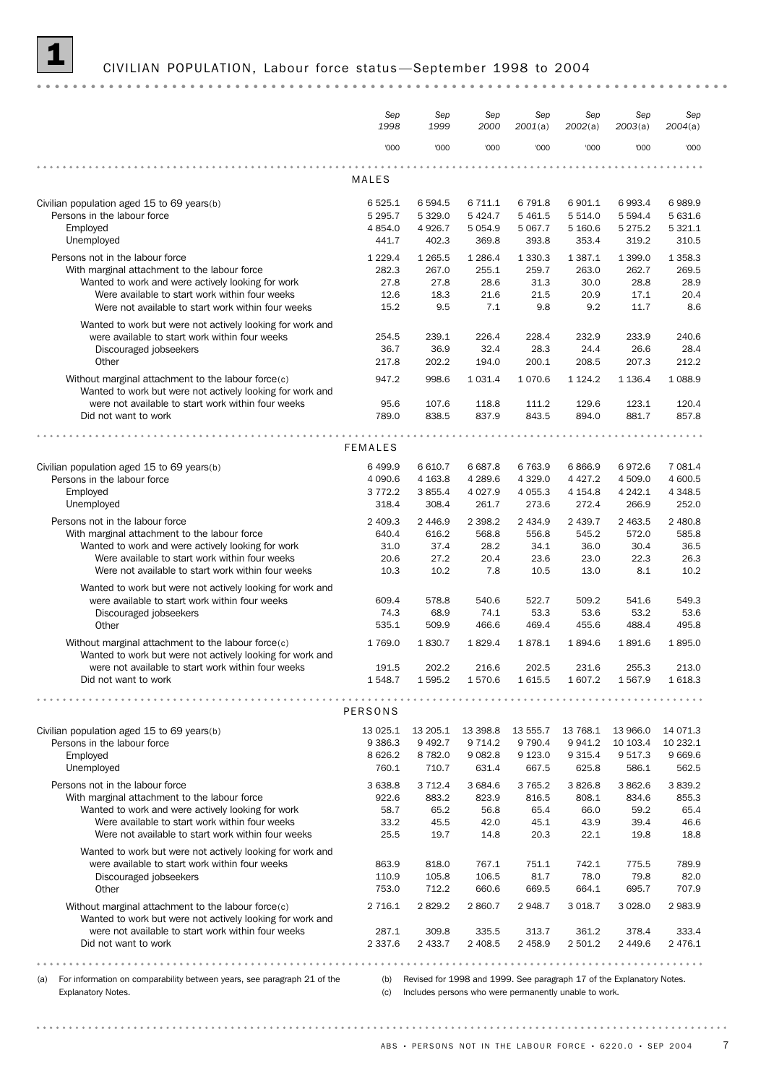# 1 CIVILIAN POPULATION, Labour force status —September 1998 to 2004

|                                                                                                                 | Sep<br>1998            | Sep<br>1999           | Sep<br>2000         | Sep<br>2001(a)      | Sep<br>2002(a)        | Sep<br>2003(a)    | Sep<br>2004(a)     |
|-----------------------------------------------------------------------------------------------------------------|------------------------|-----------------------|---------------------|---------------------|-----------------------|-------------------|--------------------|
|                                                                                                                 | '000                   | '000                  | '000                | '000                | '000                  | '000              | '000               |
|                                                                                                                 | <b>MALES</b>           |                       |                     |                     |                       |                   |                    |
| Civilian population aged 15 to 69 years(b)                                                                      | 6 5 2 5 . 1            | 6 5 9 4.5             | 6 711.1             | 6791.8              | 6 901.1               | 6 9 9 3.4         | 6989.9             |
| Persons in the labour force                                                                                     | 5 2 9 5.7              | 5 3 2 9.0             | 5 4 2 4 . 7         | 5 4 6 1.5           | 5 5 1 4 .0            | 5 5 9 4.4         | 5 631.6            |
| Emploved                                                                                                        | 4 8 5 4 .0             | 4926.7                | 5 0 5 4.9           | 5 0 6 7 . 7         | 5 160.6               | 5 2 7 5 . 2       | 5 3 2 1.1          |
| Unemployed                                                                                                      | 441.7                  | 402.3                 | 369.8               | 393.8               | 353.4                 | 319.2             | 310.5              |
| Persons not in the labour force                                                                                 | 1 2 2 9 . 4            | 1 2 6 5.5             | 1 2 8 6.4           | 1 3 3 0 . 3         | 1 3 8 7 . 1           | 1 399.0           | 1 3 5 8.3          |
| With marginal attachment to the labour force                                                                    | 282.3                  | 267.0                 | 255.1               | 259.7               | 263.0                 | 262.7             | 269.5              |
| Wanted to work and were actively looking for work                                                               | 27.8                   | 27.8                  | 28.6                | 31.3                | 30.0                  | 28.8              | 28.9               |
| Were available to start work within four weeks                                                                  | 12.6                   | 18.3                  | 21.6                | 21.5                | 20.9                  | 17.1              | 20.4               |
| Were not available to start work within four weeks                                                              | 15.2                   | 9.5                   | 7.1                 | 9.8                 | 9.2                   | 11.7              | 8.6                |
| Wanted to work but were not actively looking for work and                                                       |                        |                       |                     |                     |                       |                   |                    |
| were available to start work within four weeks                                                                  | 254.5                  | 239.1                 | 226.4               | 228.4               | 232.9                 | 233.9             | 240.6              |
| Discouraged jobseekers                                                                                          | 36.7                   | 36.9                  | 32.4                | 28.3                | 24.4                  | 26.6              | 28.4               |
| Other                                                                                                           | 217.8                  | 202.2                 | 194.0               | 200.1               | 208.5                 | 207.3             | 212.2              |
| Without marginal attachment to the labour force(c)<br>Wanted to work but were not actively looking for work and | 947.2                  | 998.6                 | 1 0 3 1 . 4         | 1070.6              | 1 1 2 4 . 2           | 1 1 36.4          | 1 0 8 8.9          |
| were not available to start work within four weeks                                                              | 95.6                   | 107.6                 | 118.8               | 111.2               | 129.6                 | 123.1             | 120.4              |
| Did not want to work                                                                                            | 789.0                  | 838.5                 | 837.9               | 843.5               | 894.0                 | 881.7             | 857.8              |
|                                                                                                                 | <b>FEMALES</b>         |                       |                     |                     |                       |                   |                    |
|                                                                                                                 |                        |                       |                     |                     |                       |                   |                    |
| Civilian population aged 15 to 69 years(b)<br>Persons in the labour force                                       | 6 4 9 9.9<br>4 0 9 0.6 | 6 6 10.7<br>4 1 6 3.8 | 6687.8<br>4 2 8 9.6 | 6763.9<br>4 3 2 9.0 | 6866.9<br>4 4 2 7 . 2 | 6972.6<br>4 509.0 | 7 081.4<br>4 600.5 |
| Employed                                                                                                        | 3 7 7 2.2              | 3855.4                | 4 0 27.9            | 4 0 5 5.3           | 4 1 5 4 .8            | 4 242.1           | 4 3 4 8.5          |
| Unemployed                                                                                                      | 318.4                  | 308.4                 | 261.7               | 273.6               | 272.4                 | 266.9             | 252.0              |
|                                                                                                                 |                        |                       |                     |                     |                       |                   |                    |
| Persons not in the labour force                                                                                 | 2 409.3                | 2 4 4 6.9             | 2 3 9 8.2           | 2 4 3 4 .9          | 2 4 3 9.7             | 2 4 6 3.5         | 2 480.8            |
| With marginal attachment to the labour force<br>Wanted to work and were actively looking for work               | 640.4<br>31.0          | 616.2<br>37.4         | 568.8<br>28.2       | 556.8<br>34.1       | 545.2                 | 572.0<br>30.4     | 585.8<br>36.5      |
| Were available to start work within four weeks                                                                  | 20.6                   | 27.2                  | 20.4                | 23.6                | 36.0<br>23.0          | 22.3              | 26.3               |
| Were not available to start work within four weeks                                                              | 10.3                   | 10.2                  | 7.8                 | 10.5                | 13.0                  | 8.1               | 10.2               |
| Wanted to work but were not actively looking for work and                                                       |                        |                       |                     |                     |                       |                   |                    |
| were available to start work within four weeks                                                                  | 609.4                  | 578.8                 | 540.6               | 522.7               | 509.2                 | 541.6             | 549.3              |
| Discouraged jobseekers                                                                                          | 74.3                   | 68.9                  | 74.1                | 53.3                | 53.6                  | 53.2              | 53.6               |
| Other                                                                                                           | 535.1                  | 509.9                 | 466.6               | 469.4               | 455.6                 | 488.4             | 495.8              |
| Without marginal attachment to the labour force(c)<br>Wanted to work but were not actively looking for work and | 1769.0                 | 1830.7                | 1829.4              | 1878.1              | 1894.6                | 1891.6            | 1895.0             |
| were not available to start work within four weeks<br>Did not want to work                                      | 191.5<br>1548.7        | 202.2<br>1595.2       | 216.6<br>1570.6     | 202.5<br>1615.5     | 231.6<br>1 607.2      | 255.3<br>1567.9   | 213.0<br>1618.3    |
| .                                                                                                               |                        |                       |                     |                     |                       |                   |                    |
|                                                                                                                 | PERSONS                |                       |                     |                     |                       |                   |                    |
| Civilian population aged 15 to 69 years(b)                                                                      | 13 025.1               | 13 205.1              | 13 398.8            | 13 555.7            | 13 768.1              | 13 966.0          | 14 071.3           |
| Persons in the labour force                                                                                     | 9 3 8 6.3              | 9 4 9 2.7             | 9 7 1 4.2           | 9 7 9 0.4           | 9 9 4 1.2             | 10 103.4          | 10 232.1           |
| Employed                                                                                                        | 8 6 2 6.2              | 8782.0                | 9 0 8 2.8           | 9 1 23.0            | 9 3 1 5.4             | 9 5 1 7 . 3       | 9 6 6 9.6          |
| Unemployed                                                                                                      | 760.1                  | 710.7                 | 631.4               | 667.5               | 625.8                 | 586.1             | 562.5              |
| Persons not in the labour force                                                                                 | 3 638.8                | 3 7 1 2.4             | 3 684.6             | 3 7 6 5.2           | 3826.8                | 3862.6            | 3839.2             |
| With marginal attachment to the labour force                                                                    | 922.6                  | 883.2                 | 823.9               | 816.5               | 808.1                 | 834.6             | 855.3              |
| Wanted to work and were actively looking for work                                                               | 58.7                   | 65.2                  | 56.8                | 65.4                | 66.0                  | 59.2              | 65.4               |
| Were available to start work within four weeks                                                                  | 33.2                   | 45.5                  | 42.0                | 45.1                | 43.9                  | 39.4              | 46.6               |
| Were not available to start work within four weeks                                                              | 25.5                   | 19.7                  | 14.8                | 20.3                | 22.1                  | 19.8              | 18.8               |
| Wanted to work but were not actively looking for work and                                                       |                        |                       |                     |                     |                       |                   |                    |
| were available to start work within four weeks                                                                  | 863.9                  | 818.0                 | 767.1               | 751.1               | 742.1                 | 775.5             | 789.9              |
| Discouraged jobseekers                                                                                          | 110.9                  | 105.8                 | 106.5               | 81.7                | 78.0                  | 79.8              | 82.0               |
| Other                                                                                                           | 753.0                  | 712.2                 | 660.6               | 669.5               | 664.1                 | 695.7             | 707.9              |
| Without marginal attachment to the labour force(c)<br>Wanted to work but were not actively looking for work and | 2 7 1 6.1              | 2829.2                | 2860.7              | 2948.7              | 3 0 18.7              | 3 0 28.0          | 2983.9             |
| were not available to start work within four weeks                                                              | 287.1                  | 309.8                 | 335.5               | 313.7               | 361.2                 | 378.4             | 333.4              |
| Did not want to work                                                                                            | 2 3 3 7 . 6            | 2 433.7               | 2 408.5             | 2 4 5 8.9           | 2 501.2               | 2 4 4 9.6         | 2 4 7 6.1          |
|                                                                                                                 |                        |                       |                     |                     |                       |                   |                    |

(a) For information on comparability between years, see paragraph 21 of the Explanatory Notes.

(b) Revised for 1998 and 1999. See paragraph 17 of the Explanatory Notes.

(c) Includes persons who were permanently unable to work.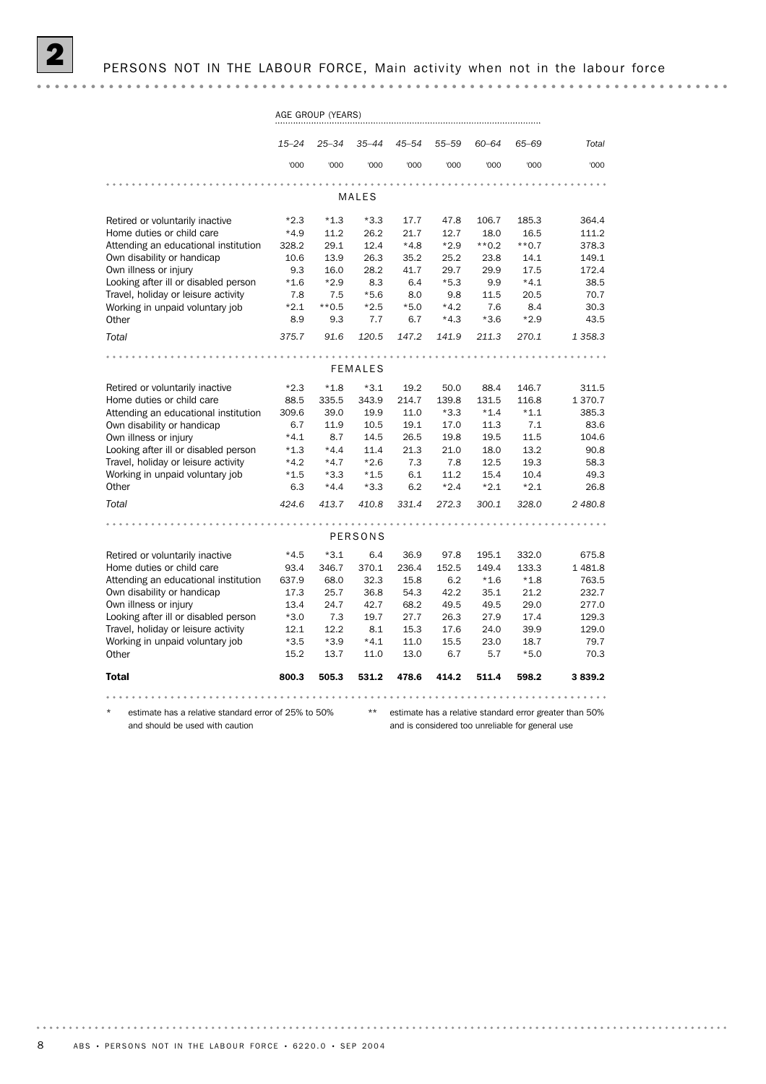| AGE GROUP (YEARS)                                    |           |           |           |           |           |           |         |                                                         |
|------------------------------------------------------|-----------|-----------|-----------|-----------|-----------|-----------|---------|---------------------------------------------------------|
|                                                      | $15 - 24$ | $25 - 34$ | $35 - 44$ | $45 - 54$ | $55 - 59$ | $60 - 64$ | 65-69   | Total                                                   |
|                                                      | '000      | '000      | '000      | '000      | '000      | '000      | '000    | '000                                                    |
|                                                      |           |           |           |           |           |           |         |                                                         |
|                                                      |           |           | MALES     |           |           |           |         |                                                         |
| Retired or voluntarily inactive                      | $*2.3$    | $*1.3$    | $*3.3$    | 17.7      | 47.8      | 106.7     | 185.3   | 364.4                                                   |
| Home duties or child care                            | $*4.9$    | 11.2      | 26.2      | 21.7      | 12.7      | 18.0      | 16.5    | 111.2                                                   |
| Attending an educational institution                 | 328.2     | 29.1      | 12.4      | $*4.8$    | $*2.9$    | $**0.2$   | $**0.7$ | 378.3                                                   |
| Own disability or handicap                           | 10.6      | 13.9      | 26.3      | 35.2      | 25.2      | 23.8      | 14.1    | 149.1                                                   |
| Own illness or injury                                | 9.3       | 16.0      | 28.2      | 41.7      | 29.7      | 29.9      | 17.5    | 172.4                                                   |
| Looking after ill or disabled person                 | $*1.6$    | $*2.9$    | 8.3       | 6.4       | $*5.3$    | 9.9       | $*4.1$  | 38.5                                                    |
| Travel, holiday or leisure activity                  | 7.8       | 7.5       | $*5.6$    | 8.0       | 9.8       | 11.5      | 20.5    | 70.7                                                    |
| Working in unpaid voluntary job                      | $*2.1$    | $**0.5$   | $*2.5$    | $*5.0$    | $*4.2$    | 7.6       | 8.4     | 30.3                                                    |
| Other                                                | 8.9       | 9.3       | 7.7       | 6.7       | $*4.3$    | $*3.6$    | $*2.9$  | 43.5                                                    |
| Total                                                | 375.7     | 91.6      | 120.5     | 147.2     | 141.9     | 211.3     | 270.1   | 1 3 5 8.3                                               |
|                                                      |           |           |           |           |           |           |         |                                                         |
|                                                      |           |           | FEMALES   |           |           |           |         |                                                         |
| Retired or voluntarily inactive                      | $*2.3$    | $*1.8$    | $*3.1$    | 19.2      | 50.0      | 88.4      | 146.7   | 311.5                                                   |
| Home duties or child care                            | 88.5      | 335.5     | 343.9     | 214.7     | 139.8     | 131.5     | 116.8   | 1370.7                                                  |
| Attending an educational institution                 | 309.6     | 39.0      | 19.9      | 11.0      | $*3.3$    | $*1.4$    | $*1.1$  | 385.3                                                   |
| Own disability or handicap                           | 6.7       | 11.9      | 10.5      | 19.1      | 17.0      | 11.3      | 7.1     | 83.6                                                    |
| Own illness or injury                                | $*4.1$    | 8.7       | 14.5      | 26.5      | 19.8      | 19.5      | 11.5    | 104.6                                                   |
| Looking after ill or disabled person                 | $*1.3$    | $*4.4$    | 11.4      | 21.3      | 21.0      | 18.0      | 13.2    | 90.8                                                    |
| Travel, holiday or leisure activity                  | $*4.2$    | $*4.7$    | $*2.6$    | 7.3       | 7.8       | 12.5      | 19.3    | 58.3                                                    |
| Working in unpaid voluntary job                      | $*1.5$    | $*3.3$    | $*1.5$    | 6.1       | 11.2      | 15.4      | 10.4    | 49.3                                                    |
| Other                                                | 6.3       | $*4.4$    | $*3.3$    | 6.2       | $*2.4$    | $*2.1$    | $*2.1$  | 26.8                                                    |
| Total                                                | 424.6     | 413.7     | 410.8     | 331.4     | 272.3     | 300.1     | 328.0   | 2 480.8                                                 |
|                                                      |           |           |           |           |           |           |         |                                                         |
|                                                      |           |           | PERSONS   |           |           |           |         |                                                         |
| Retired or voluntarily inactive                      | $*4.5$    | $*3.1$    | 6.4       | 36.9      | 97.8      | 195.1     | 332.0   | 675.8                                                   |
| Home duties or child care                            | 93.4      | 346.7     | 370.1     | 236.4     | 152.5     | 149.4     | 133.3   | 1481.8                                                  |
| Attending an educational institution                 | 637.9     | 68.0      | 32.3      | 15.8      | 6.2       | $*1.6$    | $*1.8$  | 763.5                                                   |
| Own disability or handicap                           | 17.3      | 25.7      | 36.8      | 54.3      | 42.2      | 35.1      | 21.2    | 232.7                                                   |
| Own illness or injury                                | 13.4      | 24.7      | 42.7      | 68.2      | 49.5      | 49.5      | 29.0    | 277.0                                                   |
| Looking after ill or disabled person                 | $*3.0$    | 7.3       | 19.7      | 27.7      | 26.3      | 27.9      | 17.4    | 129.3                                                   |
| Travel, holiday or leisure activity                  | 12.1      | 12.2      | 8.1       | 15.3      | 17.6      | 24.0      | 39.9    | 129.0                                                   |
| Working in unpaid voluntary job                      | $*3.5$    | $*3.9$    | $*4.1$    | 11.0      | 15.5      | 23.0      | 18.7    | 79.7                                                    |
| Other                                                | 15.2      | 13.7      | 11.0      | 13.0      | 6.7       | 5.7       | $*5.0$  | 70.3                                                    |
| <b>Total</b>                                         | 800.3     | 505.3     | 531.2     | 478.6     | 414.2     | 511.4     | 598.2   | 3839.2                                                  |
|                                                      |           |           |           |           |           |           |         |                                                         |
| estimate has a relative standard error of 25% to 50% |           |           | **        |           |           |           |         | estimate has a relative standard error greater than 50% |

and should be used with caution

\*\* estimate has a relative standard error greater than 50% and is considered too unreliable for general use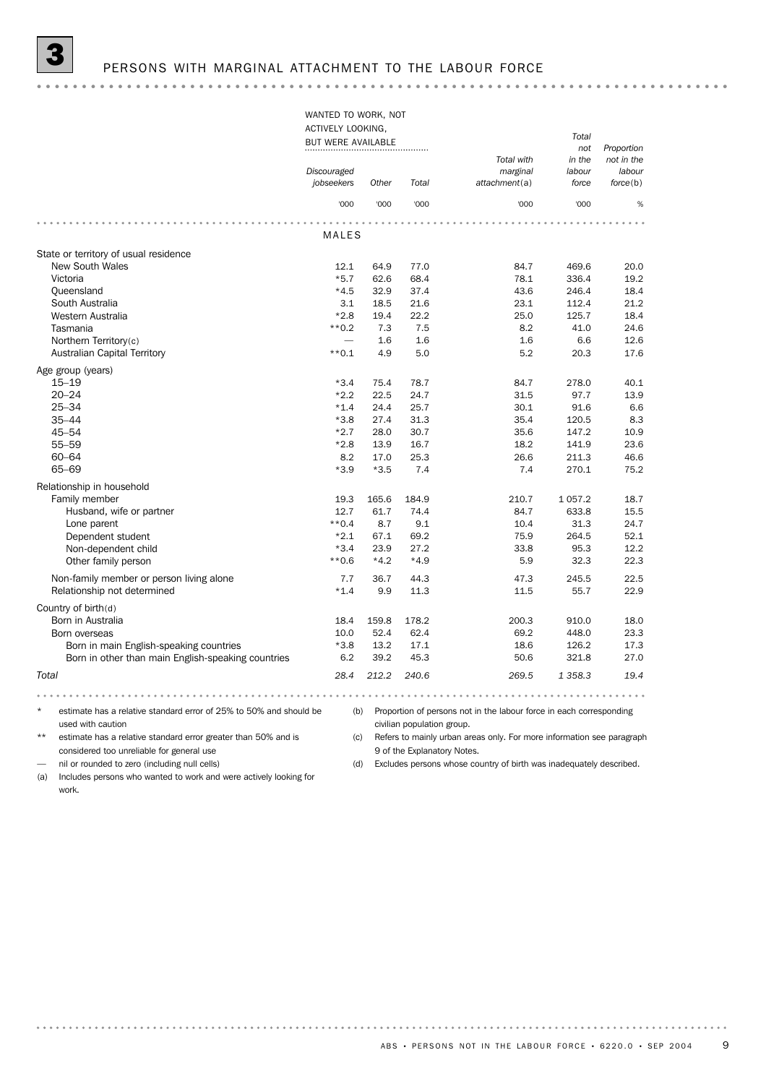### PERSONS WITH MARGINAL ATTACHMENT TO THE LABOUR FORCE

### WANTED TO WORK, NOT ACTIVELY LOOKING, *Total* BUT WERE AVAILABLE *not Proportion Total with in the not in the Discouraged marginal labour labour jobseekers Other Total attachment*(a) *force force*(b) '000 '000 '000 '000 '000 % MALES State or territory of usual residence New South Wales 12.1 64.9 77.0 84.7 469.6 20.0<br>Victoria 19.2 12.1 64.9 77.0 84.7 469.6 20.0 Victoria \*5.7 62.6 68.4 78.1 336.4 19.2 Queensland \*4.5 32.9 37.4 43.6 246.4 18.4 South Australia 3.1 18.5 21.6 23.1 112.4 21.2 Western Australia 18.4 19.4 19.4 22.2 25.0 125.7 18.4 Tasmania \*\*0.2 7.3 7.5 8.2 41.0 24.6 Northern Territory(c) — 1.6 1.6 1.6 6.6 12.6 Australian Capital Territory **17.6 17.6 17.6 17.6 17.6 17.6 17.6 17.6 17.6 17.6 17.6 17.6 17.6 17.6 17.6 17.6 17.6 17.6 17.6 17.6 17.6 17.6 17.6 17.6 17.6 17.6 17.6 17.** Age group (years) 15–19 \*3.4 75.4 78.7 84.7 278.0 40.1 20–24 \*2.2 22.5 24.7 31.5 97.7 13.9 25–34 \*1.4 24.4 25.7 30.1 91.6 6.6 35–44 \*3.8 27.4 31.3 35.4 120.5 8.3 45–54 \*2.7 28.0 30.7 35.6 147.2 10.9 55–59 \*2.8 13.9 16.7 18.2 141.9 23.6 60–64 8.2 17.0 25.3 26.6 211.3 46.6 65–69 \*3.9 \*3.5 7.4 7.4 270.1 75.2 Relationship in household Family member 19.3 165.6 184.9 210.7 1 057.2 18.7 Husband, wife or partner 12.7 61.7 74.4 84.7 633.8 15.5 Lone parent \*\*0.4 8.7 9.1 10.4 31.3 24.7 Dependent student \*2.1 67.1 69.2 75.9 264.5 52.1 Non-dependent child **12.2 12.2 12.2 12.2 12.2 12.2 12.2 12.2 12.2 12.2 12.2 12.2 12.2 12.2 12.2 12.2 12.2 12.2 12.2 12.2 12.2 12.2 12.2 12.2 12.2 12.2 12.2 12.2 12.2** Other family person **by the contract of the CO** the term of the term of the term of the term of the term of the term of the term of the term of the term of the term of the term of term of the term of term of the term of te Non-family member or person living alone 7.7 36.7 44.3 47.3 245.5 22.5 Relationship not determined  $*1.4$  9.9 11.3 11.5 55.7 22.9 Country of birth(d) Born in Australia 18.4 159.8 178.2 159.8 178.2 200.3 910.0 18.0<br>Born overseas 10.0 52.4 62.4 62.4 69.2 448.0 23.3 Born overseas 10.0 52.4 62.4 69.2 448.0 23.3 Born in main English-speaking countries \*3.8 13.2 17.1 18.6 126.2 17.3 Born in other than main English-speaking countries 6.2 39.2 45.3 50.6 321.8 27.0 *Total 28.4 212.2 240.6 269.5 1 358.3 19.4* estimate has a relative standard error of 25% to 50% and should be (b) Proportion of persons not in the labour force in each corresponding used with caution civilian population group. \*\* estimate has a relative standard error greater than 50% and is (c) Refers to mainly urban areas only. For more information see paragraph considered too unreliable for general use 9 of the Explanatory Notes. — nil or rounded to zero (including null cells) (d) Excludes persons whose country of birth was inadequately described.

(a) Includes persons who wanted to work and were actively looking for work.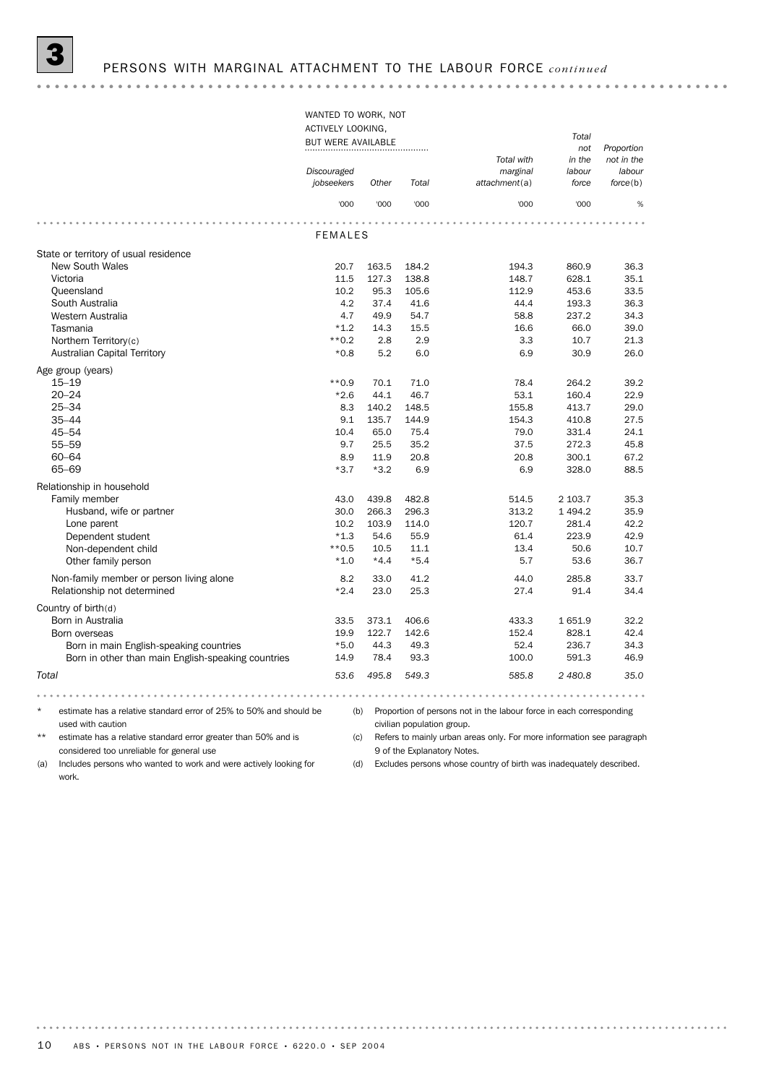### 3 PERSONS WITH MARGINAL ATTACHMENT TO THE LABOUR FORCE *continued*

### WANTED TO WORK, NOT ACTIVELY LOOKING, *Total* BUT WERE AVAILABLE *not Proportion Total with in the not in the Discouraged marginal labour labour jobseekers Other Total attachment*(a) *force force*(b) '000 '000 '000 '000 '000 % FEMALES State or territory of usual residence New South Wales 20.7 163.5 184.2 194.3 860.9 36.3 Victoria 11.5 127.3 138.8 148.7 628.1 35.1 Queensland 10.2 95.3 105.6 112.9 453.6 33.5 South Australia 4.2 37.4 41.6 44.4 193.3 36.3 Western Australia 4.7 49.9 54.7 58.8 237.2 34.3 Tasmania \*1.2 14.3 15.5 16.6 66.0 39.0 Northern Territory(c) **1.1.3 10.7** 1.3 **1.3** 1.3 **1.3** 1.3 **1.3** 1.3 **1.3** 1.3 **1.3** 1.3 Australian Capital Territory \*0.8 5.2 6.0 6.9 30.9 26.0 Age group (years) 15–19 \*\*0.9 70.1 71.0 78.4 264.2 39.2 20–24 \*2.6 44.1 46.7 53.1 160.4 22.9 25–34 8.3 140.2 148.5 155.8 413.7 29.0 35–44 9.1 135.7 144.9 154.3 410.8 27.5 45–54 10.4 65.0 75.4 79.0 331.4 24.1 55–59 9.7 25.5 35.2 37.5 272.3 45.8 60–64 8.9 11.9 20.8 20.8 300.1 67.2 65–69 \*3.7 \*3.2 6.9 6.9 328.0 88.5 Relationship in household Family member **13.1 and 13.2 103.7** 43.0 439.8 482.8 514.5 2 103.7 35.3 Husband, wife or partner 30.0 266.3 296.3 313.2 1 494.2 35.9 Lone parent 10.2 103.9 114.0 120.7 281.4 42.2 Dependent student \*1.3 54.6 55.9 61.4 223.9 42.9 Non-dependent child  $*$  0.5 10.5 11.1 13.4 50.6 10.7 Other family person **being the contract of the contract of the contract of the contract of the contract of the contract of the contract of the contract of the contract of the contract of the contract of the contract of the** Non-family member or person living alone 1990 100 and 100 and 100 and 200 and 285.8 43.7 Relationship not determined  $*2.4$  23.0 25.3 27.4 91.4 34.4 Country of birth(d) Born in Australia 2012 10:30 10:31 122.7 1406.6 433.3 1651.9 32.2 Born overseas 19.9 122.7 142.6 152.4 828.1 42.4 Born in main English-speaking countries \*5.0 44.3 49.3 52.4 236.7 34.3 Born in other than main English-speaking countries  $14.9$   $78.4$  93.3 100.0 591.3 46.9 *Total 53.6 495.8 549.3 585.8 2 480.8 35.0* estimate has a relative standard error of 25% to 50% and should be (b) Proportion of persons not in the labour force in each corresponding used with caution civilian population group. \*\* estimate has a relative standard error greater than 50% and is (c) Refers to mainly urban areas only. For more information see paragraph considered too unreliable for general use 9 of the Explanatory Notes. (a) Includes persons who wanted to work and were actively looking for

work.

(d) Excludes persons whose country of birth was inadequately described.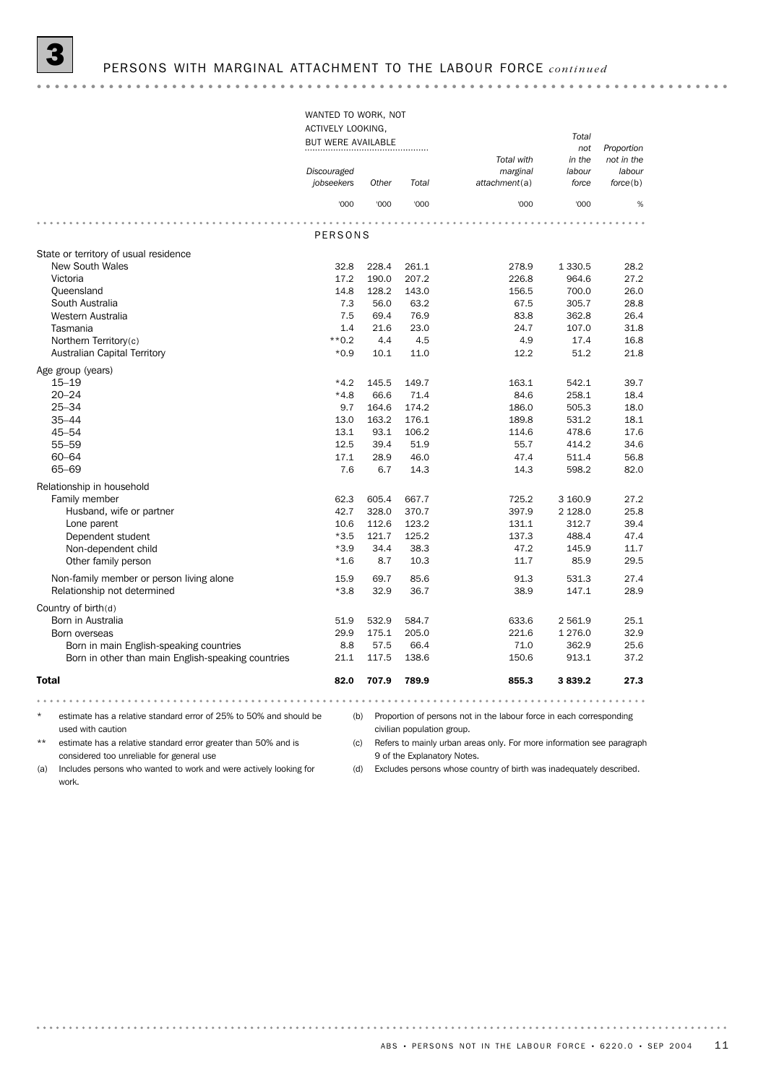### 3 PERSONS WITH MARGINAL ATTACHMENT TO THE LABOUR FORCE *continued*

### WANTED TO WORK, NOT ACTIVELY LOOKING, *Total* BUT WERE AVAILABLE *Proportion not Total with in the not in the Discouraged marginal labour labour jobseekers Other Total attachment*(a) *force force*(b) '000 '000 '000 '000 '000 % PERSONS State or territory of usual residence Victoria 17.2 190.0 207.2 226.8 964.6 27.2 New South Wales 32.8 228.4 261.1 278.9 1 330.5 28.2 Queensland 26.0 South Australia 7.3 56.0 63.2 67.5 305.7 28.8 Western Australia 7.5 69.4 76.9 83.8 362.8 26.4 Tasmania 1.4 21.6 23.0 24.7 107.0 31.8 Northern Territory(c)  $**0.2$  4.4 4.5 4.9 17.4 16.8 Australian Capital Territory **12.2** 1.8 australian Capital Territory **12.2** 1.8 Age group (years) 15–19 \*4.2 145.5 149.7 163.1 542.1 39.7  $20-24$  200-24 **18.4 18.4 18.4 18.4 18.4 18.4 18.4 18.4 18.4 18.4** 25–34 9.7 164.6 174.2 186.0 505.3 18.0 35–44 13.0 163.2 176.1 189.8 531.2 18.1 45–54 13.1 93.1 106.2 114.6 478.6 17.6 55–59 12.5 39.4 51.9 55.7 414.2 34.6 60–64 17.1 28.9 46.0 47.4 511.4 56.8 65–69 7.6 6.7 14.3 14.3 598.2 82.0 Relationship in household Family member **62.3** 605.4 667.7 725.2 3 160.9 27.2 Husband, wife or partner 42.7 328.0 370.7 397.9 2 128.0 25.8 Lone parent 10.6 112.6 123.2 131.1 312.7 39.4 Dependent student \*3.5 121.7 125.2 137.3 488.4 47.4 Non-dependent child **10.6 and 12.6 and 13.9 and 13.9 and 13.3** 47.2 145.9 11.7 Other family person **being the contract of the CO** and the term of the term of the term of the term of the term of term of the term of term of the term of term of the term of term of term of term of term of term of term of Non-family member or person living alone 15.9 69.7 85.6 91.3 531.3 27.4 Relationship not determined  $*3.8$  32.9 36.7 38.9 147.1 28.9 Country of birth(d) Born in Australia 51.9 532.9 584.7 633.6 2 561.9 25.1 Born overseas 29.9 175.1 205.0 221.6 1 276.0 32.9 Born in main English-speaking countries 8.8 57.5 66.4 71.0 362.9 25.6 Born in other than main English-speaking countries 21.1 117.5 138.6 150.6 913.1 37.2 Total 82.0 707.9 789.9 855.3 3 839.2 27.3 estimate has a relative standard error of 25% to 50% and should be (b) Proportion of persons not in the labour force in each corresponding used with caution civilian population group. estimate has a relative standard error greater than 50% and is (c) Refers to mainly urban areas only. For more information see paragraph considered too unreliable for general use 9 of the Explanatory Notes. (d) Excludes persons whose country of birth was inadequately described.

(a) Includes persons who wanted to work and were actively looking for work.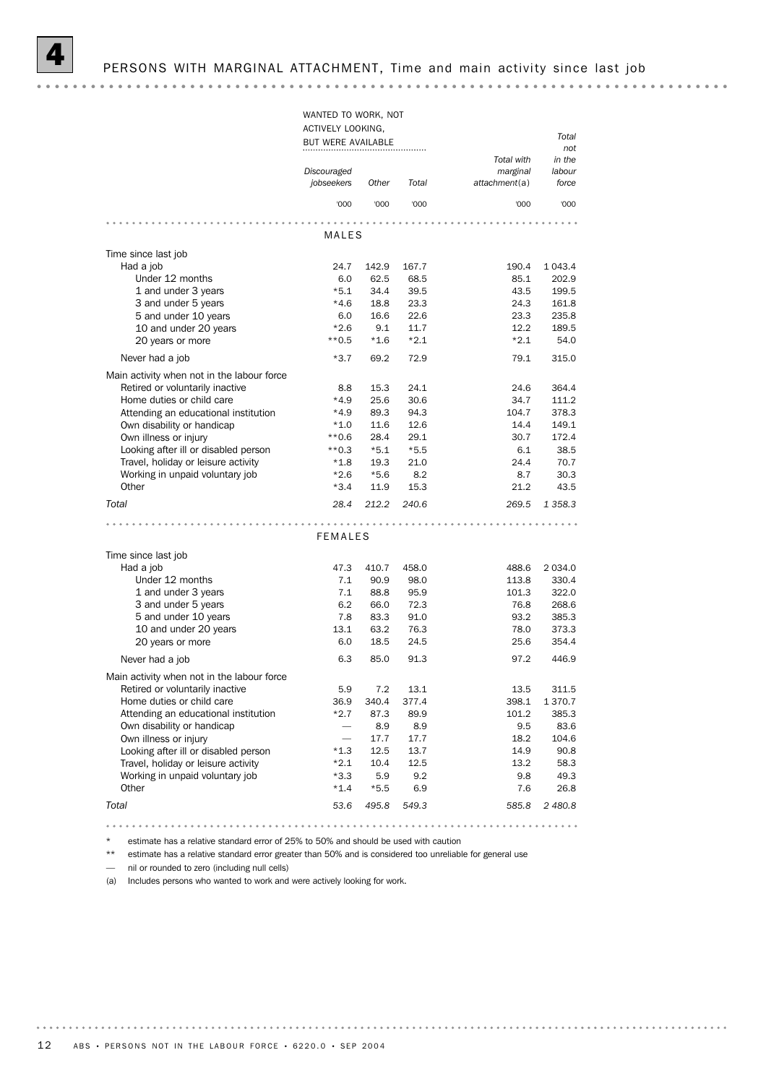### PERSONS WITH MARGINAL ATTACHMENT, Time and main activity since last job

|                                            | WANTED TO WORK, NOT       |        |        |                           |                 |
|--------------------------------------------|---------------------------|--------|--------|---------------------------|-----------------|
|                                            | ACTIVELY LOOKING,         |        |        |                           |                 |
|                                            | BUT WERE AVAILABLE        |        |        |                           | Total           |
|                                            |                           |        |        |                           | not             |
|                                            |                           |        |        | Total with                | in the          |
|                                            | Discouraged<br>jobseekers | Other  | Total  | marginal<br>attachment(a) | labour<br>force |
|                                            | '000                      | '000   | '000   | '000                      | '000            |
|                                            |                           |        |        |                           |                 |
|                                            | MALES                     |        |        |                           |                 |
|                                            |                           |        |        |                           |                 |
| Time since last job                        |                           |        |        |                           |                 |
| Had a job                                  | 24.7                      | 142.9  | 167.7  | 190.4                     | 1 043.4         |
| Under 12 months                            | 6.0                       | 62.5   | 68.5   | 85.1                      | 202.9           |
| 1 and under 3 years                        | $*5.1$                    | 34.4   | 39.5   | 43.5                      | 199.5           |
| 3 and under 5 years                        | *4.6                      | 18.8   | 23.3   | 24.3                      | 161.8           |
| 5 and under 10 years                       | 6.0                       | 16.6   | 22.6   | 23.3                      | 235.8           |
| 10 and under 20 years                      | $*2.6$                    | 9.1    | 11.7   | 12.2                      | 189.5           |
| 20 years or more                           | $*$ *0.5                  | $*1.6$ | $*2.1$ | $*2.1$                    | 54.0            |
| Never had a job                            | *3.7                      | 69.2   | 72.9   | 79.1                      | 315.0           |
| Main activity when not in the labour force |                           |        |        |                           |                 |
| Retired or voluntarily inactive            | 8.8                       | 15.3   | 24.1   | 24.6                      | 364.4           |
| Home duties or child care                  | $*4.9$                    | 25.6   | 30.6   | 34.7                      | 111.2           |
| Attending an educational institution       | $*4.9$                    | 89.3   | 94.3   | 104.7                     | 378.3           |
| Own disability or handicap                 | $*1.0$                    | 11.6   | 12.6   | 14.4                      | 149.1           |
| Own illness or injury                      | **0.6                     | 28.4   | 29.1   | 30.7                      | 172.4           |
| Looking after ill or disabled person       | $**0.3$                   | $*5.1$ | $*5.5$ | 6.1                       | 38.5            |
| Travel, holiday or leisure activity        | $*1.8$                    | 19.3   | 21.0   | 24.4                      | 70.7            |
| Working in unpaid voluntary job            | $*2.6$                    | $*5.6$ | 8.2    | 8.7                       | 30.3            |
| Other                                      | $*3.4$                    | 11.9   | 15.3   | 21.2                      | 43.5            |
|                                            |                           |        |        |                           |                 |
| Total                                      | 28.4                      | 212.2  | 240.6  | 269.5                     | 1 3 5 8.3       |
|                                            | <b>FEMALES</b>            |        |        |                           |                 |
|                                            |                           |        |        |                           |                 |
| Time since last job                        |                           |        |        |                           |                 |
| Had a job                                  | 47.3                      | 410.7  | 458.0  | 488.6                     | 2 0 3 4 .0      |
| Under 12 months                            | 7.1                       | 90.9   | 98.0   | 113.8                     | 330.4           |
| 1 and under 3 years                        | 7.1                       | 88.8   | 95.9   | 101.3                     | 322.0           |
| 3 and under 5 years                        | 6.2                       | 66.0   | 72.3   | 76.8                      | 268.6           |
| 5 and under 10 years                       | 7.8                       | 83.3   | 91.0   | 93.2                      | 385.3           |
| 10 and under 20 years                      | 13.1                      | 63.2   | 76.3   | 78.0                      | 373.3           |
| 20 years or more                           | 6.0                       | 18.5   | 24.5   | 25.6                      | 354.4           |
| Never had a job                            | 6.3                       | 85.0   | 91.3   | 97.2                      | 446.9           |
| Main activity when not in the labour force |                           |        |        |                           |                 |
| Retired or voluntarily inactive            | 5.9                       | 7.2    | 13.1   | 13.5                      | 311.5           |
| Home duties or child care                  | 36.9                      | 340.4  | 377.4  | 398.1                     | 1 370.7         |
| Attending an educational institution       | *2.7                      | 87.3   | 89.9   | 101.2                     | 385.3           |
| Own disability or handicap                 |                           | 8.9    | 8.9    | 9.5                       | 83.6            |
| Own illness or injury                      | $\overline{\phantom{m}}$  | 17.7   | 17.7   | 18.2                      | 104.6           |
| Looking after ill or disabled person       | *1.3                      | 12.5   | 13.7   | 14.9                      | 90.8            |
| Travel, holiday or leisure activity        | $*2.1$                    | 10.4   | 12.5   | 13.2                      | 58.3            |
| Working in unpaid voluntary job            | *3.3                      | 5.9    | 9.2    | 9.8                       | 49.3            |
| Other                                      | $*1.4$                    | $*5.5$ | 6.9    | 7.6                       | 26.8            |
|                                            |                           |        |        |                           |                 |
| Total                                      | 53.6                      | 495.8  | 549.3  | 585.8                     | 2 480.8         |
|                                            |                           |        |        |                           |                 |

\* estimate has a relative standard error of 25% to 50% and should be used with caution

\*\* estimate has a relative standard error greater than 50% and is considered too unreliable for general use

— nil or rounded to zero (including null cells)

(a) Includes persons who wanted to work and were actively looking for work.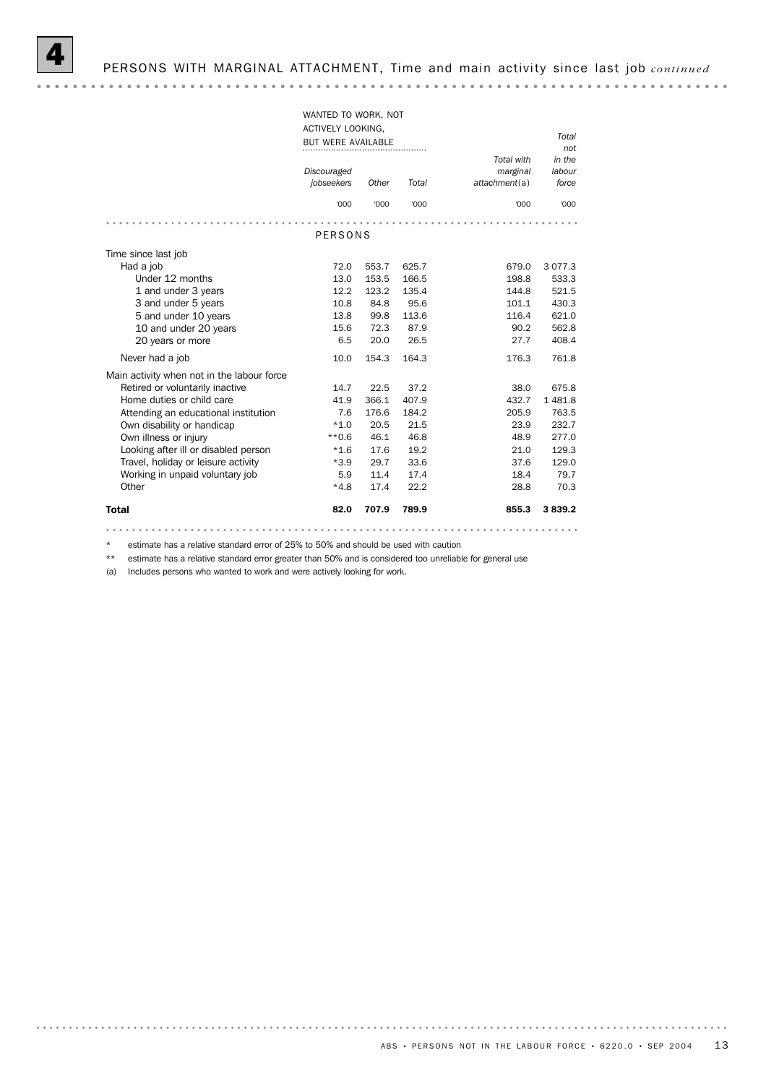### 4 PERSONS WITH MARGINAL ATTACHMENT, Time and main activity since last job *continued*

| WANTED TO WORK, NOT                        |                           |       |       |               |               |  |  |
|--------------------------------------------|---------------------------|-------|-------|---------------|---------------|--|--|
|                                            |                           | Total |       |               |               |  |  |
|                                            | <b>BUT WERE AVAILABLE</b> |       |       |               |               |  |  |
|                                            |                           |       |       | Total with    | not<br>in the |  |  |
|                                            | Discouraged               |       |       | marginal      | labour        |  |  |
|                                            | jobseekers                | Other | Total | attachment(a) | force         |  |  |
|                                            |                           |       |       |               |               |  |  |
|                                            | '000                      | '000  | '000  | '000          | '000          |  |  |
|                                            |                           |       |       |               |               |  |  |
|                                            | PERSONS                   |       |       |               |               |  |  |
| Time since last job                        |                           |       |       |               |               |  |  |
| Had a job                                  | 72.0                      | 553.7 | 625.7 | 679.0         | 3 0 7 7 . 3   |  |  |
| Under 12 months                            | 13.0                      | 153.5 | 166.5 | 198.8         | 533.3         |  |  |
| 1 and under 3 years                        | 12.2                      | 123.2 | 135.4 | 144.8         | 521.5         |  |  |
| 3 and under 5 years                        | 10.8                      | 84.8  | 95.6  | 101.1         | 430.3         |  |  |
| 5 and under 10 years                       | 13.8                      | 99.8  | 113.6 | 116.4         | 621.0         |  |  |
| 10 and under 20 years                      | 15.6                      | 72.3  | 87.9  | 90.2          | 562.8         |  |  |
| 20 years or more                           | 6.5                       | 20.0  | 26.5  | 27.7          | 408.4         |  |  |
| Never had a job                            | 10.0                      | 154.3 | 164.3 | 176.3         | 761.8         |  |  |
| Main activity when not in the labour force |                           |       |       |               |               |  |  |
| Retired or voluntarily inactive            | 14.7                      | 22.5  | 37.2  | 38.0          | 675.8         |  |  |
| Home duties or child care                  | 41.9                      | 366.1 | 407.9 | 432.7         | 1 4 8 1.8     |  |  |
| Attending an educational institution       | 7.6                       | 176.6 | 184.2 | 205.9         | 763.5         |  |  |
| Own disability or handicap                 | $*1.0$                    | 20.5  | 21.5  | 23.9          | 232.7         |  |  |
| Own illness or injury                      | $**0.6$                   | 46.1  | 46.8  | 48.9          | 277.0         |  |  |
| Looking after ill or disabled person       | $*1.6$                    | 17.6  | 19.2  | 21.0          | 129.3         |  |  |
| Travel, holiday or leisure activity        | $*3.9$                    | 29.7  | 33.6  | 37.6          | 129.0         |  |  |
| Working in unpaid voluntary job            | 5.9                       | 11.4  | 17.4  | 18.4          | 79.7          |  |  |
| Other                                      | $*4.8$                    | 17.4  | 22.2  | 28.8          | 70.3          |  |  |
| <b>Total</b>                               | 82.0                      | 707.9 | 789.9 | 855.3         | 3839.2        |  |  |

\* estimate has a relative standard error of 25% to 50% and should be used with caution

\*\* estimate has a relative standard error greater than 50% and is considered too unreliable for general use

(a) Includes persons who wanted to work and were actively looking for work.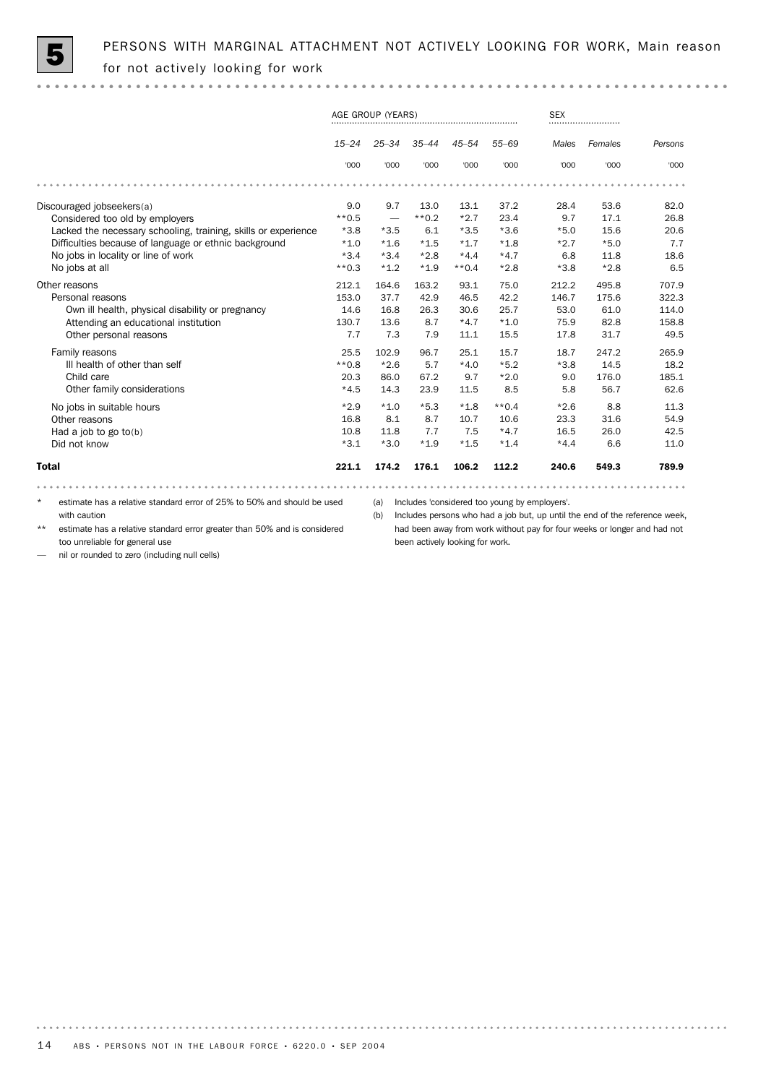

# PERSONS WITH MARGINAL ATTACHMENT NOT ACTIVELY LOOKING FOR WORK, Main reason for not actively looking for work

|                                                                | AGE GROUP (YEARS) |                          |           |           | <b>SEX</b> |        |         |         |
|----------------------------------------------------------------|-------------------|--------------------------|-----------|-----------|------------|--------|---------|---------|
|                                                                | $15 - 24$         | $25 - 34$                | $35 - 44$ | $45 - 54$ | $55 - 69$  | Males  | Females | Persons |
|                                                                | '000              | '000                     | '000      | '000      | '000       | '000   | '000    | '000    |
|                                                                |                   |                          |           |           |            |        |         |         |
| Discouraged jobseekers(a)                                      | 9.0               | 9.7                      | 13.0      | 13.1      | 37.2       | 28.4   | 53.6    | 82.0    |
| Considered too old by employers                                | $**0.5$           | $\overline{\phantom{0}}$ | $**0.2$   | $*2.7$    | 23.4       | 9.7    | 17.1    | 26.8    |
| Lacked the necessary schooling, training, skills or experience | $*3.8$            | $*3.5$                   | 6.1       | $*3.5$    | $*3.6$     | $*5.0$ | 15.6    | 20.6    |
| Difficulties because of language or ethnic background          | $*1.0$            | $*1.6$                   | $*1.5$    | $*1.7$    | $*1.8$     | $*2.7$ | $*5.0$  | 7.7     |
| No jobs in locality or line of work                            | $*3.4$            | $*3.4$                   | $*2.8$    | $*4.4$    | $*4.7$     | 6.8    | 11.8    | 18.6    |
| No jobs at all                                                 | $**0.3$           | $*1.2$                   | $*1.9$    | $**0.4$   | $*2.8$     | $*3.8$ | $*2.8$  | 6.5     |
| Other reasons                                                  | 212.1             | 164.6                    | 163.2     | 93.1      | 75.0       | 212.2  | 495.8   | 707.9   |
| Personal reasons                                               | 153.0             | 37.7                     | 42.9      | 46.5      | 42.2       | 146.7  | 175.6   | 322.3   |
| Own ill health, physical disability or pregnancy               | 14.6              | 16.8                     | 26.3      | 30.6      | 25.7       | 53.0   | 61.0    | 114.0   |
| Attending an educational institution                           | 130.7             | 13.6                     | 8.7       | $*4.7$    | $*1.0$     | 75.9   | 82.8    | 158.8   |
| Other personal reasons                                         | 7.7               | 7.3                      | 7.9       | 11.1      | 15.5       | 17.8   | 31.7    | 49.5    |
| Family reasons                                                 | 25.5              | 102.9                    | 96.7      | 25.1      | 15.7       | 18.7   | 247.2   | 265.9   |
| III health of other than self                                  | $**0.8$           | $*2.6$                   | 5.7       | $*4.0$    | $*5.2$     | $*3.8$ | 14.5    | 18.2    |
| Child care                                                     | 20.3              | 86.0                     | 67.2      | 9.7       | $*2.0$     | 9.0    | 176.0   | 185.1   |
| Other family considerations                                    | $*4.5$            | 14.3                     | 23.9      | 11.5      | 8.5        | 5.8    | 56.7    | 62.6    |
| No jobs in suitable hours                                      | $*2.9$            | $*1.0$                   | $*5.3$    | $*1.8$    | $**0.4$    | $*2.6$ | 8.8     | 11.3    |
| Other reasons                                                  | 16.8              | 8.1                      | 8.7       | 10.7      | 10.6       | 23.3   | 31.6    | 54.9    |
| Had a job to go to(b)                                          | 10.8              | 11.8                     | 7.7       | 7.5       | $*4.7$     | 16.5   | 26.0    | 42.5    |
| Did not know                                                   | $*3.1$            | $*3.0$                   | $*1.9$    | $*1.5$    | $*1.4$     | $*4.4$ | 6.6     | 11.0    |
| <b>Total</b>                                                   | 221.1             | 174.2                    | 176.1     | 106.2     | 112.2      | 240.6  | 549.3   | 789.9   |

(a) Includes 'considered too young by employers'.

. . . . . . . . .

. . . . . . . . . . .

. . . . . . . . . .

with caution estimate has a relative standard error greater than 50% and is considered too unreliable for general use

estimate has a relative standard error of 25% to 50% and should be used

(b) Includes persons who had a job but, up until the end of the reference week, had been away from work without pay for four weeks or longer and had not been actively looking for work.

— nil or rounded to zero (including null cells)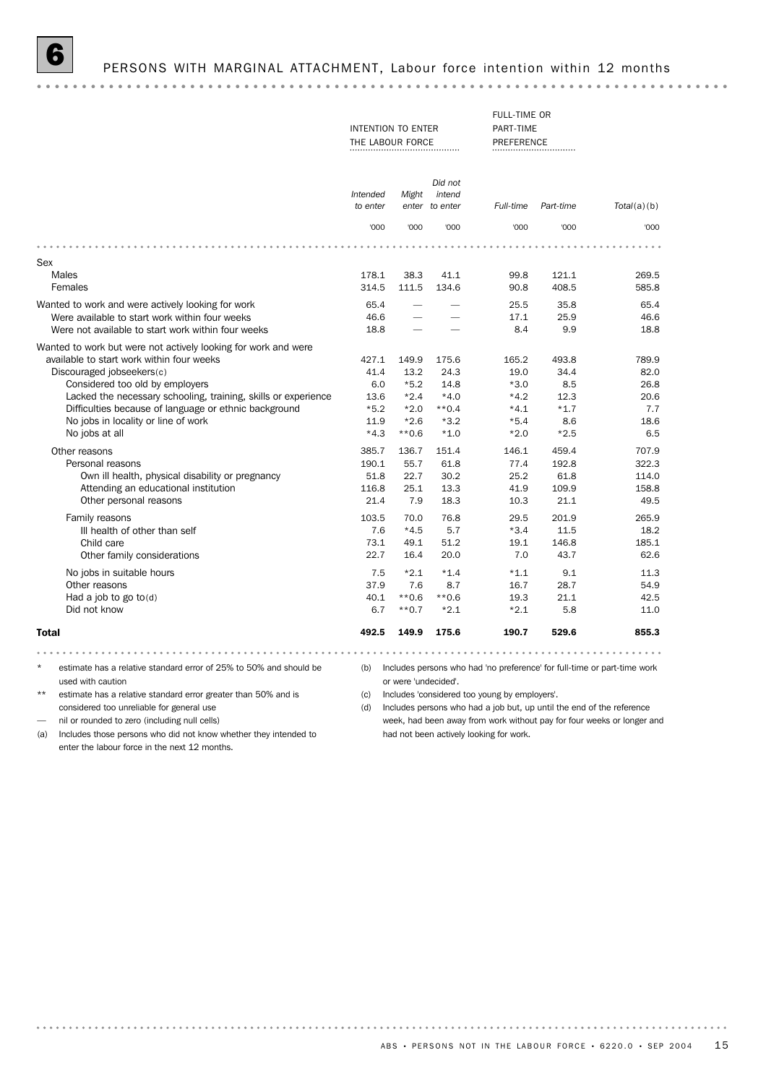|                                                                                                      |                      | <b>INTENTION TO ENTER</b><br>THE LABOUR FORCE |                                     | FULL-TIME OR<br>PART-TIME<br>PREFERENCE       |               |                                                                          |
|------------------------------------------------------------------------------------------------------|----------------------|-----------------------------------------------|-------------------------------------|-----------------------------------------------|---------------|--------------------------------------------------------------------------|
|                                                                                                      | Intended<br>to enter | Might                                         | Did not<br>intend<br>enter to enter | Full-time                                     | Part-time     | Total(a)(b)                                                              |
|                                                                                                      | '000                 | '000                                          | '000                                | '000                                          | '000          | '000                                                                     |
|                                                                                                      |                      |                                               |                                     |                                               |               |                                                                          |
| Sex                                                                                                  |                      |                                               |                                     |                                               |               |                                                                          |
| <b>Males</b>                                                                                         | 178.1                | 38.3                                          | 41.1                                | 99.8                                          | 121.1         | 269.5                                                                    |
| Females                                                                                              | 314.5                | 111.5                                         | 134.6                               | 90.8                                          | 408.5         | 585.8                                                                    |
| Wanted to work and were actively looking for work                                                    | 65.4                 |                                               |                                     | 25.5                                          | 35.8          | 65.4                                                                     |
| Were available to start work within four weeks<br>Were not available to start work within four weeks | 46.6<br>18.8         |                                               |                                     | 17.1<br>8.4                                   | 25.9<br>9.9   | 46.6<br>18.8                                                             |
|                                                                                                      |                      |                                               |                                     |                                               |               |                                                                          |
| Wanted to work but were not actively looking for work and were                                       |                      |                                               |                                     |                                               |               |                                                                          |
| available to start work within four weeks<br>Discouraged jobseekers(c)                               | 427.1<br>41.4        | 149.9<br>13.2                                 | 175.6<br>24.3                       | 165.2<br>19.0                                 | 493.8<br>34.4 | 789.9<br>82.0                                                            |
| Considered too old by employers                                                                      | 6.0                  | $*5.2$                                        | 14.8                                | $*3.0$                                        | 8.5           | 26.8                                                                     |
| Lacked the necessary schooling, training, skills or experience                                       | 13.6                 | $*2.4$                                        | $*4.0$                              | $*4.2$                                        | 12.3          | 20.6                                                                     |
| Difficulties because of language or ethnic background                                                | $*5.2$               | $*2.0$                                        | $**0.4$                             | $*4.1$                                        | $*1.7$        | 7.7                                                                      |
| No jobs in locality or line of work                                                                  | 11.9                 | $*2.6$                                        | $*3.2$                              | $*5.4$                                        | 8.6           | 18.6                                                                     |
| No jobs at all                                                                                       | $*4.3$               | $**0.6$                                       | $*1.0$                              | $*2.0$                                        | $*2.5$        | 6.5                                                                      |
| Other reasons                                                                                        | 385.7                | 136.7                                         | 151.4                               | 146.1                                         | 459.4         | 707.9                                                                    |
| Personal reasons                                                                                     | 190.1                | 55.7                                          | 61.8                                | 77.4                                          | 192.8         | 322.3                                                                    |
| Own ill health, physical disability or pregnancy                                                     | 51.8                 | 22.7                                          | 30.2                                | 25.2                                          | 61.8          | 114.0                                                                    |
| Attending an educational institution                                                                 | 116.8                | 25.1                                          | 13.3                                | 41.9                                          | 109.9         | 158.8                                                                    |
| Other personal reasons                                                                               | 21.4                 | 7.9                                           | 18.3                                | 10.3                                          | 21.1          | 49.5                                                                     |
| Family reasons                                                                                       | 103.5                | 70.0                                          | 76.8                                | 29.5                                          | 201.9         | 265.9                                                                    |
| III health of other than self                                                                        | 7.6                  | $*4.5$                                        | 5.7                                 | $*3.4$                                        | 11.5          | 18.2                                                                     |
| Child care                                                                                           | 73.1                 | 49.1                                          | 51.2                                | 19.1                                          | 146.8         | 185.1                                                                    |
| Other family considerations                                                                          | 22.7                 | 16.4                                          | 20.0                                | 7.0                                           | 43.7          | 62.6                                                                     |
| No jobs in suitable hours                                                                            | 7.5                  | $*2.1$                                        | $*1.4$                              | $*1.1$                                        | 9.1           | 11.3                                                                     |
| Other reasons                                                                                        | 37.9                 | 7.6                                           | 8.7                                 | 16.7                                          | 28.7          | 54.9                                                                     |
| Had a job to go to $(d)$                                                                             | 40.1                 | $**0.6$                                       | $**0.6$                             | 19.3                                          | 21.1          | 42.5                                                                     |
| Did not know                                                                                         | 6.7                  | $**0.7$                                       | $*2.1$                              | $*2.1$                                        | 5.8           | 11.0                                                                     |
| Total                                                                                                | 492.5                | 149.9                                         | 175.6                               | 190.7                                         | 529.6         | 855.3                                                                    |
|                                                                                                      |                      |                                               |                                     |                                               |               |                                                                          |
| $\star$<br>estimate has a relative standard error of 25% to 50% and should be                        | (b)                  |                                               |                                     |                                               |               | Includes persons who had 'no preference' for full-time or part-time work |
| used with caution                                                                                    |                      | or were 'undecided'.                          |                                     |                                               |               |                                                                          |
| $***$<br>estimate has a relative standard error greater than 50% and is                              | (c)                  |                                               |                                     | Includes 'considered too young by employers'. |               |                                                                          |
| considered too unreliable for general use                                                            | (d)                  |                                               |                                     |                                               |               | Includes persons who had a job but, up until the end of the reference    |

— nil or rounded to zero (including null cells)

(a) Includes those persons who did not know whether they intended to enter the labour force in the next 12 months.

week, had been away from work without pay for four weeks or longer and had not been actively looking for work.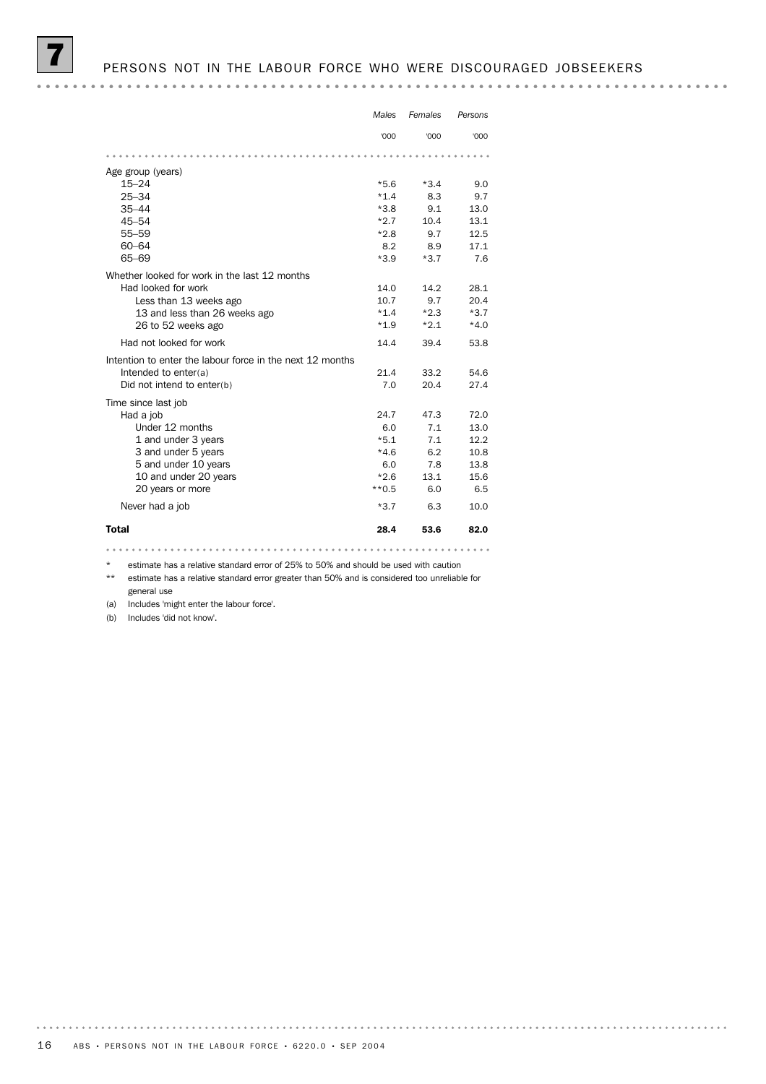|                                                           | Males   | Females | Persons |
|-----------------------------------------------------------|---------|---------|---------|
|                                                           | '000    | '000    | '000    |
|                                                           |         |         |         |
| Age group (years)                                         |         |         |         |
| $15 - 24$                                                 | $*5.6$  | $*3.4$  | 9.0     |
| $25 - 34$                                                 | $*1.4$  | 8.3     | 9.7     |
| $35 - 44$                                                 | $*3.8$  | 9.1     | 13.0    |
| $45 - 54$                                                 | $*2.7$  | 10.4    | 13.1    |
| 55-59                                                     | $*2.8$  | 9.7     | 12.5    |
| $60 - 64$                                                 | 8.2     | 8.9     | 17.1    |
| 65-69                                                     | $*3.9$  | $*3.7$  | 7.6     |
| Whether looked for work in the last 12 months             |         |         |         |
| Had looked for work                                       | 14.0    | 14.2    | 28.1    |
| Less than 13 weeks ago                                    | 10.7    | 9.7     | 20.4    |
| 13 and less than 26 weeks ago                             | $*1.4$  | $*2.3$  | $*3.7$  |
| 26 to 52 weeks ago                                        | $*1.9$  | $*2.1$  | $*4.0$  |
| Had not looked for work                                   | 14.4    | 39.4    | 53.8    |
| Intention to enter the labour force in the next 12 months |         |         |         |
| Intended to enter(a)                                      | 21.4    | 33.2    | 54.6    |
| Did not intend to enter(b)                                | 7.0     | 20.4    | 27.4    |
| Time since last job                                       |         |         |         |
| Had a job                                                 | 24.7    | 47.3    | 72.0    |
| Under 12 months                                           | 6.0     | 7.1     | 13.0    |
| 1 and under 3 years                                       | $*5.1$  | 7.1     | 12.2    |
| 3 and under 5 years                                       | $*4.6$  | 6.2     | 10.8    |
| 5 and under 10 years                                      | 6.0     | 7.8     | 13.8    |
| 10 and under 20 years                                     | $*2.6$  | 13.1    | 15.6    |
| 20 years or more                                          | $**0.5$ | 6.0     | 6.5     |
| Never had a job                                           | $*3.7$  | 6.3     | 10.0    |
| <b>Total</b>                                              | 28.4    | 53.6    | 82.0    |
|                                                           |         |         |         |

\* estimate has a relative standard error of 25% to 50% and should be used with caution

\*\* estimate has a relative standard error greater than 50% and is considered too unreliable for

general use (a) Includes 'might enter the labour force'.

(b) Includes 'did not know'.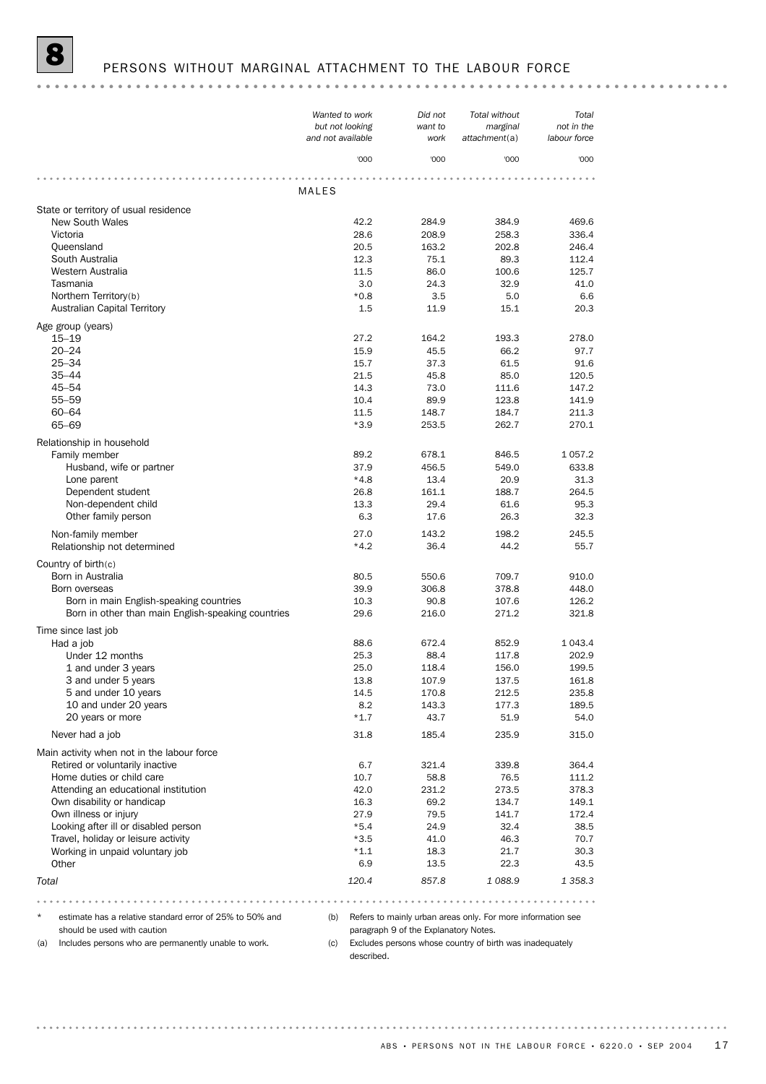### PERSONS WITHOUT MARGINAL ATTACHMENT TO THE LABOUR FORCE

### *Wanted to work Did not Total without Total not in the but not looking want to marginal and not available labour force attachment*(a) *work* '000 '000 '000 '000 MALES State or territory of usual residence New South Wales 1984.9 12.2 284.9 384.9 469.6 284.9 469.6 469.6 469.6 469.6 469.6 469.6 469.6 469.6 28.6 208.9 Victoria 28.6 208.9 258.3 336.4 Queensland 20.5 163.2 202.8 246.4 South Australia 12.3 75.1 89.3 112.4 Western Australia 11.5 86.0 100.6 125.7 Tasmania 3.0 24.3 32.9 41.0 Northern Territory(b) \*0.8 3.5 5.0 6.6 Australian Capital Territory 1.5 11.9 15.1 20.3 Age group (years) 15–19 27.2 164.2 193.3 278.0 20–24 15.9 45.5 66.2 97.7 25–34 15.7 37.3 61.5 91.6 35–44 21.5 45.8 85.0 120.5 45–54 14.3 73.0 111.6 147.2 55–59 10.4 89.9 123.8 141.9 60–64 11.5 148.7 184.7 211.3 65–69 \*3.9 253.5 262.7 270.1 Relationship in household Family member 1057.2 678.1 678.1 678.1 678.5 1057.2 Husband, wife or partner 37.9 456.5 549.0 633.8 Lone parent  $\text{Lone parent}$  and  $\text{Lone parent}$  and  $\text{Lone parent}$  and  $\text{Lone parent}$  and  $\text{Lone part}$  and  $\text{Lone part}$  and  $\text{Lone part}$  and  $\text{Lone part}$  and  $\text{Lone part}$  and  $\text{Lone part}$  and  $\text{Lone part}$  and  $\text{Lone part}$  and  $\text{Lone part}$  and  $\text{Lone part}$  and  $\text{Lone part}$  and Dependent student 26.8 161.1 188.7 264.5 Non-dependent child 13.3 29.4 61.6 95.3 Other family person 6.3 17.6 26.3 32.3 32.3 Non-family member 27.0 143.2 198.2 245.5 Relationship not determined the state of the state of the state of the state of the state of the state of the state of the state of the state of the state of the state of the state of the state of the state of the state of Country of birth(c) Born in Australia 80.5 550.6 709.7 910.0 Born overseas 39.9 306.8 378.8 448.0 Born in main English-speaking countries 10.3 10.3 90.8 107.6 126.2 Born in other than main English-speaking countries 29.6 216.0 271.2 321.8 Time since last job<br>Had a job Had a job 88.6 672.4 852.9 1 043.4 Under 12 months 202.9 1 and under 3 years 25.0 118.4 156.0 199.5 5 and under 5 years 161.8 13.8 107.9 137.5 161.8 161.8 161.8 161.8 161.8 161.8 161.8 161.8 161.8 3 and under 5 years 161.8 13.8 107.9 137.5 161.8 10 and under 20 years 189.5 189.5 189.5 189.5 189.5 189.5 189.5 189.5 20 years or more **that is a set of the set of the set of the set of the set of the set of the set of the set of the set of the set of the set of the set of the set of the set of the set of the set of the set of the set of** Never had a job 31.8 185.4 235.9 315.0 Main activity when not in the labour force Retired or voluntarily inactive 6.7 321.4 339.8 364.4 Home duties or child care 10.7 10.7 58.8 76.5 111.2 Attending an educational institution and the control of the 42.0 231.2 273.5 378.3 Own disability or handicap 16.3 69.2 134.7 149.1 Own illness or injury 172.4 173.4 172.4 Looking after ill or disabled person the state of the state of the state of the state of the state of the state of the state of the state of the state of the state of the state of the state of the state of the state of the Travel, holiday or leisure activity and the state of the state of the state of the state of the state of the state of the state of the state of the state of the state of the state of the state of the state of the state of Working in unpaid voluntary job  $\begin{array}{cccc} *1.1 & 18.3 & 21.7 & 30.3 \\ *1.1 & 18.3 & 21.7 & 30.3 \\ 0.3 & 13.5 & 22.3 & 43.5 \end{array}$ Other 6.9 22.3 43.5 22.3 43.5 *Total 120.4 857.8 1 088.9 1 358.3*

estimate has a relative standard error of 25% to 50% and

(b) Refers to mainly urban areas only. For more information see

should be used with caution (a) Includes persons who are permanently unable to work.

paragraph 9 of the Explanatory Notes. (c) Excludes persons whose country of birth was inadequately described.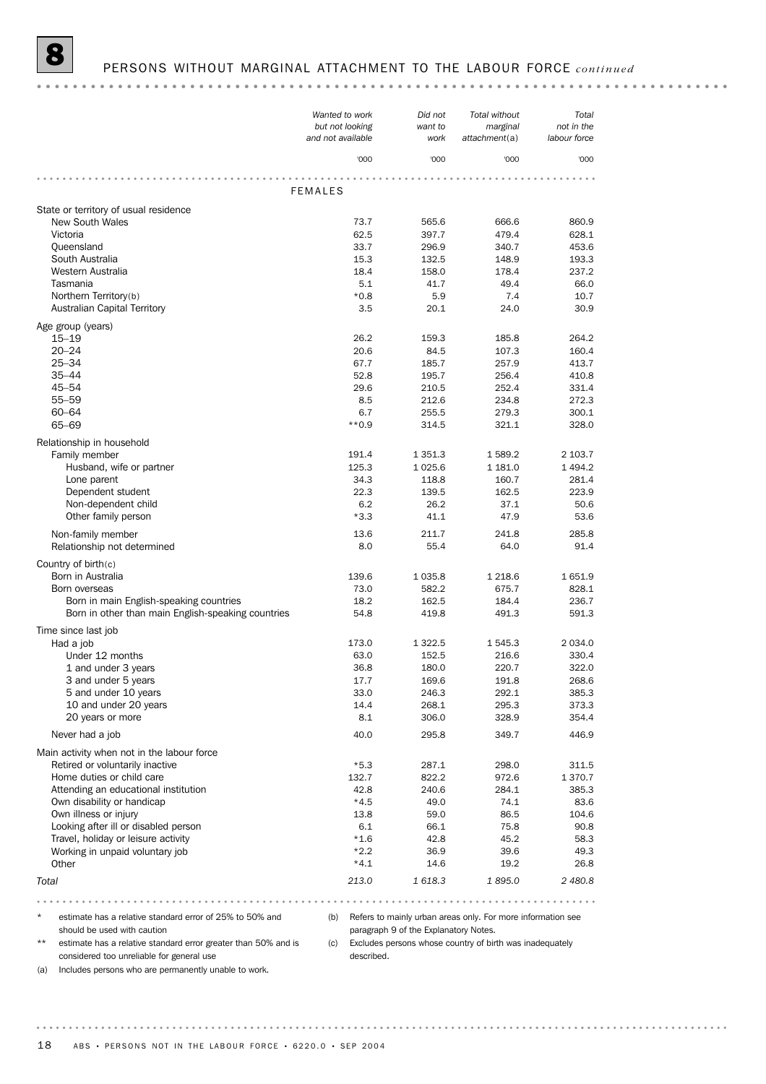### 8 PERSONS WITHOUT MARGINAL ATTACHMENT TO THE LABOUR FORCE *continued*

### *Wanted to work Did not Total without Total not in the but not looking want to marginal and not available labour force attachment*(a) *work* '000 '000 '000 '000 FEMALES State or territory of usual residence New South Wales 860.9 (1990) 860.9 (1991) 865.6 (1991) 866.6 (1991) 860.9 (1991) 860.9 (1991) 860.9 (1991) 860<br>Victoria 1992,5 (1992, 1992, 1992, 1992, 1992, 1992, 1992, 1992, 1992, 1992, 1993, 1992, 1993, 1992, 1993, 19 Victoria 62.5 397.7 479.4 628.1 South Australia<br>
South Australia<br>
South Australia<br>
South Australia<br>
15.3 132.5 148.9 193.3 Queensland 33.7 296.9 340.7 453.6 18.4 158.0 178.4 237.2<br>
Tasmania 18.4 158.0 178.4 237.2<br>
17.4 49.4 66.0 Tasmania 5.1 41.7 49.4 66.0 Northern Territory(b) **6.8** 5.9 7.4 10.7 Australian Capital Territory **20.1** 24.0 30.9 and 30.9 and 30.9 and 30.9 and 30.9 and 30.9 and 30.9 and 30.9 and 30.9 and 30.9 and 30.9 and 30.9 and 30.9 and 30.9 and 30.9 and 30.9 and 30.9 and 30.9 and 30.9 and 30.9 and 3 Age group (years) 15–19 26.2 159.3 185.8 264.2 20–24 20.6 84.5 107.3 160.4 25–34 67.7 185.7 257.9 413.7 35–44 52.8 195.7 256.4 410.8 45–54 29.6 210.5 252.4 331.4 55–59 8.5 212.6 234.8 272.3 60–64 6.7 255.5 279.3 300.1 65–69 \*\*0.9 314.5 321.1 328.0 Relationship in household mily member <br>
Husband, wife or partner 
125.3 1 025.6 1 181.0 1 494.2 Family member 2 103.7 2 103.7 2 103.7 2 103.7 2 103.7 2 103.7 Lone parent 281.4 281.4 281.4 281.4 281.4 281.4 281.4 281.4 281.4 281.4 281.4 281.4 Dependent student 22.3 139.5 162.5 223.9 Non-dependent child 6.2 26.2 37.1 50.6 Other family person 53.6 **61.1 61.1 47.9** 63.6 **61.1** 47.9 63.6 Non-family member 13.6 211.7 241.8 285.8 Relationship not determined and the set of the set of the set of the set of the set of the set of the set of the set of the set of the set of the set of the set of the set of the set of the set of the set of the set of the Country of birth(c) Born in Australia 139.6 1 035.8 1 218.6 1 651.9 Born overseas 73.0 582.2 675.7 828.1 Born in main English-speaking countries 18.2 162.5 184.4 236.7 Born in other than main English-speaking countries 54.8 419.8 491.3 591.3 Time since last job Had a job 173.0 1 322.5 1 545.3 2 034.0 Under 12 months 63.0 152.5 216.6 330.4 1 and under 3 years 36.8 180.0 220.7 322.0 3 and under 5 years 17.7 169.6 191.8 268.6 5 and under 10 years 33.0 246.3 292.1 385.3 10 and under 20 years 14.4 268.1 295.3 373.3 20 years or more **8.1** 306.0 328.9 354.4 Never had a job 40.0 295.8 349.7 446.9 Main activity when not in the labour force Retired or voluntarily inactive the state of the state of the state of the state of the state of the state of the state of the state of the state of the state of the state of the state of the state of the state of the stat Home duties or child care 132.7 822.2 972.6 1 370.7 Attending an educational institution and the control of the 42.8 240.6 284.1 385.3 Own disability or handicap and the set of the set of the set of the set of the set of the set of the set of the set of the set of the set of the set of the set of the set of the set of the set of the set of the set of the Own illness or injury 13.8 59.0 86.5 104.6 Looking after ill or disabled person and the control of the control of the control of the control of the control of the control of the control of the control of the control of the control of the control of the control of t Travel, holiday or leisure activity and the state of the state of the 42.8 45.2 58.3 Working in unpaid voluntary job  $*2.2$  36.9 39.6 49.3<br>Other 14.6 19.2 26.8 Other 19.2 26.8 and the term of the term of the term of the term of the term of the term of term of terms of te *Total 213.0 1 618.3 1 895.0 2 480.8*

estimate has a relative standard error of 25% to 50% and should be used with caution

(b) Refers to mainly urban areas only. For more information see

\*\* estimate has a relative standard error greater than 50% and is considered too unreliable for general use

paragraph 9 of the Explanatory Notes. (c) Excludes persons whose country of birth was inadequately described.

(a) Includes persons who are permanently unable to work.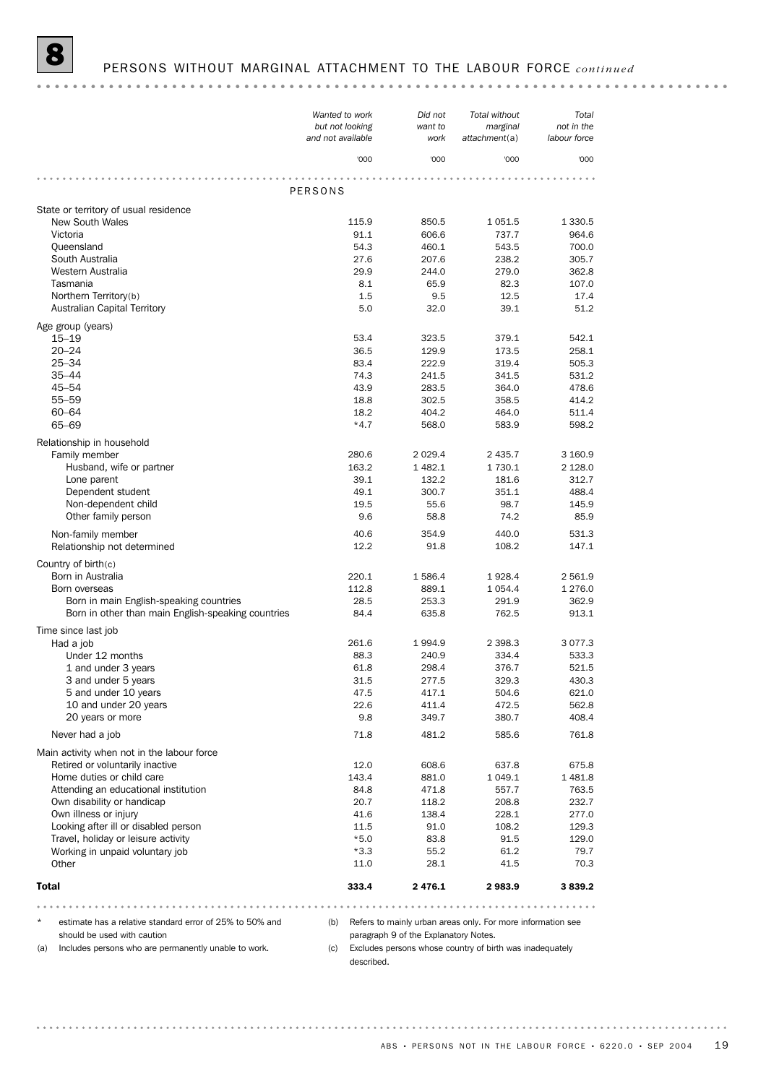### 8 PERSONS WITHOUT MARGINAL ATTACHMENT TO THE LABOUR FORCE *continued*

### *Wanted to work Did not Total without Total marginal not in the but not looking want to and not available labour force attachment*(a) *work* '000 '000 '000 '000 PERSONS State or territory of usual residence New South Wales 115.9 850.5 1 051.5 1 330.5 1 330.5 1 330.5 1 330.5 1 330.5 1 330.5 1 330.5 1 330.5 1 330.5 1 330.5 1 330.5 1 330.5 1 330.5 1 330.5 1 330.5 1 330.5 1 330.5 1 330.5 1 330.5 1 330.5 1 330.5 1 330.5 1 330.5 1 Victoria 91.1 606.6 737.7 964.6 Queensland 54.3 460.1 543.5 700.0 Pueensianu<br>
South Australia 2007.6 238.2 305.7<br>
Western Australia 29.9 244.0 279.0 362.8<br>
Tasmania 29.9 244.0 279.0 362.8<br>
29.9 244.0 279.0 362.8 South Australia 27.6 207.6 238.2 305.7 Tasmania 8.1 65.9 82.3 107.0 Northern Territory(b) 1.5 9.5 12.5 17.4 Australian Capital Territory 5.0 32.0 39.1 51.2 Age group (years) 15–19 53.4 323.5 379.1 542.1 20–24 36.5 129.9 173.5 258.1 25–34 83.4 222.9 319.4 505.3 35–44 74.3 241.5 341.5 531.2 45–54 43.9 283.5 364.0 478.6 55–59 18.8 302.5 358.5 414.2 60–64 18.2 404.2 464.0 511.4 65–69 \*4.7 568.0 583.9 598.2 Relationship in household mily member 163.2 163.2 1730.1 163.2 1730.1 1730.1 2 128.0 Family member 280.6 2 029.4 2 435.7 3 160.9 Lone parent 312.7 (181.6 132.2 181.6 312.7 132.2 181.6 132.7 181.6 132.7 181.6 12.7 181.6 12.7 181.6 12.7 181. Dependent student 19.1 49.1 300.7 351.1 488.4 Non-dependent child 19.5 19.5 55.6 98.7 145.9 Other family person 85.9 85.9 **9.6** 58.8 74.2 85.9 Non-family member 631.3 Relationship not determined 12.2 91.8 108.2 147.1 Country of birth(c) Born in Australia 220.1 1 586.4 1 928.4 2 561.9 Born overseas 2012.8 889.1 1054.4 1276.0 Born in main English-speaking countries 28.5 253.3 291.9 362.9 Born in other than main English-speaking countries 84.4 635.8 762.5 913.1 Time since last job Had a job 261.6 1 994.9 2 398.3 3 077.3 Under 12 months 633.3 240.9 334.4 533.3 1 and under 3 years 61.8 298.4 376.7 521.5 3 and under 5 years 31.5 329.3 430.3 5 and under 10 years<br>
10 and under 20 years<br>
10 and under 20 years<br>
22.6 411.4 472.5 562.8 5 and under 10 years 1.0 and 1.5 and under 10 years 1.0 and 1.0 and 1.0 and 1.0 and 1.0 and 1.0 and 1.0 and 1.0 20 years or more that the state of the state of the state of the state of the state of the state of the state of the state of the state of the state of the state of the state of the state of the state of the state of the s Never had a job 71.8 481.2 585.6 761.8 Main activity when not in the labour force Retired or voluntarily inactive 12.0 608.6 637.8 675.8 675.8 Home duties or child care 143.4 881.0 1 049.1 1 481.8 Attending an educational institution and the state of the state of the state and the state of the state of the state of the state of the state of the state of the state of the state of the state of the state of the state o Attending an educational institution<br>
Own disability or handicap<br>
Own illness or injury 118.2 208.8 232.7<br>
Own illness or injury 138.4 228.1 277.0 Own disability or handicap 20.7 118.2 208.8 232.7 Looking after ill or disabled person and the state of the state of the state of the state of the state of the state of the state of the state of the state of the state of the state of the state of the state of the state of Travel, holiday or leisure activity and the state of the state of the state of the state of the state of the state of the state of the state of the state of the state of the state of the state of the state of the state of Working in unpaid voluntary job  $*3.3$  55.2 61.2 79.7<br>Other 11.0 28.1 41.5 70.3 Other 28.1 41.5 70.3 Total 333.4 2 476.1 2 983.9 3 839.2 estimate has a relative standard error of 25% to 50% and (b) Refers to mainly urban areas only. For more information see should be used with caution paragraph 9 of the Explanatory Notes.

(a) Includes persons who are permanently unable to work.

(c) Excludes persons whose country of birth was inadequately described.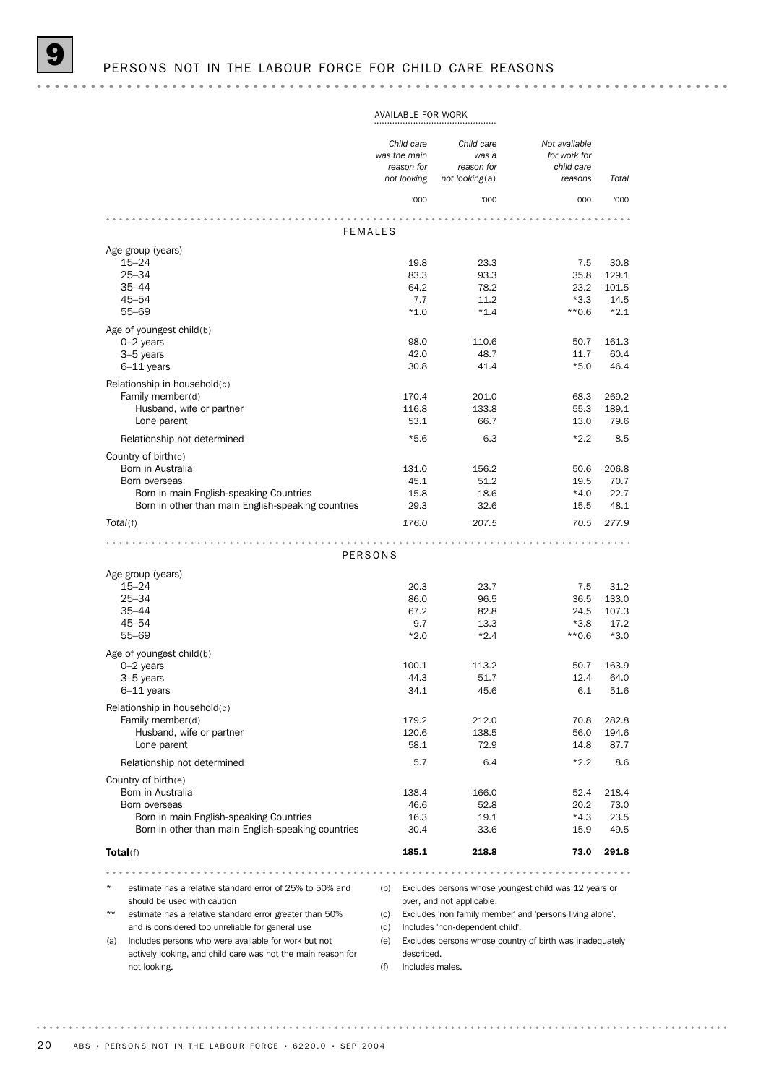## AVAILABLE FOR WORK

|                                                                                               | Child care<br>was the main<br>reason for<br>not looking | Child care<br>was a<br>reason for<br>not looking(a) | Not available<br>for work for<br>child care<br>reasons   | Total         |
|-----------------------------------------------------------------------------------------------|---------------------------------------------------------|-----------------------------------------------------|----------------------------------------------------------|---------------|
|                                                                                               | '000                                                    | '000                                                | '000                                                     | '000          |
| <b>FEMALES</b>                                                                                |                                                         |                                                     |                                                          |               |
|                                                                                               |                                                         |                                                     |                                                          |               |
| Age group (years)<br>$15 - 24$                                                                | 19.8                                                    | 23.3                                                | 7.5                                                      | 30.8          |
| $25 - 34$                                                                                     | 83.3                                                    | 93.3                                                | 35.8                                                     | 129.1         |
| $35 - 44$                                                                                     | 64.2                                                    | 78.2                                                | 23.2                                                     | 101.5         |
| $45 - 54$                                                                                     | 7.7                                                     | 11.2                                                | $*3.3$                                                   | 14.5          |
| $55 - 69$                                                                                     | $*1.0$                                                  | $*1.4$                                              | $**0.6$                                                  | $*2.1$        |
| Age of youngest child(b)                                                                      |                                                         |                                                     |                                                          |               |
| $0-2$ years                                                                                   | 98.0                                                    | 110.6                                               | 50.7                                                     | 161.3         |
| 3-5 years                                                                                     | 42.0                                                    | 48.7                                                | 11.7                                                     | 60.4          |
| $6-11$ years                                                                                  | 30.8                                                    | 41.4                                                | $*5.0$                                                   | 46.4          |
| Relationship in household(c)                                                                  |                                                         |                                                     |                                                          |               |
| Family member(d)                                                                              | 170.4                                                   | 201.0                                               | 68.3                                                     | 269.2         |
| Husband, wife or partner<br>Lone parent                                                       | 116.8<br>53.1                                           | 133.8<br>66.7                                       | 55.3<br>13.0                                             | 189.1<br>79.6 |
|                                                                                               |                                                         |                                                     |                                                          |               |
| Relationship not determined                                                                   | $*5.6$                                                  | 6.3                                                 | $*2.2$                                                   | 8.5           |
| Country of birth(e)                                                                           |                                                         |                                                     |                                                          |               |
| Born in Australia                                                                             | 131.0                                                   | 156.2                                               | 50.6                                                     | 206.8         |
| Born overseas                                                                                 | 45.1                                                    | 51.2                                                | 19.5                                                     | 70.7          |
| Born in main English-speaking Countries<br>Born in other than main English-speaking countries | 15.8<br>29.3                                            | 18.6<br>32.6                                        | $*4.0$<br>15.5                                           | 22.7<br>48.1  |
|                                                                                               |                                                         |                                                     |                                                          |               |
| Total(f)                                                                                      | 176.0                                                   | 207.5                                               | 70.5                                                     | 277.9         |
| PERSONS                                                                                       |                                                         |                                                     |                                                          |               |
| Age group (years)                                                                             |                                                         |                                                     |                                                          |               |
| $15 - 24$                                                                                     | 20.3                                                    | 23.7                                                | 7.5                                                      | 31.2          |
| $25 - 34$                                                                                     | 86.0                                                    | 96.5                                                | 36.5                                                     | 133.0         |
| $35 - 44$                                                                                     | 67.2                                                    | 82.8                                                | 24.5                                                     | 107.3         |
| 45-54<br>$55 - 69$                                                                            | 9.7                                                     | 13.3                                                | $*3.8$                                                   | 17.2          |
|                                                                                               | $*2.0$                                                  | $*2.4$                                              | $**0.6$                                                  | $*3.0$        |
| Age of youngest child(b)                                                                      |                                                         |                                                     |                                                          |               |
| $0-2$ years<br>3-5 years                                                                      | 100.1<br>44.3                                           | 113.2<br>51.7                                       | 50.7<br>12.4                                             | 163.9<br>64.0 |
| $6-11$ years                                                                                  | 34.1                                                    | 45.6                                                | 6.1                                                      | 51.6          |
|                                                                                               |                                                         |                                                     |                                                          |               |
| Relationship in household(c)<br>Family member(d)                                              | 179.2                                                   | 212.0                                               | 70.8                                                     | 282.8         |
| Husband, wife or partner                                                                      | 120.6                                                   | 138.5                                               | 56.0                                                     | 194.6         |
| Lone parent                                                                                   | 58.1                                                    | 72.9                                                | 14.8                                                     | 87.7          |
| Relationship not determined                                                                   | 5.7                                                     | 6.4                                                 | *2.2                                                     | 8.6           |
|                                                                                               |                                                         |                                                     |                                                          |               |
| Country of birth(e)<br>Born in Australia                                                      | 138.4                                                   | 166.0                                               | 52.4                                                     | 218.4         |
| Born overseas                                                                                 | 46.6                                                    | 52.8                                                | 20.2                                                     | 73.0          |
| Born in main English-speaking Countries                                                       | 16.3                                                    | 19.1                                                | $*4.3$                                                   | 23.5          |
| Born in other than main English-speaking countries                                            | 30.4                                                    | 33.6                                                | 15.9                                                     | 49.5          |
| Total(f)                                                                                      | 185.1                                                   | 218.8                                               | 73.0                                                     | 291.8         |
| .                                                                                             |                                                         | .                                                   |                                                          |               |
| $^\star$<br>estimate has a relative standard error of 25% to 50% and                          | (b)                                                     |                                                     | Excludes persons whose youngest child was 12 years or    |               |
| should be used with caution                                                                   |                                                         | over, and not applicable.                           |                                                          |               |
| $***$<br>estimate has a relative standard error greater than 50%                              | (c)                                                     |                                                     | Excludes 'non family member' and 'persons living alone'. |               |
| and is considered too unreliable for general use                                              | (d)                                                     | Includes 'non-dependent child'.                     |                                                          |               |
| Includes persons who were available for work but not<br>(a)                                   | (e)                                                     |                                                     | Excludes persons whose country of birth was inadequately |               |
| actively looking, and child care was not the main reason for                                  | described.                                              |                                                     |                                                          |               |
| not looking.                                                                                  | (f)                                                     | Includes males.                                     |                                                          |               |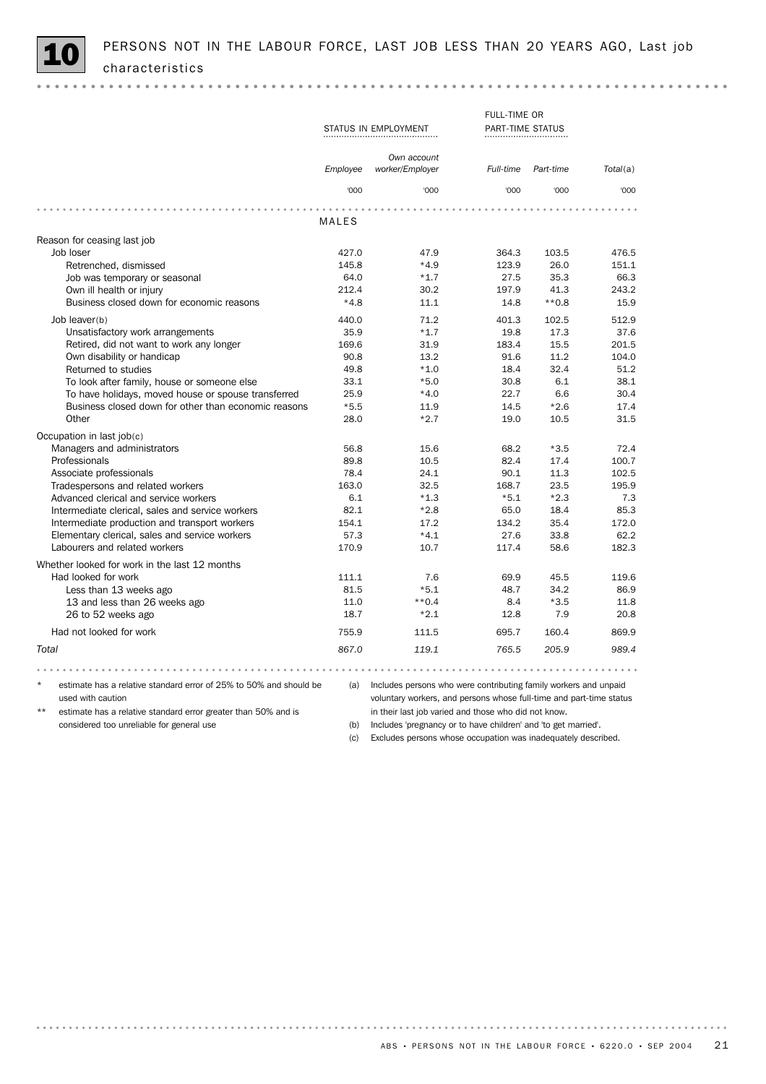|                                                                    |          |                                                                     | FULL-TIME OR     |           |          |
|--------------------------------------------------------------------|----------|---------------------------------------------------------------------|------------------|-----------|----------|
|                                                                    |          | STATUS IN EMPLOYMENT                                                | PART-TIME STATUS |           |          |
|                                                                    |          | Own account                                                         |                  |           |          |
|                                                                    | Employee | worker/Employer                                                     | Full-time        | Part-time | Total(a) |
|                                                                    | '000     | '000                                                                | '000             | '000      | '000     |
|                                                                    |          |                                                                     |                  |           |          |
|                                                                    | MALES    |                                                                     |                  |           |          |
| Reason for ceasing last job                                        |          |                                                                     |                  |           |          |
| Job loser                                                          | 427.0    | 47.9                                                                | 364.3            | 103.5     | 476.5    |
| Retrenched, dismissed                                              | 145.8    | $*4.9$                                                              | 123.9            | 26.0      | 151.1    |
| Job was temporary or seasonal                                      | 64.0     | $*1.7$                                                              | 27.5             | 35.3      | 66.3     |
| Own ill health or injury                                           | 212.4    | 30.2                                                                | 197.9            | 41.3      | 243.2    |
| Business closed down for economic reasons                          | $*4.8$   | 11.1                                                                | 14.8             | $**0.8$   | 15.9     |
| $Job$ leaver(b)                                                    | 440.0    | 71.2                                                                | 401.3            | 102.5     | 512.9    |
| Unsatisfactory work arrangements                                   | 35.9     | $*1.7$                                                              | 19.8             | 17.3      | 37.6     |
| Retired, did not want to work any longer                           | 169.6    | 31.9                                                                | 183.4            | 15.5      | 201.5    |
| Own disability or handicap                                         | 90.8     | 13.2                                                                | 91.6             | 11.2      | 104.0    |
| Returned to studies                                                | 49.8     | $*1.0$                                                              | 18.4             | 32.4      | 51.2     |
| To look after family, house or someone else                        | 33.1     | $*5.0$                                                              | 30.8             | 6.1       | 38.1     |
| To have holidays, moved house or spouse transferred                | 25.9     | $*4.0$                                                              | 22.7             | 6.6       | 30.4     |
| Business closed down for other than economic reasons               | $*5.5$   | 11.9                                                                | 14.5             | $*2.6$    | 17.4     |
| Other                                                              | 28.0     | $*2.7$                                                              | 19.0             | 10.5      | 31.5     |
| Occupation in last job(c)                                          |          |                                                                     |                  |           |          |
| Managers and administrators                                        | 56.8     | 15.6                                                                | 68.2             | $*3.5$    | 72.4     |
| Professionals                                                      | 89.8     | 10.5                                                                | 82.4             | 17.4      | 100.7    |
| Associate professionals                                            | 78.4     | 24.1                                                                | 90.1             | 11.3      | 102.5    |
| Tradespersons and related workers                                  | 163.0    | 32.5                                                                | 168.7            | 23.5      | 195.9    |
| Advanced clerical and service workers                              | 6.1      | $*1.3$                                                              | $*5.1$           | $*2.3$    | 7.3      |
| Intermediate clerical, sales and service workers                   | 82.1     | $*2.8$                                                              | 65.0             | 18.4      | 85.3     |
| Intermediate production and transport workers                      | 154.1    | 17.2                                                                | 134.2            | 35.4      | 172.0    |
| Elementary clerical, sales and service workers                     | 57.3     | $*4.1$                                                              | 27.6             | 33.8      | 62.2     |
| Labourers and related workers                                      | 170.9    | 10.7                                                                | 117.4            | 58.6      | 182.3    |
| Whether looked for work in the last 12 months                      |          |                                                                     |                  |           |          |
| Had looked for work                                                | 111.1    | 7.6                                                                 | 69.9             | 45.5      | 119.6    |
| Less than 13 weeks ago                                             | 81.5     | $*5.1$                                                              | 48.7             | 34.2      | 86.9     |
| 13 and less than 26 weeks ago                                      | 11.0     | $**0.4$                                                             | 8.4              | $*3.5$    | 11.8     |
| 26 to 52 weeks ago                                                 | 18.7     | $*2.1$                                                              | 12.8             | 7.9       | 20.8     |
| Had not looked for work                                            | 755.9    | 111.5                                                               | 695.7            | 160.4     | 869.9    |
| Total                                                              | 867.0    | 119.1                                                               | 765.5            | 205.9     | 989.4    |
|                                                                    |          |                                                                     |                  |           |          |
| estimate has a relative standard error of 25% to 50% and should be | (a)      | Includes persons who were contributing family workers and unpaid    |                  |           |          |
| used with caution                                                  |          |                                                                     |                  |           |          |
| $**$                                                               |          | voluntary workers, and persons whose full-time and part-time status |                  |           |          |
| estimate has a relative standard error greater than 50% and is     |          | in their last job varied and those who did not know.                |                  |           |          |

considered too unreliable for general use

(b) Includes 'pregnancy or to have children' and 'to get married'.

(c) Excludes persons whose occupation was inadequately described.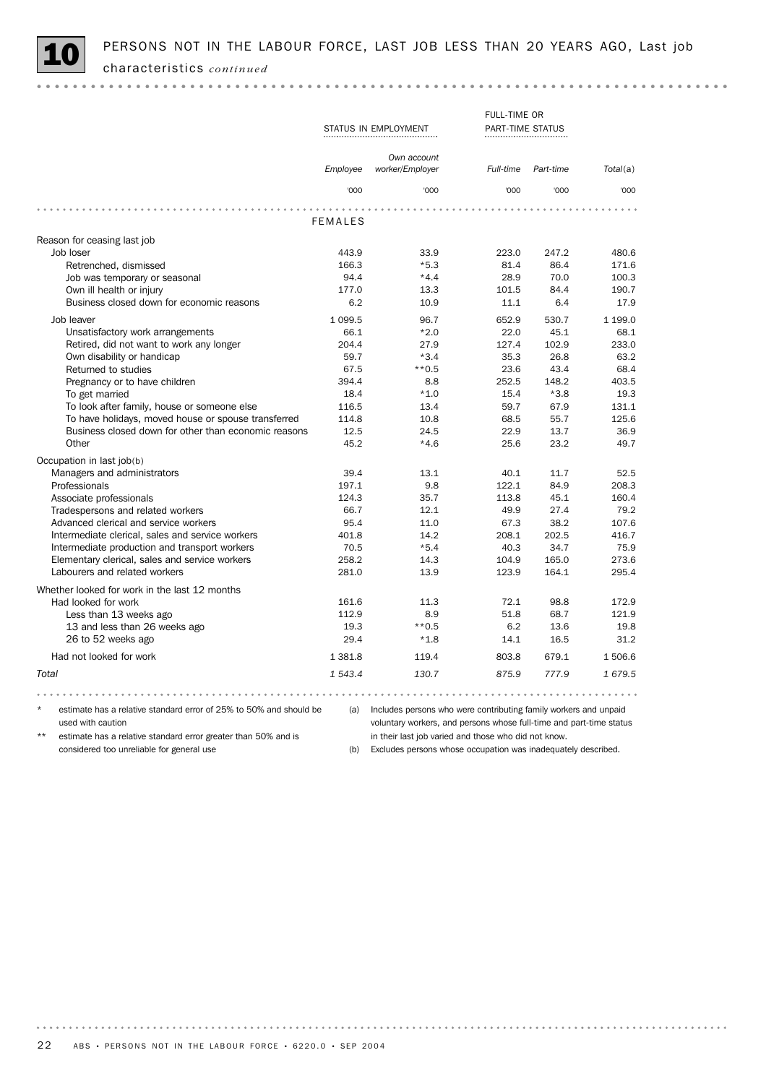

FULL-TIME OR STATUS IN EMPLOYMENT PART-TIME STATUS *Own account Employee worker/Employer Full-time Part-time* Total(a) *Full-time Part-time* '000 '000 '000 '000 '000 FEMALES Reason for ceasing last job Job loser 443.9 33.9 223.0 247.2 480.6 Retrenched, dismissed 166.3 **\*5.3** 81.4 86.4 171.6 Job was temporary or seasonal 100.3 (and the seasonal 100.3  $\frac{44.4}{44.4}$  28.9 70.0 100.3 Own ill health or injury 177.0 13.3 101.5 84.4 190.7 Business closed down for economic reasons 6.2 10.9 11.1 6.4 17.9 Job leaver 1 099.5 96.7 652.9 530.7 1 199.0 Unsatisfactory work arrangements 66.1  $*2.0$  22.0 45.1 68.1 68.1 Retired, did not want to work any longer 204.4 27.9 127.4 102.9 233.0 Own disability or handicap 63.2 59.7  $*3.4$  35.3 26.8 63.2 Returned to studies 67.5 **68.4** 68.4 **68.4 68.4 68.4 68.4** Pregnancy or to have children 394.4 8.8 252.5 148.2 403.5 To get married 18.4  $\qquad 18.4$   $\qquad 10.3$  15.4  $\qquad 3.8$  19.3 To look after family, house or someone else 116.5 13.4 59.7 67.9 131.1 To have holidays, moved house or spouse transferred  $114.8$  10.8 68.5 65.7 125.6 Business closed down for other than economic reasons 12.5 24.5 22.9 13.7 36.9 Other 25.6 23.2 49.7 Occupation in last job(b) Managers and administrators 39.4 13.1 40.1 11.7 52.5 Professionals 208.3 Associate professionals 124.3 124.3 35.7 113.8 45.1 160.4 Tradespersons and related workers and the state of the control of the control of the control of the control of the control of the control of the control of the control of the control of the control of the control of the co Advanced clerical and service workers **12.0 107.6** 95.4 11.0 67.3 38.2 107.6 Intermediate clerical, sales and service workers 401.8 14.2 208.1 202.5 416.7 Intermediate production and transport workers  $\begin{array}{cccc} 70.5 & *5.4 & 40.3 & 34.7 & 75.9 \end{array}$ Elementary clerical, sales and service workers 258.2 14.3 104.9 165.0 273.6 Labourers and related workers 281.0 13.9 123.9 164.1 295.4 Whether looked for work in the last 12 months Had looked for work **161.6** 161.6 11.3 72.1 98.8 172.9 Less than 13 weeks ago 112.9 8.9 51.8 68.7 121.9 13 and less than 26 weeks ago 19.3 \*\*0.5 6.2 13.6 19.8 26 to 52 weeks ago 29.4  $*1.8$  14.1 16.5 31.2 Had not looked for work 1 381.8 119.4 803.8 679.1 1 506.6 *Total 1 543.4 130.7 875.9 777.9 1 679.5* estimate has a relative standard error of 25% to 50% and should be (a) Includes persons who were contributing family workers and unpaid used with caution voluntary workers, and persons whose full-time and part-time status estimate has a relative standard error greater than 50% and is in their last job varied and those who did not know. considered too unreliable for general use

(b) Excludes persons whose occupation was inadequately described.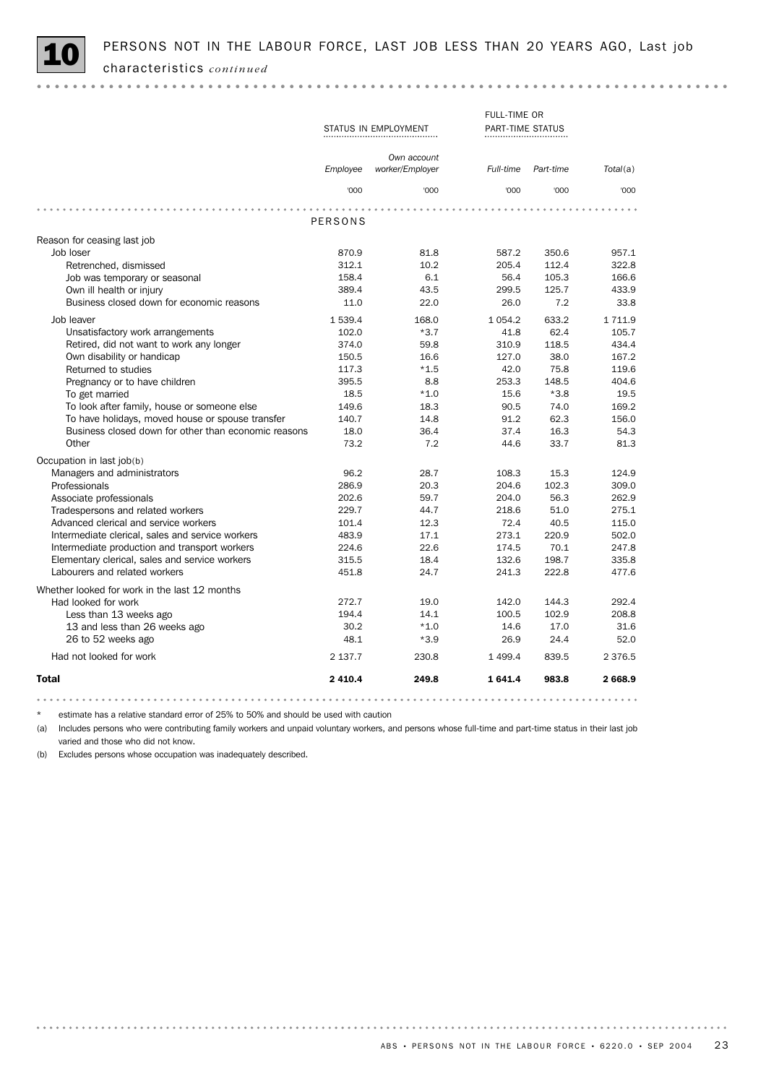

|                                                      |           |                                | FULL-TIME OR     |           |           |
|------------------------------------------------------|-----------|--------------------------------|------------------|-----------|-----------|
|                                                      |           | STATUS IN EMPLOYMENT           | PART-TIME STATUS |           |           |
|                                                      | Employee  | Own account<br>worker/Employer | Full-time        | Part-time | Total(a)  |
|                                                      | '000      | '000                           | '000             | '000      | '000      |
|                                                      | PERSONS   |                                |                  |           |           |
| Reason for ceasing last job                          |           |                                |                  |           |           |
| Job loser                                            | 870.9     | 81.8                           | 587.2            | 350.6     | 957.1     |
| Retrenched, dismissed                                | 312.1     | 10.2                           | 205.4            | 112.4     | 322.8     |
| Job was temporary or seasonal                        | 158.4     | 6.1                            | 56.4             | 105.3     | 166.6     |
| Own ill health or injury                             | 389.4     | 43.5                           | 299.5            | 125.7     | 433.9     |
| Business closed down for economic reasons            | 11.0      | 22.0                           | 26.0             | 7.2       | 33.8      |
| Job leaver                                           | 1 539.4   | 168.0                          | 1 0 5 4 .2       | 633.2     | 1 7 1 1.9 |
| Unsatisfactory work arrangements                     | 102.0     | $*3.7$                         | 41.8             | 62.4      | 105.7     |
| Retired, did not want to work any longer             | 374.0     | 59.8                           | 310.9            | 118.5     | 434.4     |
| Own disability or handicap                           | 150.5     | 16.6                           | 127.0            | 38.0      | 167.2     |
| Returned to studies                                  | 117.3     | $*1.5$                         | 42.0             | 75.8      | 119.6     |
| Pregnancy or to have children                        | 395.5     | 8.8                            | 253.3            | 148.5     | 404.6     |
| To get married                                       | 18.5      | $*1.0$                         | 15.6             | $*3.8$    | 19.5      |
| To look after family, house or someone else          | 149.6     | 18.3                           | 90.5             | 74.0      | 169.2     |
| To have holidays, moved house or spouse transfer     | 140.7     | 14.8                           | 91.2             | 62.3      | 156.0     |
| Business closed down for other than economic reasons | 18.0      | 36.4                           | 37.4             | 16.3      | 54.3      |
| Other                                                | 73.2      | 7.2                            | 44.6             | 33.7      | 81.3      |
| Occupation in last job(b)                            |           |                                |                  |           |           |
| Managers and administrators                          | 96.2      | 28.7                           | 108.3            | 15.3      | 124.9     |
| Professionals                                        | 286.9     | 20.3                           | 204.6            | 102.3     | 309.0     |
| Associate professionals                              | 202.6     | 59.7                           | 204.0            | 56.3      | 262.9     |
| Tradespersons and related workers                    | 229.7     | 44.7                           | 218.6            | 51.0      | 275.1     |
| Advanced clerical and service workers                | 101.4     | 12.3                           | 72.4             | 40.5      | 115.0     |
| Intermediate clerical, sales and service workers     | 483.9     | 17.1                           | 273.1            | 220.9     | 502.0     |
| Intermediate production and transport workers        | 224.6     | 22.6                           | 174.5            | 70.1      | 247.8     |
| Elementary clerical, sales and service workers       | 315.5     | 18.4                           | 132.6            | 198.7     | 335.8     |
| Labourers and related workers                        | 451.8     | 24.7                           | 241.3            | 222.8     | 477.6     |
| Whether looked for work in the last 12 months        |           |                                |                  |           |           |
| Had looked for work                                  | 272.7     | 19.0                           | 142.0            | 144.3     | 292.4     |
| Less than 13 weeks ago                               | 194.4     | 14.1                           | 100.5            | 102.9     | 208.8     |
| 13 and less than 26 weeks ago                        | 30.2      | $*1.0$                         | 14.6             | 17.0      | 31.6      |
| 26 to 52 weeks ago                                   | 48.1      | $*3.9$                         | 26.9             | 24.4      | 52.0      |
| Had not looked for work                              | 2 137.7   | 230.8                          | 1 4 9 9.4        | 839.5     | 2 3 7 6.5 |
| <b>Total</b>                                         | 2 4 1 0.4 | 249.8                          | 1641.4           | 983.8     | 2668.9    |

 $\frac{1}{2}$ 

estimate has a relative standard error of 25% to 50% and should be used with caution

(a) Includes persons who were contributing family workers and unpaid voluntary workers, and persons whose full-time and part-time status in their last job varied and those who did not know.

(b) Excludes persons whose occupation was inadequately described.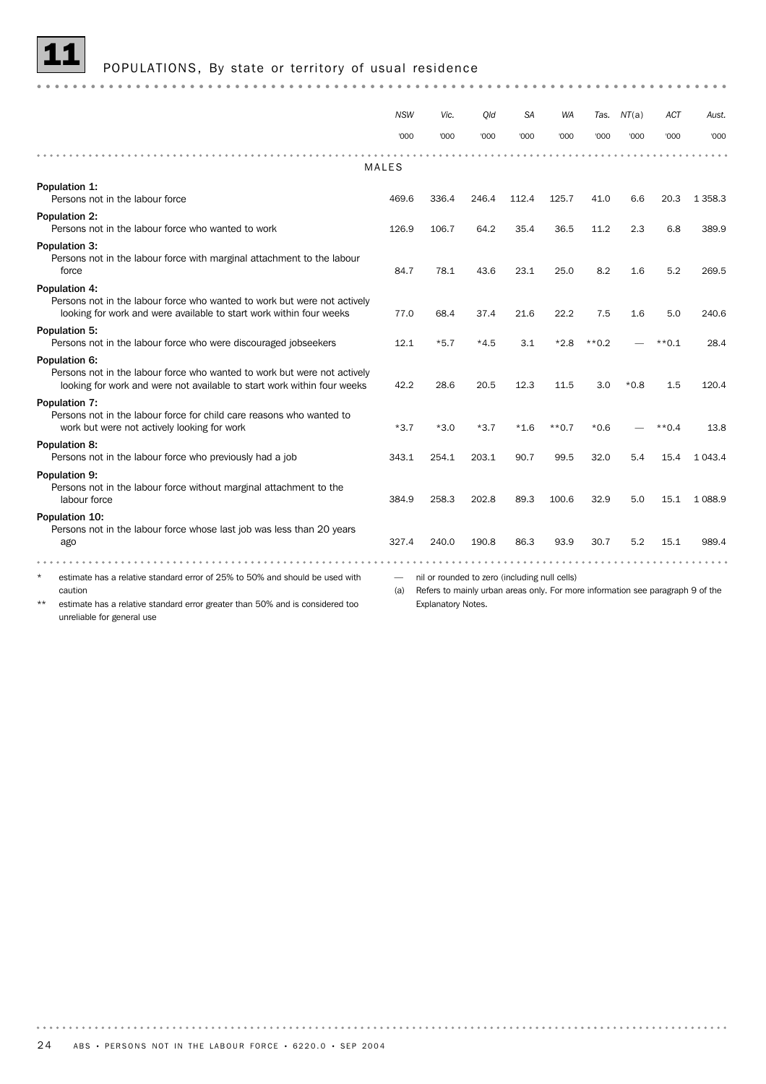# **11** POPULATIONS, By state or territory of usual residence

|                                                                                                                                                                      | <b>NSW</b>   | Vic.   | Old                                           | <b>SA</b> | <b>WA</b> | Tas.    | NT(a)  | ACT     | Aust.       |
|----------------------------------------------------------------------------------------------------------------------------------------------------------------------|--------------|--------|-----------------------------------------------|-----------|-----------|---------|--------|---------|-------------|
|                                                                                                                                                                      | '000         | '000   | '000                                          | '000      | '000      | '000    | '000   | '000    | '000        |
|                                                                                                                                                                      | <b>MALES</b> |        |                                               |           |           |         |        |         |             |
| Population 1:<br>Persons not in the labour force                                                                                                                     | 469.6        | 336.4  | 246.4                                         | 112.4     | 125.7     | 41.0    | 6.6    | 20.3    | 1 3 5 8.3   |
| Population 2:<br>Persons not in the labour force who wanted to work                                                                                                  | 126.9        | 106.7  | 64.2                                          | 35.4      | 36.5      | 11.2    | 2.3    | 6.8     | 389.9       |
| Population 3:<br>Persons not in the labour force with marginal attachment to the labour<br>force                                                                     | 84.7         | 78.1   | 43.6                                          | 23.1      | 25.0      | 8.2     | 1.6    | 5.2     | 269.5       |
| Population 4:<br>Persons not in the labour force who wanted to work but were not actively<br>looking for work and were available to start work within four weeks     | 77.0         | 68.4   | 37.4                                          | 21.6      | 22.2      | 7.5     | 1.6    | 5.0     | 240.6       |
| Population 5:<br>Persons not in the labour force who were discouraged jobseekers                                                                                     | 12.1         | $*5.7$ | $*4.5$                                        | 3.1       | $*2.8$    | $**0.2$ |        | $**0.1$ | 28.4        |
| Population 6:<br>Persons not in the labour force who wanted to work but were not actively<br>looking for work and were not available to start work within four weeks | 42.2         | 28.6   | 20.5                                          | 12.3      | 11.5      | 3.0     | $*0.8$ | 1.5     | 120.4       |
| Population 7:<br>Persons not in the labour force for child care reasons who wanted to<br>work but were not actively looking for work                                 | $*3.7$       | $*3.0$ | $*3.7$                                        | $*1.6$    | $**0.7$   | $*0.6$  |        | $**0.4$ | 13.8        |
| Population 8:<br>Persons not in the labour force who previously had a job                                                                                            | 343.1        | 254.1  | 203.1                                         | 90.7      | 99.5      | 32.0    | 5.4    | 15.4    | 1 0 4 3 . 4 |
| Population 9:<br>Persons not in the labour force without marginal attachment to the<br>labour force                                                                  | 384.9        | 258.3  | 202.8                                         | 89.3      | 100.6     | 32.9    | 5.0    | 15.1    | 1 0 8 8.9   |
| Population 10:<br>Persons not in the labour force whose last job was less than 20 years<br>ago                                                                       | 327.4        | 240.0  | 190.8                                         | 86.3      | 93.9      | 30.7    | 5.2    | 15.1    | 989.4       |
| $\star$<br>estimate has a relative standard error of 25% to 50% and should be used with                                                                              |              |        | nil or rounded to zero (including null cells) |           |           |         |        |         |             |

caution

\*\* estimate has a relative standard error greater than 50% and is considered too unreliable for general use

— nil or rounded to zero (including null cells)

(a) Refers to mainly urban areas only. For more information see paragraph 9 of the Explanatory Notes.

. . . . . . . . .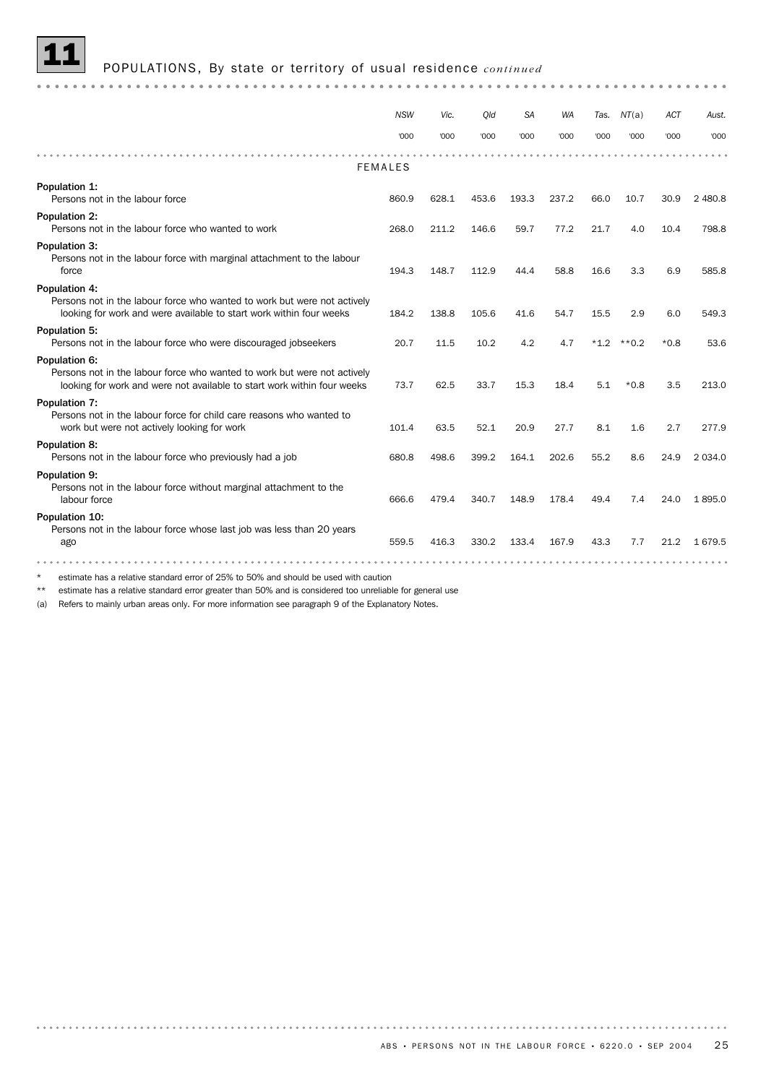### 11 POPULATIONS, By state or territory of usual residence *continued*

|                                                                                                                                                                      | <b>NSW</b>     | Vic.  | Old   | <b>SA</b> | <b>WA</b> | Tas.   | NT(a)   | ACT    | Aust.      |
|----------------------------------------------------------------------------------------------------------------------------------------------------------------------|----------------|-------|-------|-----------|-----------|--------|---------|--------|------------|
|                                                                                                                                                                      | '000           | '000  | '000  | '000      | '000      | '000   | '000    | '000   | '000       |
|                                                                                                                                                                      | <b>FEMALES</b> |       |       |           |           |        |         |        |            |
| Population 1:<br>Persons not in the labour force                                                                                                                     | 860.9          | 628.1 | 453.6 | 193.3     | 237.2     | 66.0   | 10.7    | 30.9   | 2480.8     |
| Population 2:<br>Persons not in the labour force who wanted to work                                                                                                  | 268.0          | 211.2 | 146.6 | 59.7      | 77.2      | 21.7   | 4.0     | 10.4   | 798.8      |
| <b>Population 3:</b><br>Persons not in the labour force with marginal attachment to the labour<br>force                                                              | 194.3          | 148.7 | 112.9 | 44.4      | 58.8      | 16.6   | 3.3     | 6.9    | 585.8      |
| Population 4:<br>Persons not in the labour force who wanted to work but were not actively<br>looking for work and were available to start work within four weeks     | 184.2          | 138.8 | 105.6 | 41.6      | 54.7      | 15.5   | 2.9     | 6.0    | 549.3      |
| Population 5:<br>Persons not in the labour force who were discouraged jobseekers                                                                                     | 20.7           | 11.5  | 10.2  | 4.2       | 4.7       | $*1.2$ | $**0.2$ | $*0.8$ | 53.6       |
| Population 6:<br>Persons not in the labour force who wanted to work but were not actively<br>looking for work and were not available to start work within four weeks | 73.7           | 62.5  | 33.7  | 15.3      | 18.4      | 5.1    | $*0.8$  | 3.5    | 213.0      |
| Population 7:<br>Persons not in the labour force for child care reasons who wanted to<br>work but were not actively looking for work                                 | 101.4          | 63.5  | 52.1  | 20.9      | 27.7      | 8.1    | 1.6     | 2.7    | 277.9      |
| <b>Population 8:</b><br>Persons not in the labour force who previously had a job                                                                                     | 680.8          | 498.6 | 399.2 | 164.1     | 202.6     | 55.2   | 8.6     | 24.9   | 2 0 3 4 .0 |
| Population 9:<br>Persons not in the labour force without marginal attachment to the<br>labour force                                                                  | 666.6          | 479.4 | 340.7 | 148.9     | 178.4     | 49.4   | 7.4     | 24.0   | 1895.0     |
| Population 10:<br>Persons not in the labour force whose last job was less than 20 years<br>ago                                                                       | 559.5          | 416.3 | 330.2 | 133.4     | 167.9     | 43.3   | 7.7     | 21.2   | 1679.5     |
|                                                                                                                                                                      |                |       |       |           |           |        |         |        |            |

estimate has a relative standard error of 25% to 50% and should be used with caution

\*\* estimate has a relative standard error greater than 50% and is considered too unreliable for general use

(a) Refers to mainly urban areas only. For more information see paragraph 9 of the Explanatory Notes.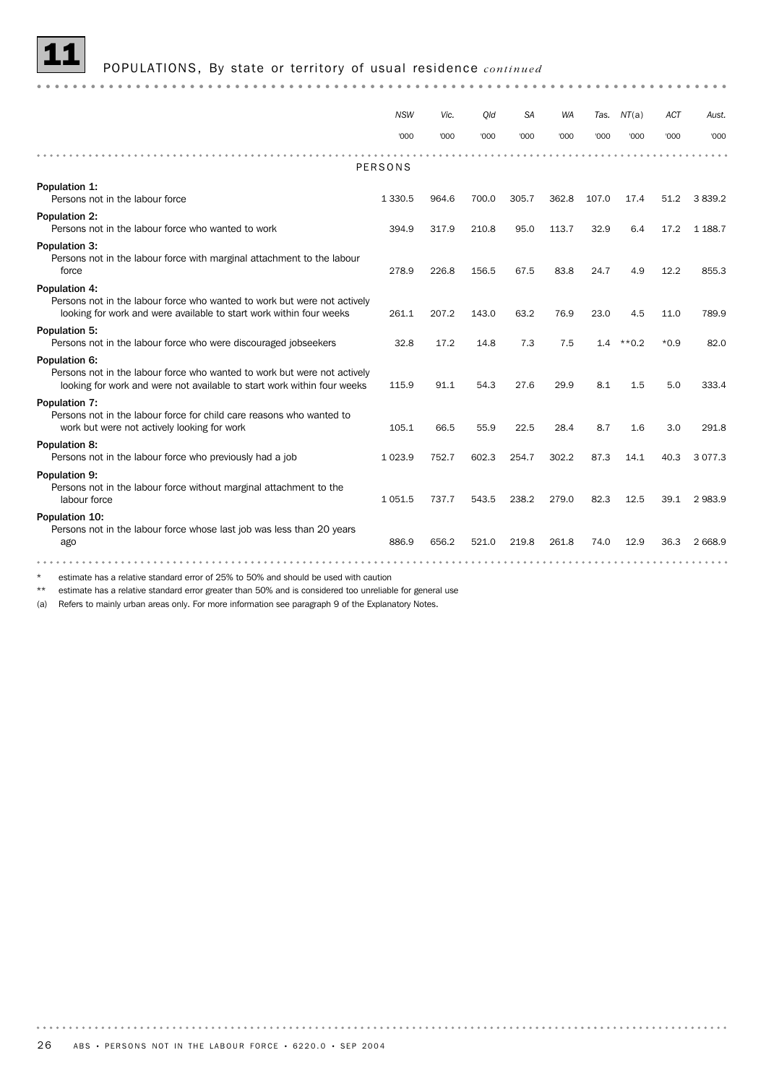## 11 POPULATIONS, By state or territory of usual residence *continued*

|                                                                                                                                                                      | <b>NSW</b>     | Vic.  | Old   | SА    | WA    | Tas.  | NT(a)   | ACT    | Aust.     |
|----------------------------------------------------------------------------------------------------------------------------------------------------------------------|----------------|-------|-------|-------|-------|-------|---------|--------|-----------|
|                                                                                                                                                                      | '000           | '000  | '000  | '000  | '000  | '000  | '000    | '000   | '000      |
|                                                                                                                                                                      | <b>PERSONS</b> |       |       |       |       |       |         |        |           |
| Population 1:<br>Persons not in the labour force                                                                                                                     | 1 3 3 0.5      | 964.6 | 700.0 | 305.7 | 362.8 | 107.0 | 17.4    | 51.2   | 3839.2    |
| Population 2:<br>Persons not in the labour force who wanted to work                                                                                                  | 394.9          | 317.9 | 210.8 | 95.0  | 113.7 | 32.9  | 6.4     | 17.2   | 1 1 8 8.7 |
| Population 3:<br>Persons not in the labour force with marginal attachment to the labour<br>force                                                                     | 278.9          | 226.8 | 156.5 | 67.5  | 83.8  | 24.7  | 4.9     | 12.2   | 855.3     |
| Population 4:<br>Persons not in the labour force who wanted to work but were not actively<br>looking for work and were available to start work within four weeks     | 261.1          | 207.2 | 143.0 | 63.2  | 76.9  | 23.0  | 4.5     | 11.0   | 789.9     |
| Population 5:<br>Persons not in the labour force who were discouraged jobseekers                                                                                     | 32.8           | 17.2  | 14.8  | 7.3   | 7.5   | 1.4   | $**0.2$ | $*0.9$ | 82.0      |
| Population 6:<br>Persons not in the labour force who wanted to work but were not actively<br>looking for work and were not available to start work within four weeks | 115.9          | 91.1  | 54.3  | 27.6  | 29.9  | 8.1   | 1.5     | 5.0    | 333.4     |
| <b>Population 7:</b><br>Persons not in the labour force for child care reasons who wanted to<br>work but were not actively looking for work                          | 105.1          | 66.5  | 55.9  | 22.5  | 28.4  | 8.7   | 1.6     | 3.0    | 291.8     |
| Population 8:<br>Persons not in the labour force who previously had a job                                                                                            | 1 0 2 3.9      | 752.7 | 602.3 | 254.7 | 302.2 | 87.3  | 14.1    | 40.3   | 3077.3    |
| Population 9:<br>Persons not in the labour force without marginal attachment to the<br>labour force                                                                  | 1 0 5 1 .5     | 737.7 | 543.5 | 238.2 | 279.0 | 82.3  | 12.5    | 39.1   | 2983.9    |
| Population 10:<br>Persons not in the labour force whose last job was less than 20 years<br>ago                                                                       | 886.9          | 656.2 | 521.0 | 219.8 | 261.8 | 74.0  | 12.9    | 36.3   | 2668.9    |
|                                                                                                                                                                      |                |       |       |       |       |       |         |        |           |

estimate has a relative standard error of 25% to 50% and should be used with caution

\*\* estimate has a relative standard error greater than 50% and is considered too unreliable for general use

(a) Refers to mainly urban areas only. For more information see paragraph 9 of the Explanatory Notes.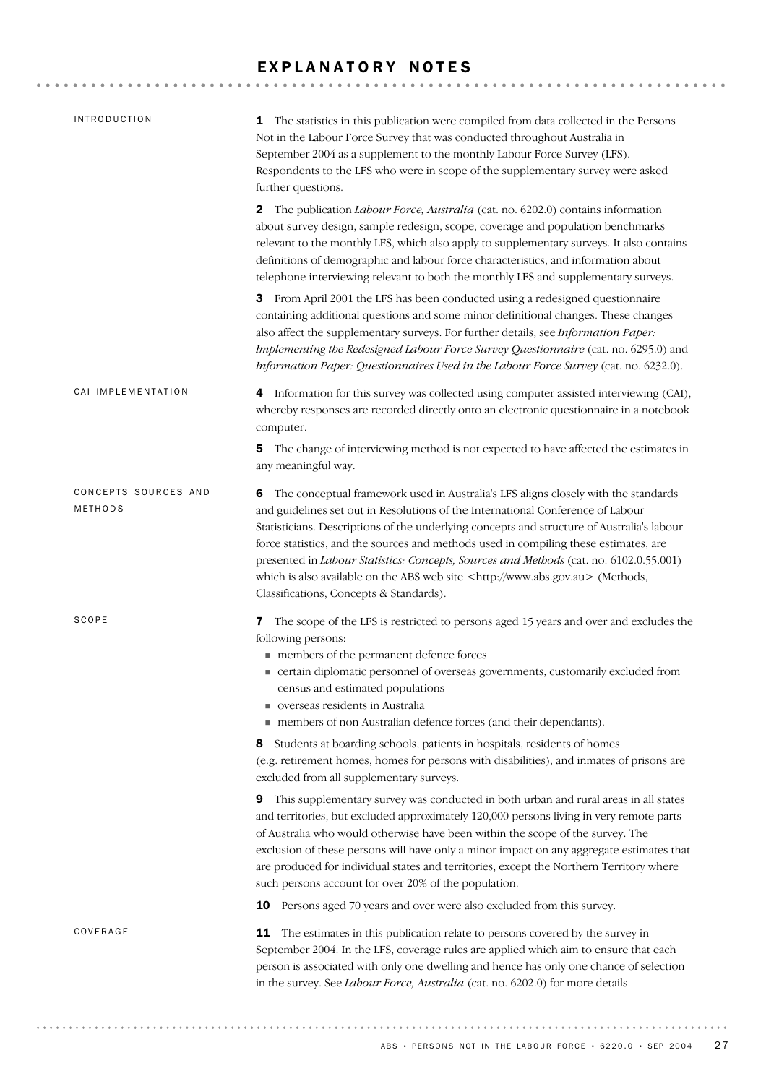### EXPLANATORY NOTES

| <b>INTRODUCTION</b>             | <b>1</b> The statistics in this publication were compiled from data collected in the Persons<br>Not in the Labour Force Survey that was conducted throughout Australia in<br>September 2004 as a supplement to the monthly Labour Force Survey (LFS).<br>Respondents to the LFS who were in scope of the supplementary survey were asked<br>further questions.                                                                                                                                                                                                                                        |
|---------------------------------|-------------------------------------------------------------------------------------------------------------------------------------------------------------------------------------------------------------------------------------------------------------------------------------------------------------------------------------------------------------------------------------------------------------------------------------------------------------------------------------------------------------------------------------------------------------------------------------------------------|
|                                 | 2 The publication <i>Labour Force, Australia</i> (cat. no. 6202.0) contains information<br>about survey design, sample redesign, scope, coverage and population benchmarks<br>relevant to the monthly LFS, which also apply to supplementary surveys. It also contains<br>definitions of demographic and labour force characteristics, and information about<br>telephone interviewing relevant to both the monthly LFS and supplementary surveys.                                                                                                                                                    |
|                                 | 3 From April 2001 the LFS has been conducted using a redesigned questionnaire<br>containing additional questions and some minor definitional changes. These changes<br>also affect the supplementary surveys. For further details, see Information Paper:<br>Implementing the Redesigned Labour Force Survey Questionnaire (cat. no. 6295.0) and<br>Information Paper: Questionnaires Used in the Labour Force Survey (cat. no. 6232.0).                                                                                                                                                              |
| CAI IMPLEMENTATION              | 4 Information for this survey was collected using computer assisted interviewing (CAI),<br>whereby responses are recorded directly onto an electronic questionnaire in a notebook<br>computer.                                                                                                                                                                                                                                                                                                                                                                                                        |
|                                 | The change of interviewing method is not expected to have affected the estimates in<br>5<br>any meaningful way.                                                                                                                                                                                                                                                                                                                                                                                                                                                                                       |
| CONCEPTS SOURCES AND<br>METHODS | The conceptual framework used in Australia's LFS aligns closely with the standards<br>6<br>and guidelines set out in Resolutions of the International Conference of Labour<br>Statisticians. Descriptions of the underlying concepts and structure of Australia's labour<br>force statistics, and the sources and methods used in compiling these estimates, are<br>presented in Labour Statistics: Concepts, Sources and Methods (cat. no. 6102.0.55.001)<br>which is also available on the ABS web site <http: www.abs.gov.au=""> (Methods,<br/>Classifications, Concepts &amp; Standards).</http:> |
| SCOPE                           | <b>7</b> The scope of the LFS is restricted to persons aged 15 years and over and excludes the<br>following persons:<br>members of the permanent defence forces<br>• certain diplomatic personnel of overseas governments, customarily excluded from<br>census and estimated populations<br>verseas residents in Australia<br>members of non-Australian defence forces (and their dependants).                                                                                                                                                                                                        |
|                                 | Students at boarding schools, patients in hospitals, residents of homes<br>8<br>(e.g. retirement homes, homes for persons with disabilities), and inmates of prisons are<br>excluded from all supplementary surveys.                                                                                                                                                                                                                                                                                                                                                                                  |
|                                 | This supplementary survey was conducted in both urban and rural areas in all states<br>9<br>and territories, but excluded approximately 120,000 persons living in very remote parts<br>of Australia who would otherwise have been within the scope of the survey. The<br>exclusion of these persons will have only a minor impact on any aggregate estimates that<br>are produced for individual states and territories, except the Northern Territory where<br>such persons account for over 20% of the population.                                                                                  |
| COVERAGE                        | Persons aged 70 years and over were also excluded from this survey.<br>10<br>The estimates in this publication relate to persons covered by the survey in<br>11<br>September 2004. In the LFS, coverage rules are applied which aim to ensure that each<br>person is associated with only one dwelling and hence has only one chance of selection<br>in the survey. See Labour Force, Australia (cat. no. 6202.0) for more details.                                                                                                                                                                   |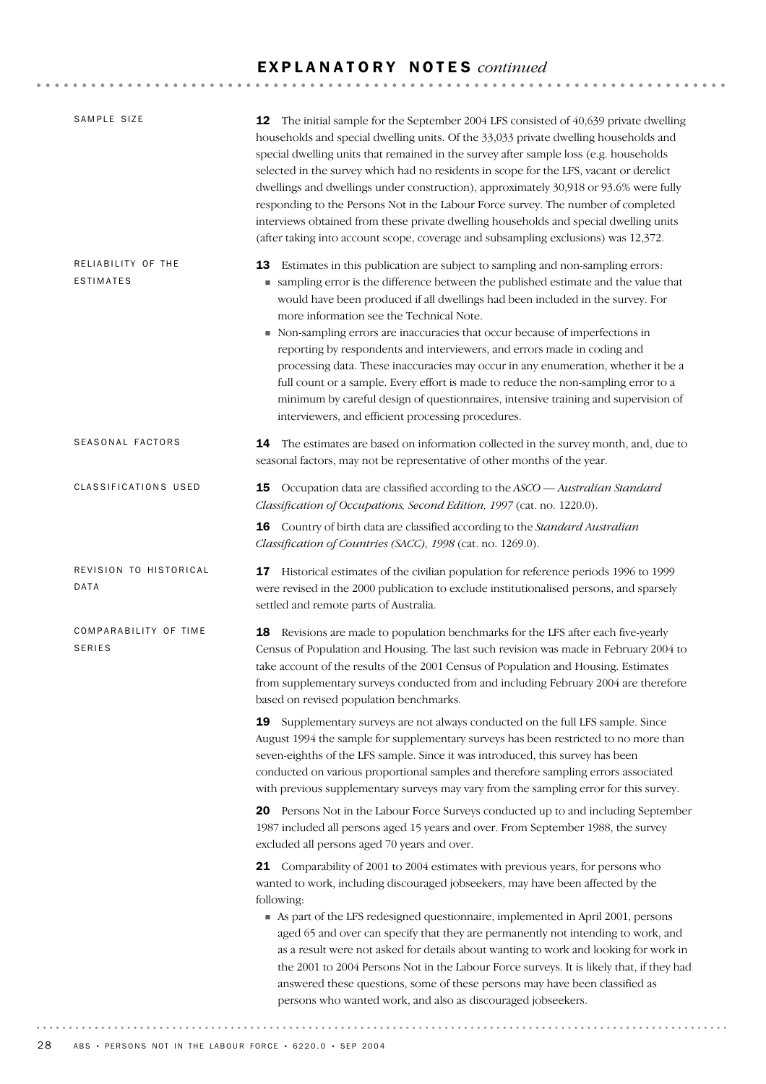### E X P L A N A T O R Y N O T E S *continued*

| SAMPLE SIZE                            | <b>12</b> The initial sample for the September 2004 LFS consisted of 40,639 private dwelling<br>households and special dwelling units. Of the 33,033 private dwelling households and<br>special dwelling units that remained in the survey after sample loss (e.g. households<br>selected in the survey which had no residents in scope for the LFS, vacant or derelict<br>dwellings and dwellings under construction), approximately 30,918 or 93.6% were fully<br>responding to the Persons Not in the Labour Force survey. The number of completed<br>interviews obtained from these private dwelling households and special dwelling units<br>(after taking into account scope, coverage and subsampling exclusions) was 12,372.                                                    |
|----------------------------------------|-----------------------------------------------------------------------------------------------------------------------------------------------------------------------------------------------------------------------------------------------------------------------------------------------------------------------------------------------------------------------------------------------------------------------------------------------------------------------------------------------------------------------------------------------------------------------------------------------------------------------------------------------------------------------------------------------------------------------------------------------------------------------------------------|
| RELIABILITY OF THE<br><b>ESTIMATES</b> | 13 Estimates in this publication are subject to sampling and non-sampling errors:<br>sampling error is the difference between the published estimate and the value that<br>would have been produced if all dwellings had been included in the survey. For<br>more information see the Technical Note.<br>Non-sampling errors are inaccuracies that occur because of imperfections in<br>reporting by respondents and interviewers, and errors made in coding and<br>processing data. These inaccuracies may occur in any enumeration, whether it be a<br>full count or a sample. Every effort is made to reduce the non-sampling error to a<br>minimum by careful design of questionnaires, intensive training and supervision of<br>interviewers, and efficient processing procedures. |
| SEASONAL FACTORS                       | 14 The estimates are based on information collected in the survey month, and, due to<br>seasonal factors, may not be representative of other months of the year.                                                                                                                                                                                                                                                                                                                                                                                                                                                                                                                                                                                                                        |
| CLASSIFICATIONS USED                   | Occupation data are classified according to the ASCO - Australian Standard<br>15<br>Classification of Occupations, Second Edition, 1997 (cat. no. 1220.0).                                                                                                                                                                                                                                                                                                                                                                                                                                                                                                                                                                                                                              |
|                                        | 16 Country of birth data are classified according to the Standard Australian<br>Classification of Countries (SACC), 1998 (cat. no. 1269.0).                                                                                                                                                                                                                                                                                                                                                                                                                                                                                                                                                                                                                                             |
| REVISION TO HISTORICAL<br>DATA         | 17 Historical estimates of the civilian population for reference periods 1996 to 1999<br>were revised in the 2000 publication to exclude institutionalised persons, and sparsely<br>settled and remote parts of Australia.                                                                                                                                                                                                                                                                                                                                                                                                                                                                                                                                                              |
| COMPARABILITY OF TIME<br><b>SERIES</b> | 18 Revisions are made to population benchmarks for the LFS after each five-yearly<br>Census of Population and Housing. The last such revision was made in February 2004 to<br>take account of the results of the 2001 Census of Population and Housing. Estimates<br>from supplementary surveys conducted from and including February 2004 are therefore<br>based on revised population benchmarks.                                                                                                                                                                                                                                                                                                                                                                                     |
|                                        | 19 Supplementary surveys are not always conducted on the full LFS sample. Since<br>August 1994 the sample for supplementary surveys has been restricted to no more than<br>seven-eighths of the LFS sample. Since it was introduced, this survey has been<br>conducted on various proportional samples and therefore sampling errors associated<br>with previous supplementary surveys may vary from the sampling error for this survey.                                                                                                                                                                                                                                                                                                                                                |
|                                        | 20 Persons Not in the Labour Force Surveys conducted up to and including September<br>1987 included all persons aged 15 years and over. From September 1988, the survey<br>excluded all persons aged 70 years and over.                                                                                                                                                                                                                                                                                                                                                                                                                                                                                                                                                                 |
|                                        | 21 Comparability of 2001 to 2004 estimates with previous years, for persons who<br>wanted to work, including discouraged jobseekers, may have been affected by the<br>following:                                                                                                                                                                                                                                                                                                                                                                                                                                                                                                                                                                                                        |
|                                        | As part of the LFS redesigned questionnaire, implemented in April 2001, persons<br>aged 65 and over can specify that they are permanently not intending to work, and<br>as a result were not asked for details about wanting to work and looking for work in<br>the 2001 to 2004 Persons Not in the Labour Force surveys. It is likely that, if they had<br>answered these questions, some of these persons may have been classified as<br>persons who wanted work, and also as discouraged jobseekers.                                                                                                                                                                                                                                                                                 |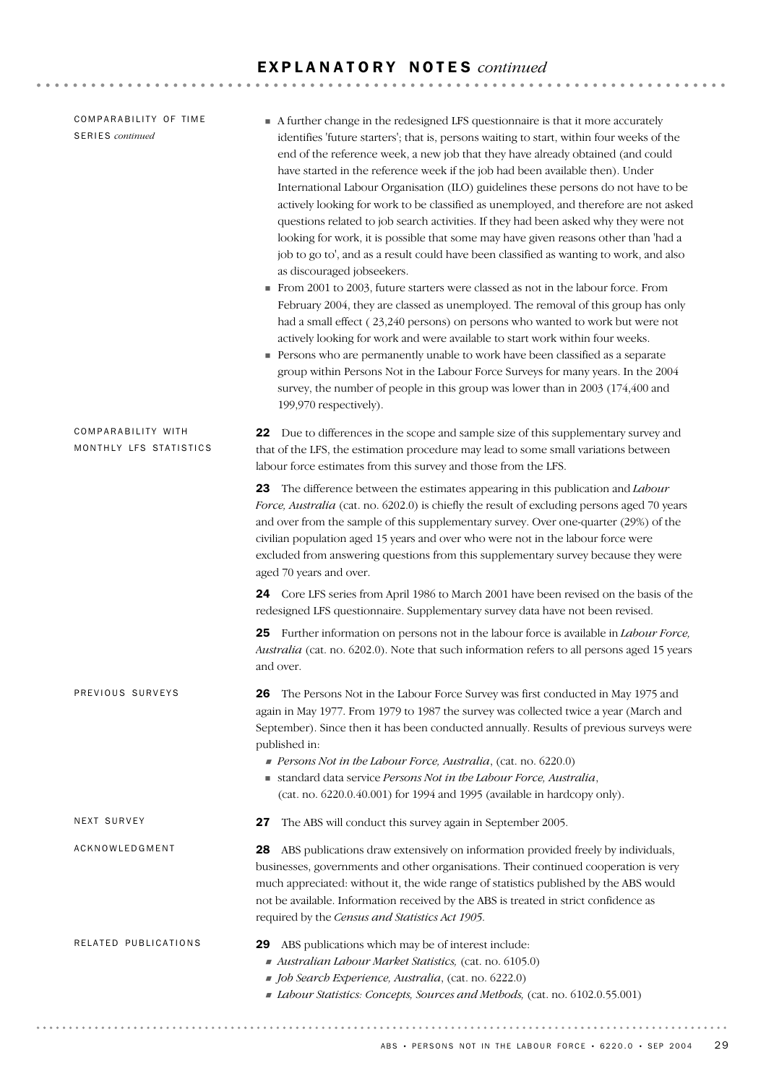### E X P L A N A T O R Y N O T E S *continued*

| <b>SERIES</b> continued                      | A further change in the redesigned LFS questionnaire is that it more accurately<br>identifies 'future starters'; that is, persons waiting to start, within four weeks of the<br>end of the reference week, a new job that they have already obtained (and could<br>have started in the reference week if the job had been available then). Under<br>International Labour Organisation (ILO) guidelines these persons do not have to be<br>actively looking for work to be classified as unemployed, and therefore are not asked<br>questions related to job search activities. If they had been asked why they were not<br>looking for work, it is possible that some may have given reasons other than 'had a<br>job to go to', and as a result could have been classified as wanting to work, and also<br>as discouraged jobseekers. |
|----------------------------------------------|----------------------------------------------------------------------------------------------------------------------------------------------------------------------------------------------------------------------------------------------------------------------------------------------------------------------------------------------------------------------------------------------------------------------------------------------------------------------------------------------------------------------------------------------------------------------------------------------------------------------------------------------------------------------------------------------------------------------------------------------------------------------------------------------------------------------------------------|
|                                              | From 2001 to 2003, future starters were classed as not in the labour force. From<br>February 2004, they are classed as unemployed. The removal of this group has only<br>had a small effect (23,240 persons) on persons who wanted to work but were not<br>actively looking for work and were available to start work within four weeks.<br>Persons who are permanently unable to work have been classified as a separate<br>group within Persons Not in the Labour Force Surveys for many years. In the 2004<br>survey, the number of people in this group was lower than in 2003 (174,400 and<br>199,970 respectively).                                                                                                                                                                                                              |
| COMPARABILITY WITH<br>MONTHLY LFS STATISTICS | 22 Due to differences in the scope and sample size of this supplementary survey and<br>that of the LFS, the estimation procedure may lead to some small variations between<br>labour force estimates from this survey and those from the LFS.                                                                                                                                                                                                                                                                                                                                                                                                                                                                                                                                                                                          |
|                                              | The difference between the estimates appearing in this publication and Labour<br>23<br>Force, Australia (cat. no. 6202.0) is chiefly the result of excluding persons aged 70 years<br>and over from the sample of this supplementary survey. Over one-quarter (29%) of the<br>civilian population aged 15 years and over who were not in the labour force were<br>excluded from answering questions from this supplementary survey because they were<br>aged 70 years and over.                                                                                                                                                                                                                                                                                                                                                        |
|                                              | Core LFS series from April 1986 to March 2001 have been revised on the basis of the<br>24<br>redesigned LFS questionnaire. Supplementary survey data have not been revised.                                                                                                                                                                                                                                                                                                                                                                                                                                                                                                                                                                                                                                                            |
|                                              | 25 Further information on persons not in the labour force is available in <i>Labour Force</i> ,<br>Australia (cat. no. 6202.0). Note that such information refers to all persons aged 15 years<br>and over.                                                                                                                                                                                                                                                                                                                                                                                                                                                                                                                                                                                                                            |
| PREVIOUS SURVEYS                             | The Persons Not in the Labour Force Survey was first conducted in May 1975 and<br>26<br>again in May 1977. From 1979 to 1987 the survey was collected twice a year (March and<br>September). Since then it has been conducted annually. Results of previous surveys were<br>published in:                                                                                                                                                                                                                                                                                                                                                                                                                                                                                                                                              |
|                                              | Persons Not in the Labour Force, Australia, (cat. no. 6220.0)                                                                                                                                                                                                                                                                                                                                                                                                                                                                                                                                                                                                                                                                                                                                                                          |
|                                              | standard data service Persons Not in the Labour Force, Australia,<br>(cat. no. 6220.0.40.001) for 1994 and 1995 (available in hardcopy only).                                                                                                                                                                                                                                                                                                                                                                                                                                                                                                                                                                                                                                                                                          |
| NEXT SURVEY                                  | The ABS will conduct this survey again in September 2005.<br>27                                                                                                                                                                                                                                                                                                                                                                                                                                                                                                                                                                                                                                                                                                                                                                        |
| ACKNOWLEDGMENT                               | ABS publications draw extensively on information provided freely by individuals,<br>28<br>businesses, governments and other organisations. Their continued cooperation is very<br>much appreciated: without it, the wide range of statistics published by the ABS would<br>not be available. Information received by the ABS is treated in strict confidence as<br>required by the Census and Statistics Act 1905.                                                                                                                                                                                                                                                                                                                                                                                                                     |
| RELATED PUBLICATIONS                         | ABS publications which may be of interest include:<br>29<br>Australian Labour Market Statistics, (cat. no. 6105.0)<br>Job Search Experience, Australia, (cat. no. 6222.0)                                                                                                                                                                                                                                                                                                                                                                                                                                                                                                                                                                                                                                                              |
|                                              | Labour Statistics: Concepts, Sources and Methods, (cat. no. 6102.0.55.001)                                                                                                                                                                                                                                                                                                                                                                                                                                                                                                                                                                                                                                                                                                                                                             |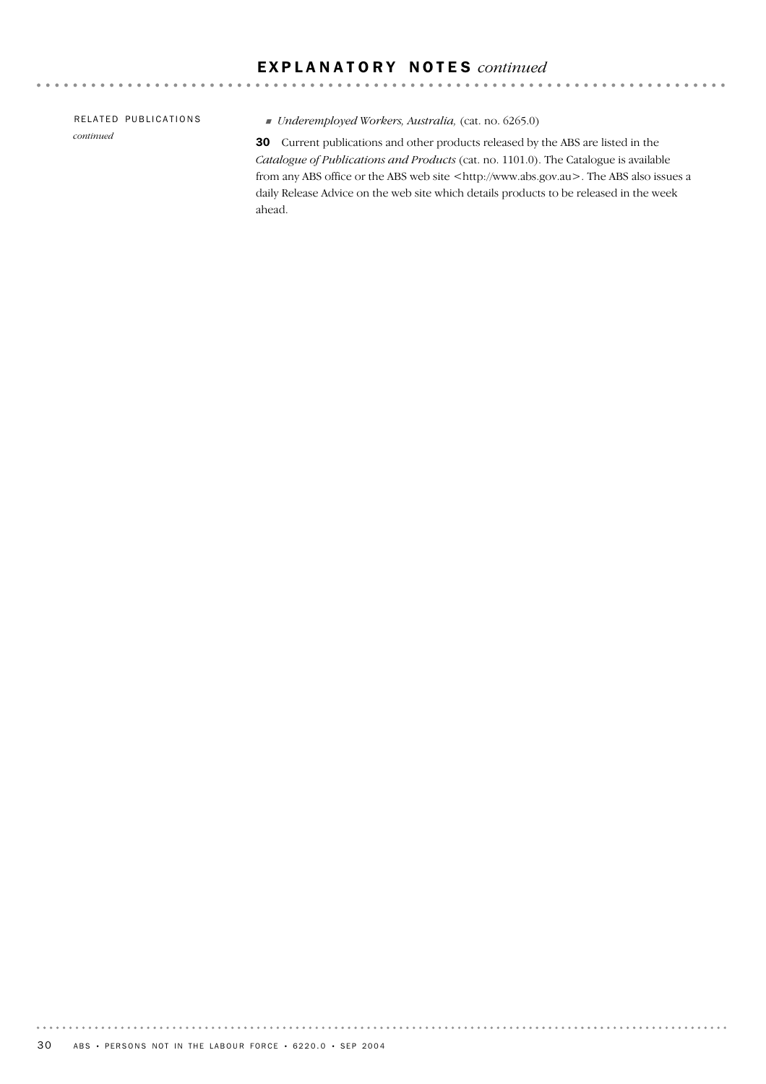### E X P L A N A T O R Y N O T E S *continued*

RELATED PUBLICATIONS *continued*

. . . . . . . . . . . . . . .

! *Underemployed Workers, Australia,* (cat. no. 6265.0)

. . . . . . . . .

30 Current publications and other products released by the ABS are listed in the *Catalogue of Publications and Products* (cat. no. 1101.0). The Catalogue is available from any ABS office or the ABS web site <http://www.abs.gov.au>. The ABS also issues a daily Release Advice on the web site which details products to be released in the week ahead.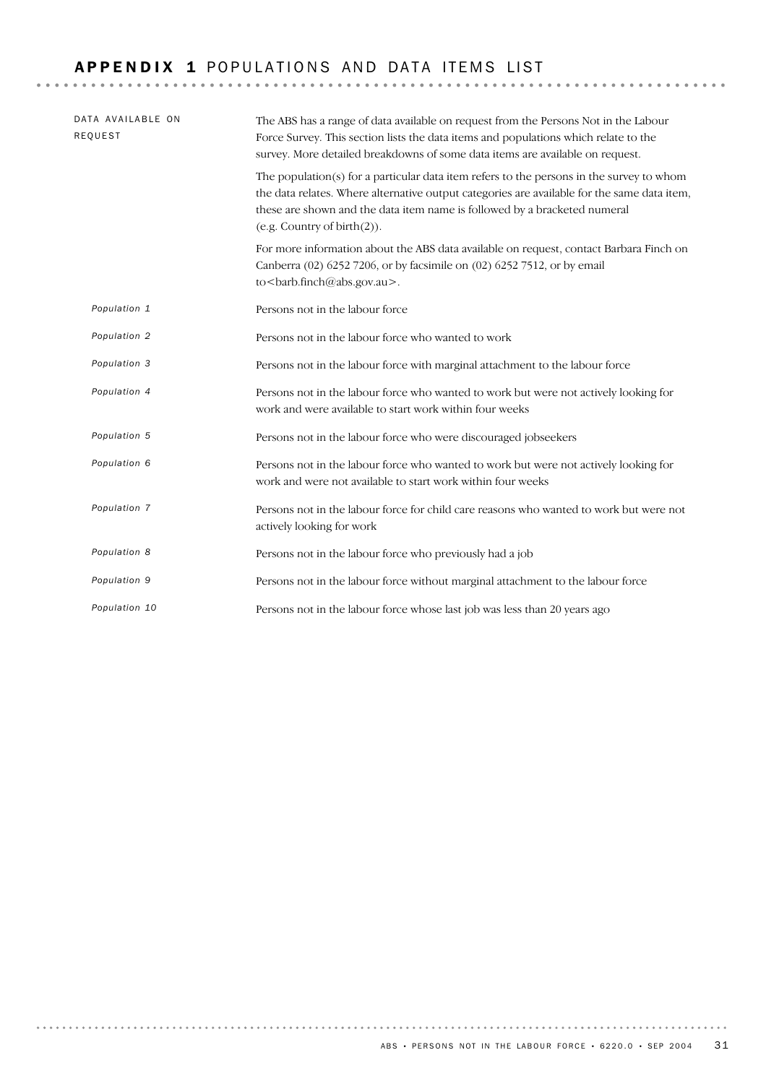### APPENDIX 1 POPULATIONS AND DATA ITEMS LIST

| DATA AVAILABLE ON<br>REQUEST | The ABS has a range of data available on request from the Persons Not in the Labour<br>Force Survey. This section lists the data items and populations which relate to the<br>survey. More detailed breakdowns of some data items are available on request.                                         |
|------------------------------|-----------------------------------------------------------------------------------------------------------------------------------------------------------------------------------------------------------------------------------------------------------------------------------------------------|
|                              | The population(s) for a particular data item refers to the persons in the survey to whom<br>the data relates. Where alternative output categories are available for the same data item,<br>these are shown and the data item name is followed by a bracketed numeral<br>(e.g. Country of birth(2)). |
|                              | For more information about the ABS data available on request, contact Barbara Finch on<br>Canberra (02) 6252 7206, or by facsimile on (02) 6252 7512, or by email<br>to<br>>barb.finch@abs.gov.au>.                                                                                                 |
| Population 1                 | Persons not in the labour force                                                                                                                                                                                                                                                                     |
| Population 2                 | Persons not in the labour force who wanted to work                                                                                                                                                                                                                                                  |
| Population 3                 | Persons not in the labour force with marginal attachment to the labour force                                                                                                                                                                                                                        |
| Population 4                 | Persons not in the labour force who wanted to work but were not actively looking for<br>work and were available to start work within four weeks                                                                                                                                                     |
| Population 5                 | Persons not in the labour force who were discouraged jobseekers                                                                                                                                                                                                                                     |
| Population 6                 | Persons not in the labour force who wanted to work but were not actively looking for<br>work and were not available to start work within four weeks                                                                                                                                                 |
| Population 7                 | Persons not in the labour force for child care reasons who wanted to work but were not<br>actively looking for work                                                                                                                                                                                 |
| Population 8                 | Persons not in the labour force who previously had a job                                                                                                                                                                                                                                            |
| Population 9                 | Persons not in the labour force without marginal attachment to the labour force                                                                                                                                                                                                                     |
| Population 10                | Persons not in the labour force whose last job was less than 20 years ago                                                                                                                                                                                                                           |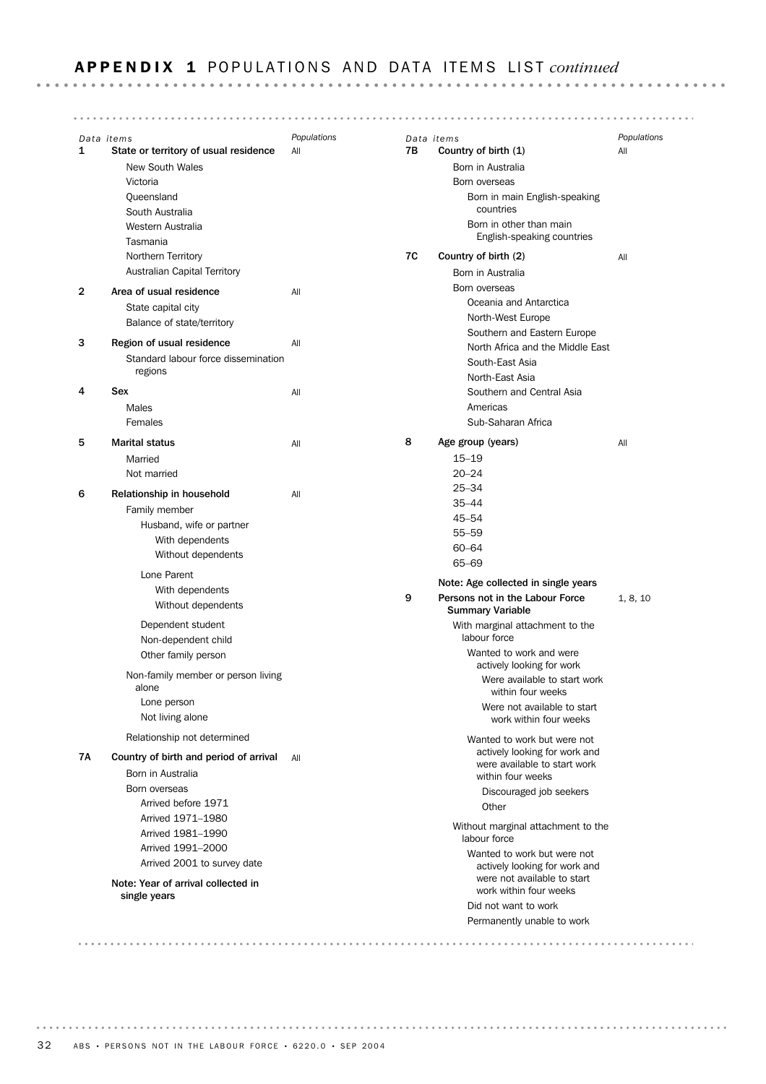. . . . . . .

*Data items Populations* 1 State or territory of usual residence All New South Wales

|    | Data items                                                                                                            | Populations |
|----|-----------------------------------------------------------------------------------------------------------------------|-------------|
| 7В | Country of birth (1)                                                                                                  | All         |
|    | Born in Australia                                                                                                     |             |
|    | Born overseas                                                                                                         |             |
|    | Born in main English-speaking<br>countries                                                                            |             |
|    | Born in other than main<br>English-speaking countries                                                                 |             |
| 7С | Country of birth (2)                                                                                                  | All         |
|    | Born in Australia                                                                                                     |             |
|    | Born overseas                                                                                                         |             |
|    | Oceania and Antarctica                                                                                                |             |
|    | North-West Europe                                                                                                     |             |
|    | Southern and Eastern Europe                                                                                           |             |
|    | North Africa and the Middle East                                                                                      |             |
|    | South-East Asia                                                                                                       |             |
|    | North-East Asia                                                                                                       |             |
|    | Southern and Central Asia                                                                                             |             |
|    | Americas                                                                                                              |             |
|    | Sub-Saharan Africa                                                                                                    |             |
| 8  | Age group (years)                                                                                                     | All         |
|    | $15 - 19$                                                                                                             |             |
|    | $20 - 24$                                                                                                             |             |
|    | $25 - 34$                                                                                                             |             |
|    | 35–44                                                                                                                 |             |
|    | 45-54                                                                                                                 |             |
|    | 55-59                                                                                                                 |             |
|    | 60-64                                                                                                                 |             |
|    | 65-69                                                                                                                 |             |
| 9  | Note: Age collected in single years<br>Persons not in the Labour Force                                                | 1, 8, 10    |
|    | <b>Summary Variable</b><br>With marginal attachment to the                                                            |             |
|    | labour force<br>Wanted to work and were                                                                               |             |
|    | actively looking for work<br>Were available to start work                                                             |             |
|    | within four weeks                                                                                                     |             |
|    | Were not available to start<br>work within four weeks                                                                 |             |
|    | Wanted to work but were not<br>actively looking for work and<br>were available to start work<br>within four weeks     |             |
|    | Discouraged job seekers                                                                                               |             |
|    | Other                                                                                                                 |             |
|    | Without marginal attachment to the<br>labour force                                                                    |             |
|    | Wanted to work but were not<br>actively looking for work and<br>were not available to start<br>work within four weeks |             |
|    | Did not want to work                                                                                                  |             |
|    | Permanently unable to work                                                                                            |             |
|    |                                                                                                                       |             |

. . . . . . .

32 ABS • PERSONS NOT IN THE LABOUR FORCE • 6220.0 • SEP 2004

Note: Year of arrival collected in

7A Country of birth and period of arrival All Relationship not determined Not living alone Lone person

Non-family member or person living

Without dependents With dependents

Without dependents With dependents Husband, wife or partner

6 Relationship in household All

5 Marital status All

4 Sex All

3 Region of usual residence All Balance of state/territory State capital city

2 Area of usual residence All Australian Capital Territory Northern Territory Tasmania Western Australia South Australia **Queensland** Victoria

Standard labour force dissemination

Other family person Non-dependent child Dependent student

Lone Parent

Family member

Not married Married

Females Males

regions

 $\sim$   $\sim$   $\sim$ 

Arrived 2001 to survey date Arrived 1991–2000 Arrived 1981–1990 Arrived 1971–1980 Arrived before 1971

single years

. . . . . . . . . . . . . . . .

Born overseas Born in Australia

alone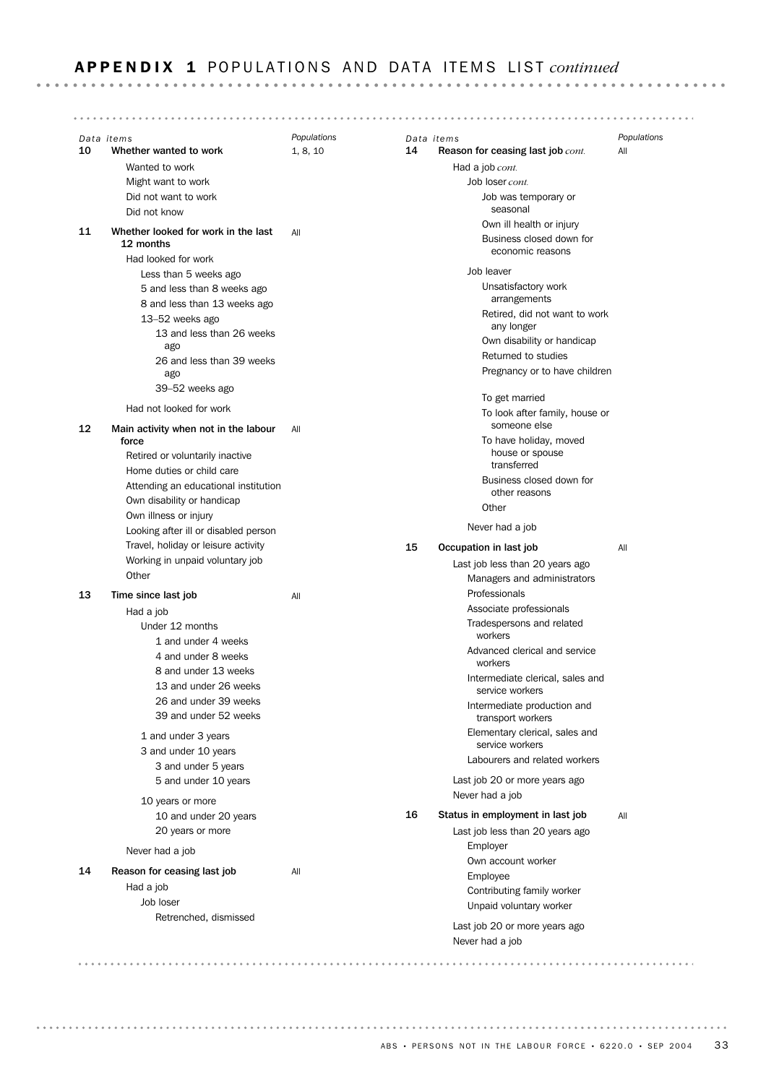*Data items Populations Data items Populations* 10 Whether wanted to work 1, 8, 10 14 Reason for ceasing last job *cont*. All Wanted to work Had a job *cont.* Might want to work Job loser *cont.* Did not want to work Job was temporary or seasonal Did not know Own ill health or injury Whether looked for work in the last All 11 Business closed down for 12 months economic reasons Had looked for work Job leaver Less than 5 weeks ago Unsatisfactory work 5 and less than 8 weeks ago arrangements 8 and less than 13 weeks ago Retired, did not want to work 13–52 weeks ago any longer 13 and less than 26 weeks Own disability or handicap ago Returned to studies 26 and less than 39 weeks Pregnancy or to have children ago 39–52 weeks ago To get married Had not looked for work To look after family, house or someone else 12 Main activity when not in the labour All To have holiday, moved force house or spouse Retired or voluntarily inactive transferred Home duties or child care Business closed down for Attending an educational institution other reasons Own disability or handicap **Other** Own illness or injury Never had a job Looking after ill or disabled person Travel, holiday or leisure activity 15 Occupation in last job All Working in unpaid voluntary job Last job less than 20 years ago **Other** Managers and administrators Professionals 13 Time since last job All Associate professionals Had a job Tradespersons and related Under 12 months workers 1 and under 4 weeks Advanced clerical and service 4 and under 8 weeks workers 8 and under 13 weeks Intermediate clerical, sales and 13 and under 26 weeks service workers 26 and under 39 weeks Intermediate production and 39 and under 52 weeks transport workers Elementary clerical, sales and 1 and under 3 years service workers 3 and under 10 years Labourers and related workers 3 and under 5 years Last job 20 or more years ago 5 and under 10 years Never had a job 10 years or more 16 Status in employment in last job All 10 and under 20 years

Never had a job 20 years or more

Had a job 14 Reason for ceasing last job All

Retrenched, dismissed Job loser

. . . . . . . . . . . . . . . . .

. . . . . . . . . . . . .

### ABS • PERSONS NOT IN THE LABOUR FORCE • 6220.0 • SEP 2004 33

Never had a job

. . . . . . . . . . . . . . . . . .

Employee

Employer

Last job 20 or more years ago Unpaid voluntary worker Contributing family worker

Own account worker

Last job less than 20 years ago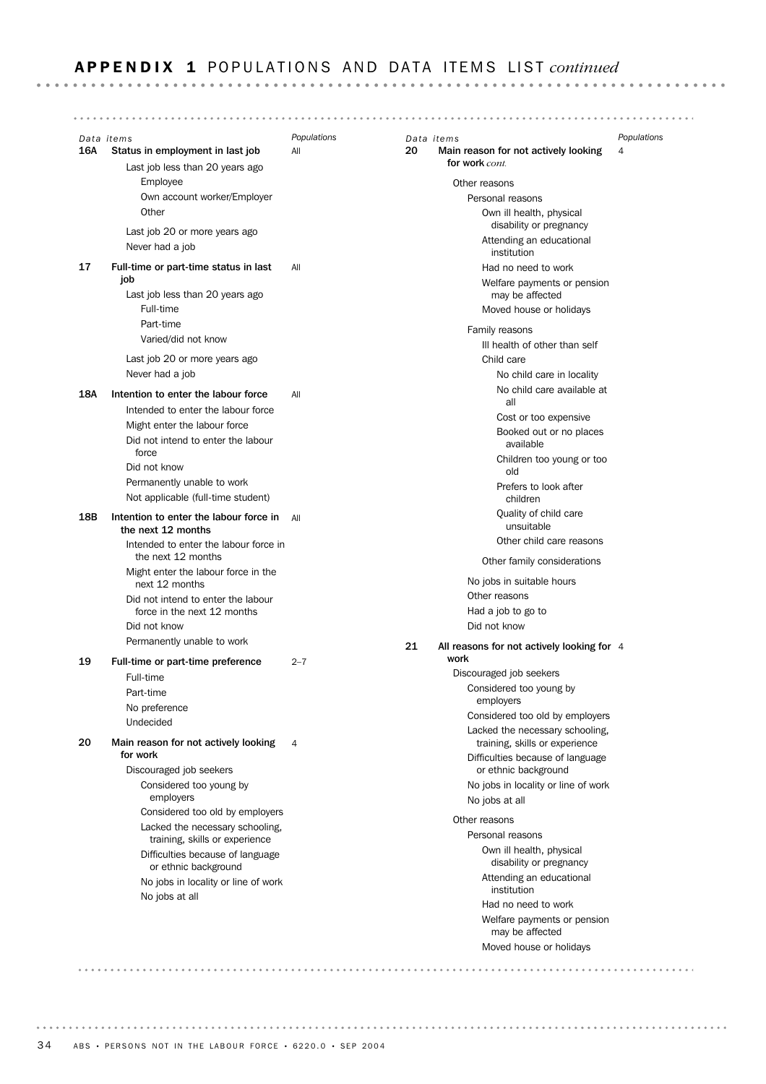### *Data items Populations Data items Populations* 16A Status in employment in last job All 20 Main reason for not actively looking 4 for work *cont.* Last job less than 20 years ago Employee Other reasons Own account worker/Employer Personal reasons **Other** Own ill health, physical disability or pregnancy Last job 20 or more years ago Attending an educational Never had a job institution 17 Full-time or part-time status in last All Had no need to work job Welfare payments or pension Last job less than 20 years ago may be affected Full-time Moved house or holidays Part-time Family reasons Varied/did not know Ill health of other than self Last job 20 or more years ago Child care Never had a job No child care in locality No child care available at 18A Intention to enter the labour force All all Intended to enter the labour force Cost or too expensive Might enter the labour force Booked out or no places Did not intend to enter the labour available force Children too young or too Did not know old Permanently unable to work Prefers to look after Not applicable (full-time student) children Quality of child care 18B Intention to enter the labour force in All unsuitable the next 12 months Other child care reasons Intended to enter the labour force in the next 12 months Other family considerations Might enter the labour force in the No jobs in suitable hours next 12 months Other reasons Did not intend to enter the labour force in the next 12 months Had a job to go to Did not know Did not know Permanently unable to work  $21$ All reasons for not actively looking for 4 work 19 Full-time or part-time preference 2–7 Discouraged job seekers Full-time Considered too young by Part-time employers No preference Considered too old by employers Undecided Lacked the necessary schooling, 20 Main reason for not actively looking 4 training, skills or experience for work Difficulties because of language Discouraged job seekers or ethnic background Considered too young by No jobs in locality or line of work employers No jobs at all Considered too old by employers Other reasons Lacked the necessary schooling, Personal reasons training, skills or experience Own ill health, physical Difficulties because of language disability or pregnancy or ethnic background Attending an educational No jobs in locality or line of work institution No jobs at all Had no need to work Welfare payments or pension may be affected Moved house or holidays <u>. . . . . . . . . . . . . . .</u> .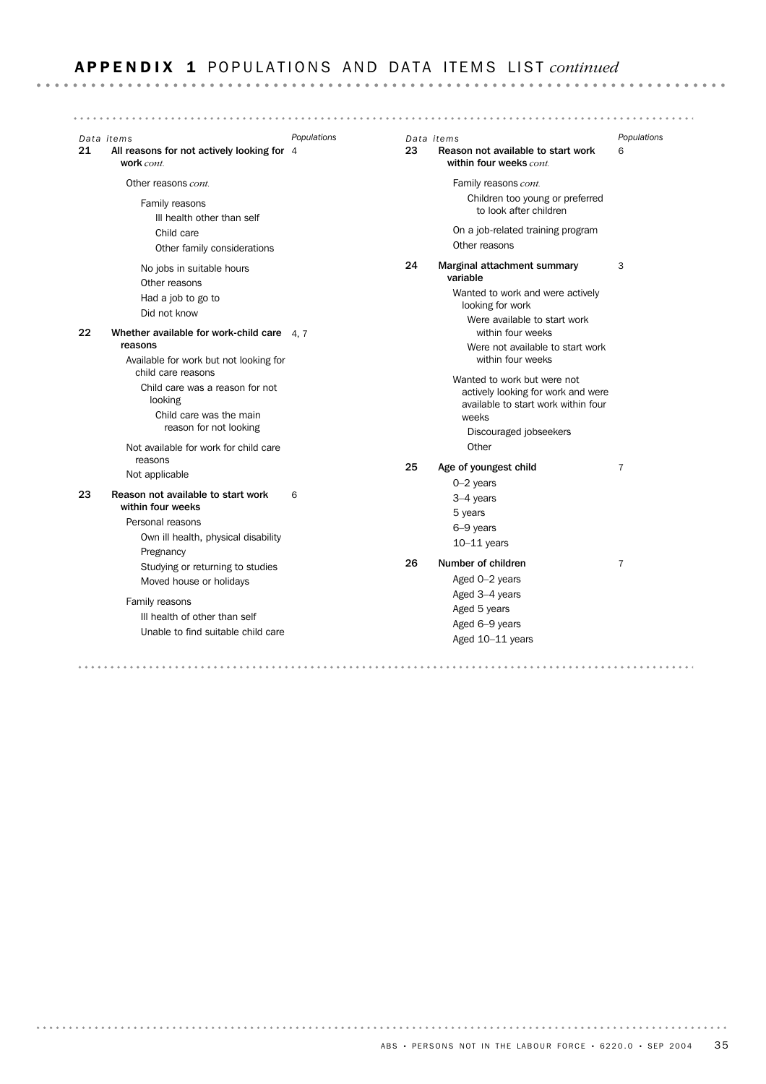|    | Data items                                                       | Populations |    | Data items                                                                                               | Populations    |
|----|------------------------------------------------------------------|-------------|----|----------------------------------------------------------------------------------------------------------|----------------|
| 21 | All reasons for not actively looking for 4<br>work cont.         |             | 23 | Reason not available to start work<br>within four weeks cont.                                            | 6              |
|    | Other reasons cont.                                              |             |    | Family reasons cont.                                                                                     |                |
|    | Family reasons<br>III health other than self                     |             |    | Children too young or preferred<br>to look after children                                                |                |
|    | Child care                                                       |             |    | On a job-related training program                                                                        |                |
|    | Other family considerations                                      |             |    | Other reasons                                                                                            |                |
|    | No jobs in suitable hours<br>Other reasons                       |             | 24 | Marginal attachment summary<br>variable                                                                  | 3              |
|    | Had a job to go to<br>Did not know                               |             |    | Wanted to work and were actively<br>looking for work                                                     |                |
| 22 | Whether available for work-child care 4, 7                       |             |    | Were available to start work<br>within four weeks                                                        |                |
|    | reasons<br>Available for work but not looking for                |             |    | Were not available to start work<br>within four weeks                                                    |                |
|    | child care reasons<br>Child care was a reason for not<br>looking |             |    | Wanted to work but were not<br>actively looking for work and were<br>available to start work within four |                |
|    | Child care was the main<br>reason for not looking                |             |    | weeks<br>Discouraged jobseekers                                                                          |                |
|    | Not available for work for child care                            |             |    | Other                                                                                                    |                |
|    | reasons<br>Not applicable                                        |             | 25 | Age of youngest child                                                                                    | 7              |
| 23 | Reason not available to start work                               | 6           |    | $0-2$ years<br>$3-4$ years                                                                               |                |
|    | within four weeks                                                |             |    | 5 years                                                                                                  |                |
|    | Personal reasons                                                 |             |    | 6-9 years                                                                                                |                |
|    | Own ill health, physical disability                              |             |    | $10-11$ years                                                                                            |                |
|    | Pregnancy                                                        |             |    |                                                                                                          |                |
|    | Studying or returning to studies                                 |             | 26 | Number of children                                                                                       | $\overline{7}$ |
|    | Moved house or holidays                                          |             |    | Aged 0–2 years                                                                                           |                |
|    | Family reasons                                                   |             |    | Aged 3-4 years                                                                                           |                |
|    | III health of other than self                                    |             |    | Aged 5 years                                                                                             |                |
|    | Unable to find suitable child care                               |             |    | Aged 6-9 years                                                                                           |                |
|    |                                                                  |             |    | Aged 10-11 years                                                                                         |                |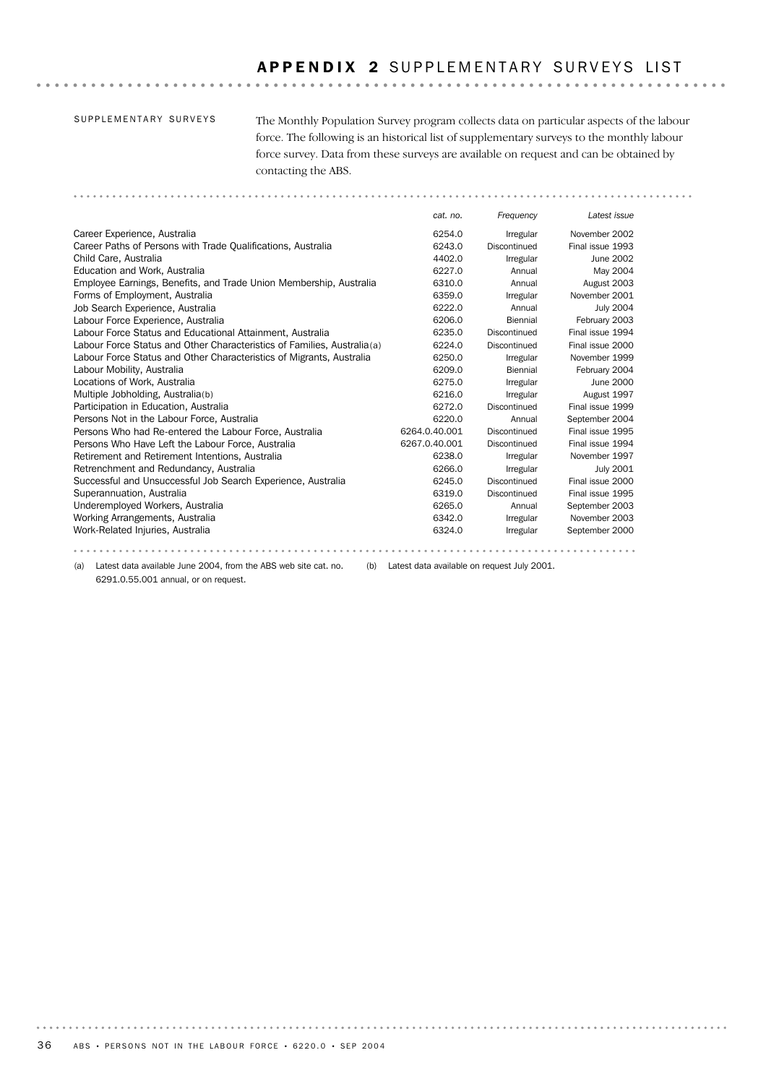### SUPPLEMENTARY SURVEYS

The Monthly Population Survey program collects data on particular aspects of the labour force. The following is an historical list of supplementary surveys to the monthly labour force survey. Data from these surveys are available on request and can be obtained by contacting the ABS.

|                                                                         | cat. no.      | Frequency    | Latest issue     |
|-------------------------------------------------------------------------|---------------|--------------|------------------|
| Career Experience, Australia                                            | 6254.0        | Irregular    | November 2002    |
| Career Paths of Persons with Trade Qualifications, Australia            | 6243.0        | Discontinued | Final issue 1993 |
| Child Care, Australia                                                   | 4402.0        | Irregular    | June 2002        |
| Education and Work, Australia                                           | 6227.0        | Annual       | May 2004         |
| Employee Earnings, Benefits, and Trade Union Membership, Australia      | 6310.0        | Annual       | August 2003      |
| Forms of Employment, Australia                                          | 6359.0        | Irregular    | November 2001    |
| Job Search Experience, Australia                                        | 6222.0        | Annual       | <b>July 2004</b> |
| Labour Force Experience, Australia                                      | 6206.0        | Biennial     | February 2003    |
| Labour Force Status and Educational Attainment, Australia               | 6235.0        | Discontinued | Final issue 1994 |
| Labour Force Status and Other Characteristics of Families, Australia(a) | 6224.0        | Discontinued | Final issue 2000 |
| Labour Force Status and Other Characteristics of Migrants, Australia    | 6250.0        | Irregular    | November 1999    |
| Labour Mobility, Australia                                              | 6209.0        | Biennial     | February 2004    |
| Locations of Work, Australia                                            | 6275.0        | Irregular    | June 2000        |
| Multiple Jobholding, Australia(b)                                       | 6216.0        | Irregular    | August 1997      |
| Participation in Education, Australia                                   | 6272.0        | Discontinued | Final issue 1999 |
| Persons Not in the Labour Force, Australia                              | 6220.0        | Annual       | September 2004   |
| Persons Who had Re-entered the Labour Force, Australia                  | 6264.0.40.001 | Discontinued | Final issue 1995 |
| Persons Who Have Left the Labour Force, Australia                       | 6267.0.40.001 | Discontinued | Final issue 1994 |
| Retirement and Retirement Intentions, Australia                         | 6238.0        | Irregular    | November 1997    |
| Retrenchment and Redundancy, Australia                                  | 6266.0        | Irregular    | <b>July 2001</b> |
| Successful and Unsuccessful Job Search Experience, Australia            | 6245.0        | Discontinued | Final issue 2000 |
| Superannuation, Australia                                               | 6319.0        | Discontinued | Final issue 1995 |
| Underemployed Workers, Australia                                        | 6265.0        | Annual       | September 2003   |
| Working Arrangements, Australia                                         | 6342.0        | Irregular    | November 2003    |
| Work-Related Injuries, Australia                                        | 6324.0        | Irregular    | September 2000   |
|                                                                         |               |              |                  |

(a) Latest data available June 2004, from the ABS web site cat. no. (b) Latest data available on request July 2001. 6291.0.55.001 annual, or on request.

. . . . . . . .

. . . . . . . . .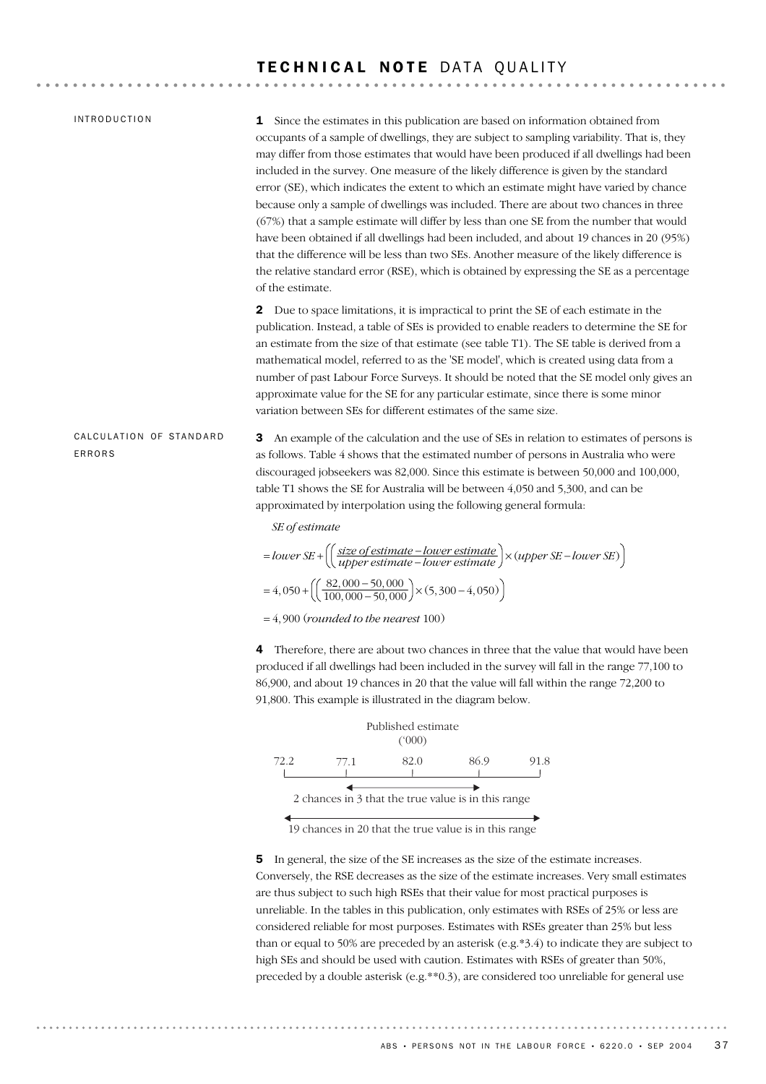### TECHNICAL NOTE DATA QUALITY

. . . . . . . . . . . . . . . . . . . .

. . . . . . . . . . .

| <b>INTRODUCTION</b>               | <b>1</b> Since the estimates in this publication are based on information obtained from<br>occupants of a sample of dwellings, they are subject to sampling variability. That is, they<br>may differ from those estimates that would have been produced if all dwellings had been<br>included in the survey. One measure of the likely difference is given by the standard<br>error (SE), which indicates the extent to which an estimate might have varied by chance<br>because only a sample of dwellings was included. There are about two chances in three<br>(67%) that a sample estimate will differ by less than one SE from the number that would<br>have been obtained if all dwellings had been included, and about 19 chances in 20 (95%)<br>that the difference will be less than two SEs. Another measure of the likely difference is<br>the relative standard error (RSE), which is obtained by expressing the SE as a percentage<br>of the estimate. |
|-----------------------------------|---------------------------------------------------------------------------------------------------------------------------------------------------------------------------------------------------------------------------------------------------------------------------------------------------------------------------------------------------------------------------------------------------------------------------------------------------------------------------------------------------------------------------------------------------------------------------------------------------------------------------------------------------------------------------------------------------------------------------------------------------------------------------------------------------------------------------------------------------------------------------------------------------------------------------------------------------------------------|
|                                   | <b>2</b> Due to space limitations, it is impractical to print the SE of each estimate in the<br>publication. Instead, a table of SEs is provided to enable readers to determine the SE for<br>an estimate from the size of that estimate (see table T1). The SE table is derived from a<br>mathematical model, referred to as the 'SE model', which is created using data from a<br>number of past Labour Force Surveys. It should be noted that the SE model only gives an<br>approximate value for the SE for any particular estimate, since there is some minor<br>variation between SEs for different estimates of the same size.                                                                                                                                                                                                                                                                                                                               |
| CALCULATION OF STANDARD<br>ERRORS | An example of the calculation and the use of SEs in relation to estimates of persons is<br>3<br>as follows. Table 4 shows that the estimated number of persons in Australia who were<br>discouraged jobseekers was 82,000. Since this estimate is between 50,000 and 100,000,<br>table T1 shows the SE for Australia will be between 4,050 and 5,300, and can be<br>approximated by interpolation using the following general formula:<br>SE of estimate                                                                                                                                                                                                                                                                                                                                                                                                                                                                                                            |
|                                   | = lower SE + $\left( \left( \frac{size\space of\space estimate - lower\space estimate}{upper\space estimate - lower\space estimate} \right) \times (upper\space SE - lower\space SE) \right)$<br>$=4,050 + \left(\left(\frac{82,000 - 50,000}{100,000 - 50,000}\right) \times (5,300 - 4,050)\right)$<br>$= 4,900$ (rounded to the nearest 100)                                                                                                                                                                                                                                                                                                                                                                                                                                                                                                                                                                                                                     |
|                                   | 4 Therefore, there are about two chances in three that the value that would have been<br>produced if all dwellings had been included in the survey will fall in the range 77,100 to<br>86,900, and about 19 chances in 20 that the value will fall within the range 72,200 to<br>91,800. This example is illustrated in the diagram below.                                                                                                                                                                                                                                                                                                                                                                                                                                                                                                                                                                                                                          |
|                                   | Published estimate<br>(000)<br>72.2<br>82.0<br>86.9<br>91.8<br>77.1                                                                                                                                                                                                                                                                                                                                                                                                                                                                                                                                                                                                                                                                                                                                                                                                                                                                                                 |
|                                   | 2 chances in 3 that the true value is in this range                                                                                                                                                                                                                                                                                                                                                                                                                                                                                                                                                                                                                                                                                                                                                                                                                                                                                                                 |
|                                   | 19 chances in 20 that the true value is in this range                                                                                                                                                                                                                                                                                                                                                                                                                                                                                                                                                                                                                                                                                                                                                                                                                                                                                                               |

5 In general, the size of the SE increases as the size of the estimate increases. Conversely, the RSE decreases as the size of the estimate increases. Very small estimates are thus subject to such high RSEs that their value for most practical purposes is unreliable. In the tables in this publication, only estimates with RSEs of 25% or less are considered reliable for most purposes. Estimates with RSEs greater than 25% but less than or equal to 50% are preceded by an asterisk (e.g.\*3.4) to indicate they are subject to high SEs and should be used with caution. Estimates with RSEs of greater than 50%, preceded by a double asterisk (e.g.\*\*0.3), are considered too unreliable for general use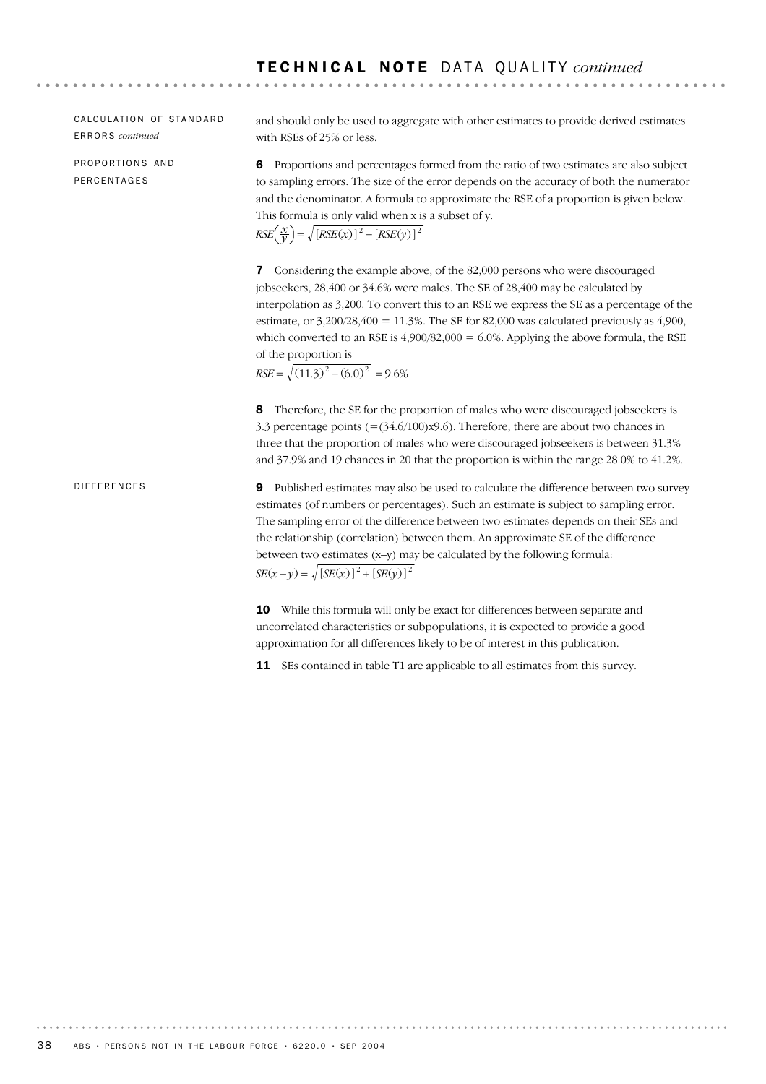### CALCULATION OF STANDARD ERRORS *continued*

PROPORTIONS AND **PERCENTAGES** 

and should only be used to aggregate with other estimates to provide derived estimates with RSEs of 25% or less.

6 Proportions and percentages formed from the ratio of two estimates are also subject to sampling errors. The size of the error depends on the accuracy of both the numerator and the denominator. A formula to approximate the RSE of a proportion is given below. This formula is only valid when x is a subset of y.

 $RSE\left(\frac{x}{y}\right) = \sqrt{[RSE(x)]^2 - [RSE(y)]^2}$ 

**7** Considering the example above, of the 82,000 persons who were discouraged jobseekers, 28,400 or 34.6% were males. The SE of 28,400 may be calculated by interpolation as 3,200. To convert this to an RSE we express the SE as a percentage of the estimate, or  $3,200/28,400 = 11.3\%$ . The SE for 82,000 was calculated previously as 4,900, which converted to an RSE is  $4,900/82,000 = 6.0\%$ . Applying the above formula, the RSE of the proportion is

 $RSE = \sqrt{(11.3)^2 - (6.0)^2} = 9.6\%$ 

8 Therefore, the SE for the proportion of males who were discouraged jobseekers is 3.3 percentage points  $(=(34.6/100)x9.6)$ . Therefore, there are about two chances in three that the proportion of males who were discouraged jobseekers is between 31.3% and 37.9% and 19 chances in 20 that the proportion is within the range 28.0% to 41.2%.

**DIFFERENCES** 

 $SE(x - y) = \sqrt{[SE(x)]^2 + [SE(y)]^2}$ 9 Published estimates may also be used to calculate the difference between two survey estimates (of numbers or percentages). Such an estimate is subject to sampling error. The sampling error of the difference between two estimates depends on their SEs and the relationship (correlation) between them. An approximate SE of the difference between two estimates (x–y) may be calculated by the following formula:

10 While this formula will only be exact for differences between separate and uncorrelated characteristics or subpopulations, it is expected to provide a good approximation for all differences likely to be of interest in this publication.

11 SEs contained in table T1 are applicable to all estimates from this survey.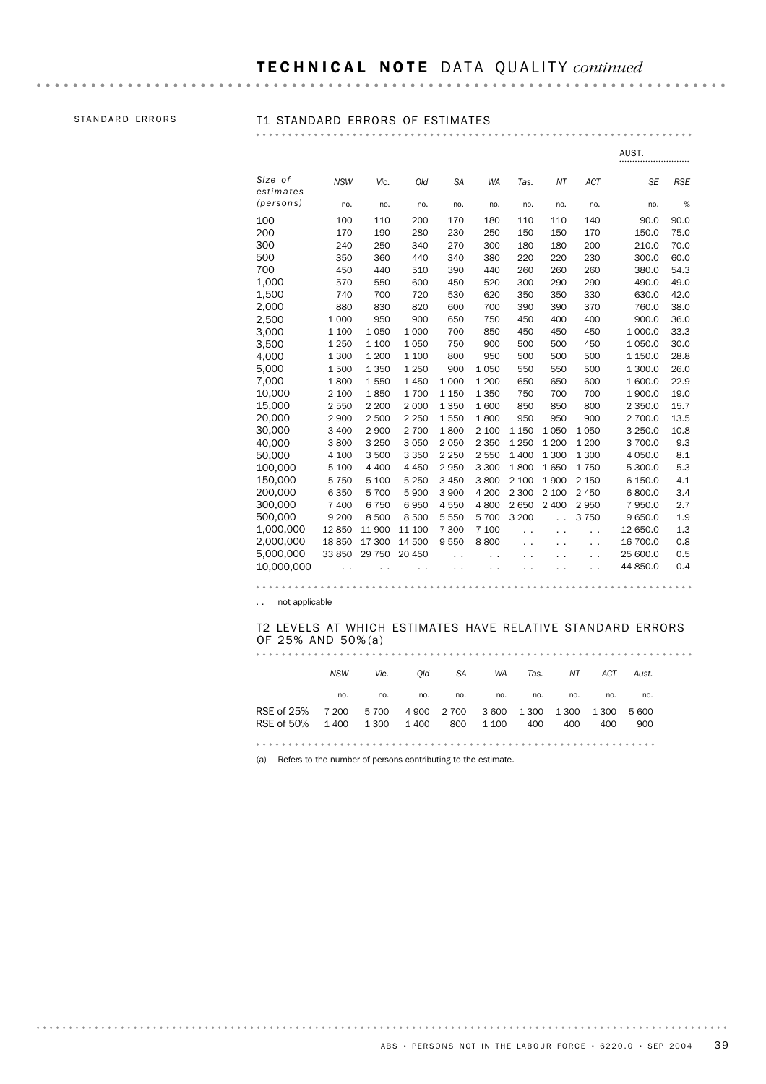## STANDARD ERRORS T1 STANDARD ERRORS OF ESTIMATES

|                      |            |                |         |           |           |                          |                      |                      | AUST.     |            |
|----------------------|------------|----------------|---------|-----------|-----------|--------------------------|----------------------|----------------------|-----------|------------|
| Size of<br>estimates | <b>NSW</b> | Vic.           | Old     | <b>SA</b> | <b>WA</b> | Tas.                     | NT                   | <b>ACT</b>           | <b>SE</b> | <b>RSE</b> |
| (persons)            | no.        | no.            | no.     | no.       | no.       | no.                      | no.                  | no.                  | no.       | %          |
| 100                  | 100        | 110            | 200     | 170       | 180       | 110                      | 110                  | 140                  | 90.0      | 90.0       |
| 200                  | 170        | 190            | 280     | 230       | 250       | 150                      | 150                  | 170                  | 150.0     | 75.0       |
| 300                  | 240        | 250            | 340     | 270       | 300       | 180                      | 180                  | 200                  | 210.0     | 70.0       |
| 500                  | 350        | 360            | 440     | 340       | 380       | 220                      | 220                  | 230                  | 300.0     | 60.0       |
| 700                  | 450        | 440            | 510     | 390       | 440       | 260                      | 260                  | 260                  | 380.0     | 54.3       |
| 1,000                | 570        | 550            | 600     | 450       | 520       | 300                      | 290                  | 290                  | 490.0     | 49.0       |
| 1,500                | 740        | 700            | 720     | 530       | 620       | 350                      | 350                  | 330                  | 630.0     | 42.0       |
| 2.000                | 880        | 830            | 820     | 600       | 700       | 390                      | 390                  | 370                  | 760.0     | 38.0       |
| 2,500                | 1 0 0 0    | 950            | 900     | 650       | 750       | 450                      | 400                  | 400                  | 900.0     | 36.0       |
| 3,000                | 1 100      | 1 0 5 0        | 1 0 0 0 | 700       | 850       | 450                      | 450                  | 450                  | 1 000.0   | 33.3       |
| 3,500                | 1 2 5 0    | 1 100          | 1 0 5 0 | 750       | 900       | 500                      | 500                  | 450                  | 1 0 5 0.0 | 30.0       |
| 4,000                | 1 300      | 1 200          | 1 100   | 800       | 950       | 500                      | 500                  | 500                  | 1 150.0   | 28.8       |
| 5.000                | 1500       | 1 3 5 0        | 1 2 5 0 | 900       | 1 0 5 0   | 550                      | 550                  | 500                  | 1 300.0   | 26.0       |
| 7,000                | 1800       | 1550           | 1 4 5 0 | 1 000     | 1 200     | 650                      | 650                  | 600                  | 1 600.0   | 22.9       |
| 10,000               | 2 100      | 1850           | 1700    | 1 1 5 0   | 1 3 5 0   | 750                      | 700                  | 700                  | 1 900.0   | 19.0       |
| 15,000               | 2 5 5 0    | 2 2 0 0        | 2 0 0 0 | 1 3 5 0   | 1 600     | 850                      | 850                  | 800                  | 2 3 5 0.0 | 15.7       |
| 20,000               | 2 9 0 0    | 2 500          | 2 2 5 0 | 1550      | 1800      | 950                      | 950                  | 900                  | 2 700.0   | 13.5       |
| 30,000               | 3 4 0 0    | 2 900          | 2 700   | 1800      | 2 100     | 1 1 5 0                  | 1 0 5 0              | 1 0 5 0              | 3 250.0   | 10.8       |
| 40,000               | 3800       | 3 2 5 0        | 3 0 5 0 | 2 0 5 0   | 2 3 5 0   | 1 2 5 0                  | 1 200                | 1 200                | 3 700.0   | 9.3        |
| 50,000               | 4 100      | 3500           | 3 3 5 0 | 2 2 5 0   | 2 5 5 0   | 1 400                    | 1 300                | 1 300                | 4 0 5 0.0 | 8.1        |
| 100,000              | 5 100      | 4 4 0 0        | 4 4 5 0 | 2950      | 3 3 0 0   | 1800                     | 1650                 | 1750                 | 5 300.0   | 5.3        |
| 150,000              | 5 7 5 0    | 5 100          | 5 2 5 0 | 3 4 5 0   | 3800      | 2 100                    | 1900                 | 2 150                | 6 150.0   | 4.1        |
| 200,000              | 6 3 5 0    | 5 700          | 5 900   | 3 900     | 4 200     | 2 300                    | 2 100                | 2 4 5 0              | 6800.0    | 3.4        |
| 300,000              | 7 400      | 6750           | 6950    | 4 5 5 0   | 4800      | 2 6 5 0                  | 2 4 0 0              | 2950                 | 7 950.0   | 2.7        |
| 500,000              | 9 2 0 0    | 8 500          | 8500    | 5 5 5 0   | 5 700     | 3 2 0 0                  | $\ddot{\phantom{0}}$ | 3750                 | 9650.0    | 1.9        |
| 1,000,000            | 12850      | 11 900         | 11 100  | 7 300     | 7 100     | $\ddot{\phantom{0}}$     | $\ddot{\phantom{0}}$ | $\ddot{\phantom{0}}$ | 12 650.0  | 1.3        |
| 2,000,000            | 18850      | 17 300         | 14 500  | 9550      | 8800      | $\overline{\phantom{a}}$ | . .                  | $\ddot{\phantom{1}}$ | 16 700.0  | 0.8        |
| 5,000,000            | 33 850     | 29 750         | 20 450  | . .       | $\ddotsc$ |                          | . .                  | $\ddot{\phantom{1}}$ | 25 600.0  | 0.5        |
| 10,000,000           |            |                |         |           |           |                          |                      |                      | 44 850.0  | 0.4        |
|                      |            |                |         |           |           |                          |                      |                      |           |            |
|                      |            | not applicable |         |           |           |                          |                      |                      |           |            |

T2 LEVELS AT WHICH ESTIMATES HAVE RELATIVE STANDARD ERRORS OF 25% AND 50% (a)

|                                                            | NSW | Vic. | Old | <b>SA</b> |     | WA Tas. NT |     | ACT | Aust. |  |
|------------------------------------------------------------|-----|------|-----|-----------|-----|------------|-----|-----|-------|--|
|                                                            | no. | no.  | no. | no.       | no. | no.        | no. | no. | no.   |  |
| RSE of 25% 7 200 5 700 4 900 2 700 3 600 1 300 1 300 1 300 |     |      |     |           |     |            |     |     | 5 600 |  |
| RSE of 50% 1400 1300 1400                                  |     |      |     | 800 1100  |     | 400        | 400 | 400 | 900   |  |

(a) Refers to the number of persons contributing to the estimate.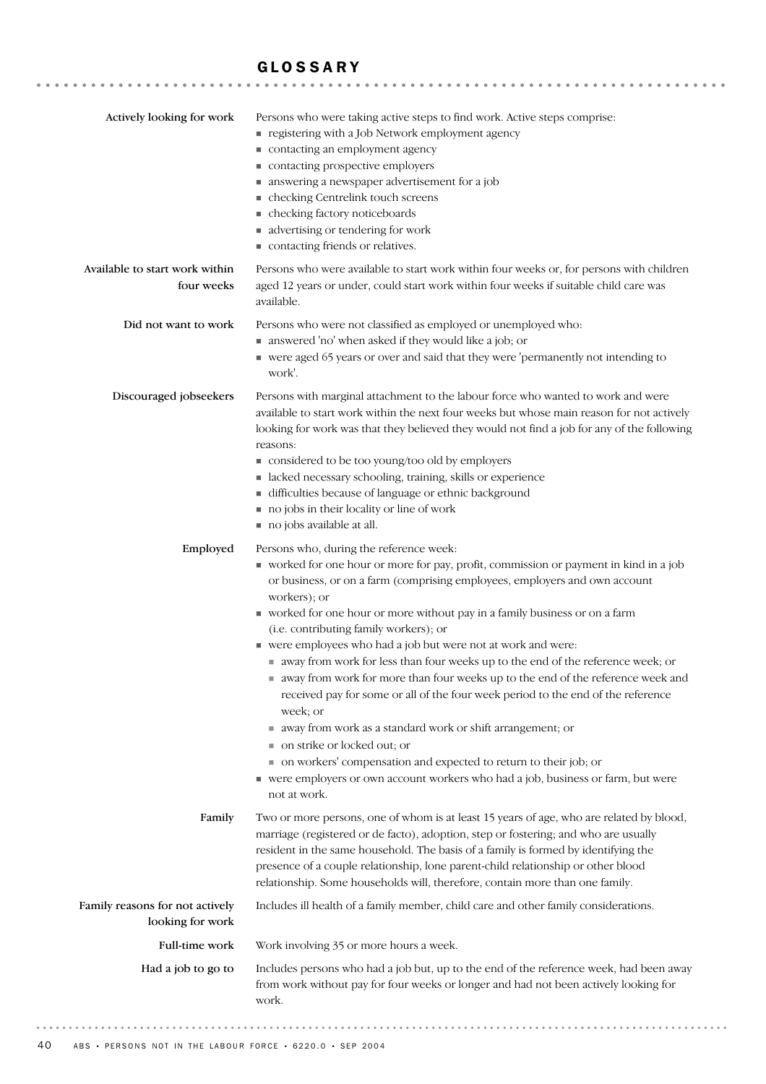### GLOSSARY

| Actively looking for work                           | Persons who were taking active steps to find work. Active steps comprise:                                                                                                                       |
|-----------------------------------------------------|-------------------------------------------------------------------------------------------------------------------------------------------------------------------------------------------------|
|                                                     | registering with a Job Network employment agency                                                                                                                                                |
|                                                     | contacting an employment agency                                                                                                                                                                 |
|                                                     | contacting prospective employers                                                                                                                                                                |
|                                                     | • answering a newspaper advertisement for a job                                                                                                                                                 |
|                                                     | • checking Centrelink touch screens                                                                                                                                                             |
|                                                     |                                                                                                                                                                                                 |
|                                                     | • checking factory noticeboards<br>advertising or tendering for work                                                                                                                            |
|                                                     | contacting friends or relatives.                                                                                                                                                                |
|                                                     |                                                                                                                                                                                                 |
| Available to start work within<br>four weeks        | Persons who were available to start work within four weeks or, for persons with children<br>aged 12 years or under, could start work within four weeks if suitable child care was<br>available. |
| Did not want to work                                | Persons who were not classified as employed or unemployed who:                                                                                                                                  |
|                                                     | answered 'no' when asked if they would like a job; or                                                                                                                                           |
|                                                     | • were aged 65 years or over and said that they were 'permanently not intending to                                                                                                              |
|                                                     | work'.                                                                                                                                                                                          |
|                                                     |                                                                                                                                                                                                 |
| Discouraged jobseekers                              | Persons with marginal attachment to the labour force who wanted to work and were                                                                                                                |
|                                                     | available to start work within the next four weeks but whose main reason for not actively                                                                                                       |
|                                                     | looking for work was that they believed they would not find a job for any of the following                                                                                                      |
|                                                     | reasons:<br>considered to be too young/too old by employers                                                                                                                                     |
|                                                     | • lacked necessary schooling, training, skills or experience                                                                                                                                    |
|                                                     | difficulties because of language or ethnic background                                                                                                                                           |
|                                                     | no jobs in their locality or line of work                                                                                                                                                       |
|                                                     | ■ no jobs available at all.                                                                                                                                                                     |
|                                                     |                                                                                                                                                                                                 |
| Employed                                            | Persons who, during the reference week:                                                                                                                                                         |
|                                                     | • worked for one hour or more for pay, profit, commission or payment in kind in a job                                                                                                           |
|                                                     | or business, or on a farm (comprising employees, employers and own account                                                                                                                      |
|                                                     | workers); or<br>worked for one hour or more without pay in a family business or on a farm                                                                                                       |
|                                                     | (i.e. contributing family workers); or                                                                                                                                                          |
|                                                     | • were employees who had a job but were not at work and were:                                                                                                                                   |
|                                                     | away from work for less than four weeks up to the end of the reference week; or                                                                                                                 |
|                                                     | ■ away from work for more than four weeks up to the end of the reference week and                                                                                                               |
|                                                     | received pay for some or all of the four week period to the end of the reference                                                                                                                |
|                                                     | week; or                                                                                                                                                                                        |
|                                                     | ■ away from work as a standard work or shift arrangement; or                                                                                                                                    |
|                                                     | ■ on strike or locked out; or                                                                                                                                                                   |
|                                                     | • on workers' compensation and expected to return to their job; or                                                                                                                              |
|                                                     | vere employers or own account workers who had a job, business or farm, but were                                                                                                                 |
|                                                     | not at work.                                                                                                                                                                                    |
| Family                                              | Two or more persons, one of whom is at least 15 years of age, who are related by blood,                                                                                                         |
|                                                     | marriage (registered or de facto), adoption, step or fostering; and who are usually                                                                                                             |
|                                                     | resident in the same household. The basis of a family is formed by identifying the                                                                                                              |
|                                                     | presence of a couple relationship, lone parent-child relationship or other blood                                                                                                                |
|                                                     | relationship. Some households will, therefore, contain more than one family.                                                                                                                    |
|                                                     |                                                                                                                                                                                                 |
| Family reasons for not actively<br>looking for work | Includes ill health of a family member, child care and other family considerations.                                                                                                             |
|                                                     |                                                                                                                                                                                                 |
| Full-time work                                      | Work involving 35 or more hours a week.                                                                                                                                                         |
| Had a job to go to                                  | Includes persons who had a job but, up to the end of the reference week, had been away                                                                                                          |
|                                                     | from work without pay for four weeks or longer and had not been actively looking for                                                                                                            |
|                                                     | work.                                                                                                                                                                                           |
|                                                     |                                                                                                                                                                                                 |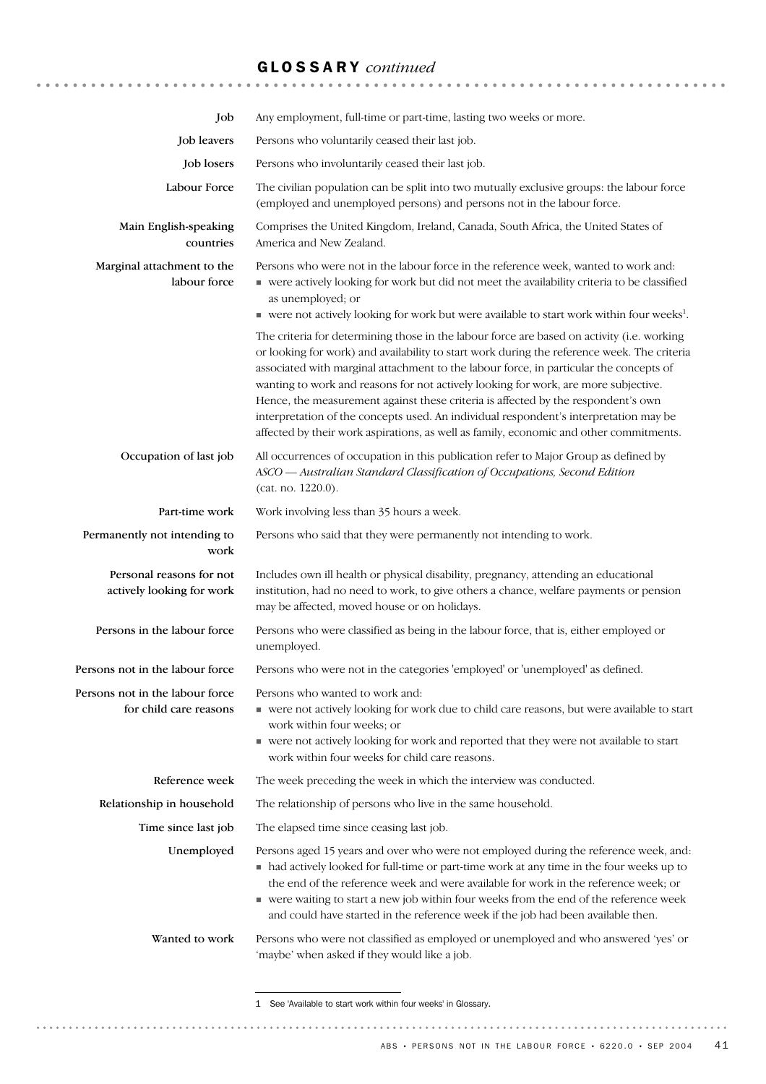# GLOSSARY *continued*

| Job                                                       | Any employment, full-time or part-time, lasting two weeks or more.                                                                                                                                                                                                                                                                                                                                                                                                                                                                                                                                                                                 |
|-----------------------------------------------------------|----------------------------------------------------------------------------------------------------------------------------------------------------------------------------------------------------------------------------------------------------------------------------------------------------------------------------------------------------------------------------------------------------------------------------------------------------------------------------------------------------------------------------------------------------------------------------------------------------------------------------------------------------|
| Job leavers                                               | Persons who voluntarily ceased their last job.                                                                                                                                                                                                                                                                                                                                                                                                                                                                                                                                                                                                     |
| Job losers                                                | Persons who involuntarily ceased their last job.                                                                                                                                                                                                                                                                                                                                                                                                                                                                                                                                                                                                   |
| Labour Force                                              | The civilian population can be split into two mutually exclusive groups: the labour force<br>(employed and unemployed persons) and persons not in the labour force.                                                                                                                                                                                                                                                                                                                                                                                                                                                                                |
| Main English-speaking<br>countries                        | Comprises the United Kingdom, Ireland, Canada, South Africa, the United States of<br>America and New Zealand.                                                                                                                                                                                                                                                                                                                                                                                                                                                                                                                                      |
| Marginal attachment to the<br>labour force                | Persons who were not in the labour force in the reference week, wanted to work and:<br>• were actively looking for work but did not meet the availability criteria to be classified<br>as unemployed; or<br>$\bullet$ were not actively looking for work but were available to start work within four weeks <sup>1</sup> .                                                                                                                                                                                                                                                                                                                         |
|                                                           | The criteria for determining those in the labour force are based on activity (i.e. working<br>or looking for work) and availability to start work during the reference week. The criteria<br>associated with marginal attachment to the labour force, in particular the concepts of<br>wanting to work and reasons for not actively looking for work, are more subjective.<br>Hence, the measurement against these criteria is affected by the respondent's own<br>interpretation of the concepts used. An individual respondent's interpretation may be<br>affected by their work aspirations, as well as family, economic and other commitments. |
| Occupation of last job                                    | All occurrences of occupation in this publication refer to Major Group as defined by<br>ASCO - Australian Standard Classification of Occupations, Second Edition<br>(cat. no. 1220.0).                                                                                                                                                                                                                                                                                                                                                                                                                                                             |
| Part-time work                                            | Work involving less than 35 hours a week.                                                                                                                                                                                                                                                                                                                                                                                                                                                                                                                                                                                                          |
| Permanently not intending to<br>work                      | Persons who said that they were permanently not intending to work.                                                                                                                                                                                                                                                                                                                                                                                                                                                                                                                                                                                 |
| Personal reasons for not<br>actively looking for work     | Includes own ill health or physical disability, pregnancy, attending an educational<br>institution, had no need to work, to give others a chance, welfare payments or pension<br>may be affected, moved house or on holidays.                                                                                                                                                                                                                                                                                                                                                                                                                      |
| Persons in the labour force                               | Persons who were classified as being in the labour force, that is, either employed or<br>unemployed.                                                                                                                                                                                                                                                                                                                                                                                                                                                                                                                                               |
| Persons not in the labour force                           | Persons who were not in the categories 'employed' or 'unemployed' as defined.                                                                                                                                                                                                                                                                                                                                                                                                                                                                                                                                                                      |
| Persons not in the labour force<br>for child care reasons | Persons who wanted to work and:<br>• were not actively looking for work due to child care reasons, but were available to start<br>work within four weeks; or<br>• were not actively looking for work and reported that they were not available to start<br>work within four weeks for child care reasons.                                                                                                                                                                                                                                                                                                                                          |
| Reference week                                            | The week preceding the week in which the interview was conducted.                                                                                                                                                                                                                                                                                                                                                                                                                                                                                                                                                                                  |
| Relationship in household                                 | The relationship of persons who live in the same household.                                                                                                                                                                                                                                                                                                                                                                                                                                                                                                                                                                                        |
| Time since last job                                       | The elapsed time since ceasing last job.                                                                                                                                                                                                                                                                                                                                                                                                                                                                                                                                                                                                           |
| Unemployed                                                | Persons aged 15 years and over who were not employed during the reference week, and:<br>• had actively looked for full-time or part-time work at any time in the four weeks up to<br>the end of the reference week and were available for work in the reference week; or<br>vere waiting to start a new job within four weeks from the end of the reference week<br>and could have started in the reference week if the job had been available then.                                                                                                                                                                                               |
| Wanted to work                                            | Persons who were not classified as employed or unemployed and who answered 'yes' or<br>'maybe' when asked if they would like a job.                                                                                                                                                                                                                                                                                                                                                                                                                                                                                                                |

<sup>1</sup> See 'Available to start work within four weeks' in Glossary.